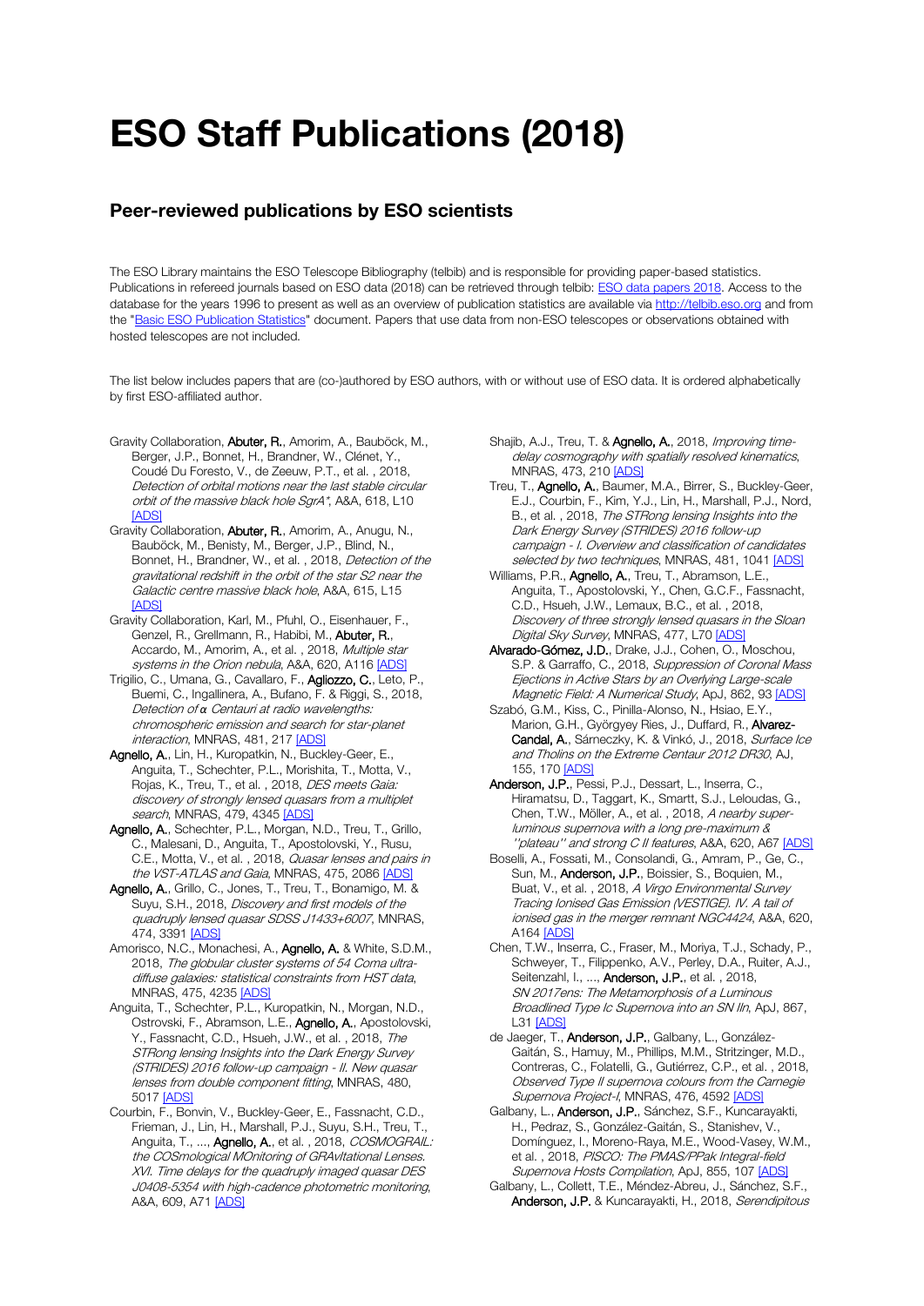## ESO Staff Publications (2018)

## Peer-reviewed publications by ESO scientists

The ESO Library maintains the ESO Telescope Bibliography (telbib) and is responsible for providing paper-based statistics. Publications in refereed journals based on ESO data (2018) can be retrieved through telbib[: ESO data papers 2018.](http://telbib.eso.org/?yearfrom=2018&yearto=2018&published=yes&search=Search) Access to the database for the years 1996 to present as well as an overview of publication statistics are available vi[a http://telbib.eso.org](http://telbib.eso.org/) and from the ["Basic ESO Publication Statistics"](http://www.eso.org/sci/libraries/edocs/ESO/ESOstats.pdf) document. Papers that use data from non-ESO telescopes or observations obtained with hosted telescopes are not included.

The list below includes papers that are (co-)authored by ESO authors, with or without use of ESO data. It is ordered alphabetically by first ESO-affiliated author.

- Gravity Collaboration, Abuter, R., Amorim, A., Bauböck, M., Berger, J.P., Bonnet, H., Brandner, W., Clénet, Y., Coudé Du Foresto, V., de Zeeuw, P.T., et al. , 2018, Detection of orbital motions near the last stable circular orbit of the massive black hole SgrA\*, A&A, 618, L10 [\[ADS\]](https://ui.adsabs.harvard.edu/#abs/2018A%26A...618L..10G)
- Gravity Collaboration, Abuter, R., Amorim, A., Anugu, N., Bauböck, M., Benisty, M., Berger, J.P., Blind, N., Bonnet, H., Brandner, W., et al. , 2018, Detection of the gravitational redshift in the orbit of the star S2 near the Galactic centre massive black hole, A&A, 615, L15 [\[ADS\]](https://ui.adsabs.harvard.edu/#abs/2018A%26A...615L..15G)
- Gravity Collaboration, Karl, M., Pfuhl, O., Eisenhauer, F., Genzel, R., Grellmann, R., Habibi, M., Abuter, R., Accardo, M., Amorim, A., et al., 2018, Multiple star systems in the Orion nebula, A&A, 620, A116 [\[ADS\]](https://ui.adsabs.harvard.edu/#abs/2018A%26A...620A.116G)
- Trigilio, C., Umana, G., Cavallaro, F., Agliozzo, C., Leto, P., Buemi, C., Ingallinera, A., Bufano, F. & Riggi, S., 2018, Detection of *α* Centauri at radio wavelengths: chromospheric emission and search for star-planet interaction, MNRAS, 481, 21[7 \[ADS\]](https://ui.adsabs.harvard.edu/#abs/2018MNRAS.481..217T)
- Agnello, A., Lin, H., Kuropatkin, N., Buckley-Geer, E., Anguita, T., Schechter, P.L., Morishita, T., Motta, V., Rojas, K., Treu, T., et al., 2018, DES meets Gaia: discovery of strongly lensed quasars from a multiplet search, MNRAS, 479, 434[5 \[ADS\]](https://ui.adsabs.harvard.edu/#abs/2018MNRAS.479.4345A)
- Agnello, A., Schechter, P.L., Morgan, N.D., Treu, T., Grillo, C., Malesani, D., Anguita, T., Apostolovski, Y., Rusu, C.E., Motta, V., et al. , 2018, Quasar lenses and pairs in the VST-ATLAS and Gaia, MNRAS, 475, 208[6 \[ADS\]](https://ui.adsabs.harvard.edu/#abs/2018MNRAS.475.2086A)
- Agnello, A., Grillo, C., Jones, T., Treu, T., Bonamigo, M. & Suyu, S.H., 2018, Discovery and first models of the quadruply lensed quasar SDSS J1433+6007, MNRAS, 474, 3391 <u>[ADS]</u>
- Amorisco, N.C., Monachesi, A., Agnello, A. & White, S.D.M., 2018, The globular cluster systems of 54 Coma ultradiffuse galaxies: statistical constraints from HST data, MNRAS, 475, 4235 [\[ADS\]](https://ui.adsabs.harvard.edu/#abs/2018MNRAS.475.4235A)
- Anguita, T., Schechter, P.L., Kuropatkin, N., Morgan, N.D., Ostrovski, F., Abramson, L.E., Agnello, A., Apostolovski, Y., Fassnacht, C.D., Hsueh, J.W., et al., 2018, The STRong lensing Insights into the Dark Energy Survey (STRIDES) 2016 follow-up campaign - II. New quasar lenses from double component fitting, MNRAS, 480, 5017 [\[ADS\]](https://ui.adsabs.harvard.edu/#abs/2018MNRAS.480.5017A)
- Courbin, F., Bonvin, V., Buckley-Geer, E., Fassnacht, C.D., Frieman, J., Lin, H., Marshall, P.J., Suyu, S.H., Treu, T., Anguita, T., ..., Agnello, A., et al., 2018, COSMOGRAIL: the COSmological MOnitoring of GRAvItational Lenses. XVI. Time delays for the quadruply imaged quasar DES J0408-5354 with high-cadence photometric monitoring, A&A, 609, A7[1 \[ADS\]](https://ui.adsabs.harvard.edu/#abs/2018A%26A...609A..71C)
- Shajib, A.J., Treu, T. & Agnello, A., 2018, Improving timedelay cosmography with spatially resolved kinematics, MNRAS, 473, 21[0 \[ADS\]](https://ui.adsabs.harvard.edu/#abs/2018MNRAS.473..210S)
- Treu, T., Agnello, A., Baumer, M.A., Birrer, S., Buckley-Geer, E.J., Courbin, F., Kim, Y.J., Lin, H., Marshall, P.J., Nord, B., et al. , 2018, The STRong lensing Insights into the Dark Energy Survey (STRIDES) 2016 follow-up campaign - I. Overview and classification of candidates selected by two techniques, MNRAS, 481, 104[1 \[ADS\]](https://ui.adsabs.harvard.edu/#abs/2018MNRAS.481.1041T)
- Williams, P.R., Agnello, A., Treu, T., Abramson, L.E., Anguita, T., Apostolovski, Y., Chen, G.C.F., Fassnacht, C.D., Hsueh, J.W., Lemaux, B.C., et al. , 2018, Discovery of three strongly lensed quasars in the Sloan Digital Sky Survey, MNRAS, 477, L70 [\[ADS\]](https://ui.adsabs.harvard.edu/#abs/2018MNRAS.477L..70W)
- Alvarado-Gómez, J.D., Drake, J.J., Cohen, O., Moschou, S.P. & Garraffo, C., 2018, Suppression of Coronal Mass Ejections in Active Stars by an Overlying Large-scale Magnetic Field: A Numerical Study, ApJ, 862, 9[3 \[ADS\]](https://ui.adsabs.harvard.edu/#abs/2018ApJ...862...93A)
- Szabó, G.M., Kiss, C., Pinilla-Alonso, N., Hsiao, E.Y., Marion, G.H., Györgyey Ries, J., Duffard, R., Alvarez-Candal, A., Sárneczky, K. & Vinkó, J., 2018, Surface Ice and Tholins on the Extreme Centaur 2012 DR30, AJ, 155, 170 [\[ADS\]](https://ui.adsabs.harvard.edu/#abs/2018AJ....155..170S)
- Anderson, J.P., Pessi, P.J., Dessart, L., Inserra, C., Hiramatsu, D., Taggart, K., Smartt, S.J., Leloudas, G., Chen, T.W., Möller, A., et al. , 2018, A nearby superluminous supernova with a long pre-maximum & "plateau" and strong C II features, A&A, 620, A6[7 \[ADS\]](https://ui.adsabs.harvard.edu/#abs/2018A%26A...620A..67A)
- Boselli, A., Fossati, M., Consolandi, G., Amram, P., Ge, C., Sun, M., Anderson, J.P., Boissier, S., Boquien, M., Buat, V., et al., 2018, A Virgo Environmental Survey Tracing Ionised Gas Emission (VESTIGE). IV. A tail of ionised gas in the merger remnant NGC4424, A&A, 620, A16[4 \[ADS\]](https://ui.adsabs.harvard.edu/#abs/2018A%26A...620A.164B)
- Chen, T.W., Inserra, C., Fraser, M., Moriya, T.J., Schady, P., Schweyer, T., Filippenko, A.V., Perley, D.A., Ruiter, A.J., Seitenzahl, I., ..., Anderson, J.P., et al., 2018, SN 2017ens: The Metamorphosis of a Luminous Broadlined Type Ic Supernova into an SN IIn, ApJ, 867, L31 [\[ADS\]](https://ui.adsabs.harvard.edu/#abs/2018ApJ...867L..31C)
- de Jaeger, T., Anderson, J.P., Galbany, L., González-Gaitán, S., Hamuy, M., Phillips, M.M., Stritzinger, M.D., Contreras, C., Folatelli, G., Gutiérrez, C.P., et al. , 2018, Observed Type II supernova colours from the Carnegie Supernova Project-I, MNRAS, 476, 459[2 \[ADS\]](https://ui.adsabs.harvard.edu/#abs/2018MNRAS.476.4592D)
- Galbany, L., Anderson, J.P., Sánchez, S.F., Kuncarayakti, H., Pedraz, S., González-Gaitán, S., Stanishev, V., Domínguez, I., Moreno-Raya, M.E., Wood-Vasey, W.M., et al., 2018, PISCO: The PMAS/PPak Integral-field Supernova Hosts Compilation, ApJ, 855, 10[7 \[ADS\]](https://ui.adsabs.harvard.edu/#abs/2018ApJ...855..107G)
- Galbany, L., Collett, T.E., Méndez-Abreu, J., Sánchez, S.F., Anderson, J.P. & Kuncarayakti, H., 2018, Serendipitous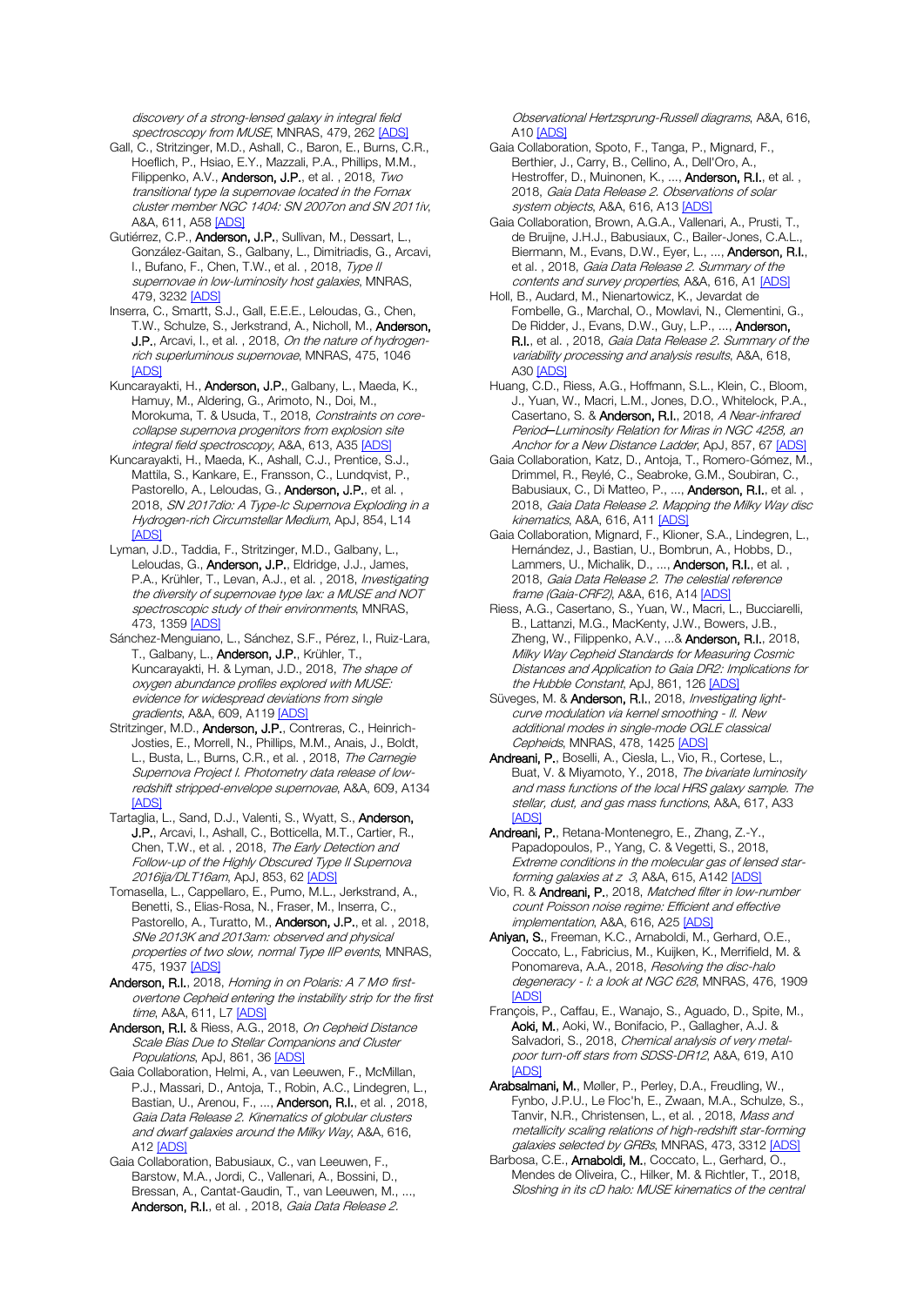discovery of a strong-lensed galaxy in integral field spectroscopy from MUSE, MNRAS, 479, 262 [\[ADS\]](https://ui.adsabs.harvard.edu/#abs/2018MNRAS.479..262G)

- Gall, C., Stritzinger, M.D., Ashall, C., Baron, E., Burns, C.R., Hoeflich, P., Hsiao, E.Y., Mazzali, P.A., Phillips, M.M., Filippenko, A.V., **Anderson, J.P.**, et al., 2018, Two transitional type Ia supernovae located in the Fornax cluster member NGC 1404: SN 2007on and SN 2011iv, A&A, 611, A5[8 \[ADS\]](https://ui.adsabs.harvard.edu/#abs/2018A%26A...611A..58G)
- Gutiérrez, C.P., Anderson, J.P., Sullivan, M., Dessart, L., González-Gaitan, S., Galbany, L., Dimitriadis, G., Arcavi, I., Bufano, F., Chen, T.W., et al. , 2018, Type II supernovae in low-luminosity host galaxies, MNRAS, 479, 3232 [\[ADS\]](https://ui.adsabs.harvard.edu/#abs/2018MNRAS.479.3232G)
- Inserra, C., Smartt, S.J., Gall, E.E.E., Leloudas, G., Chen, T.W., Schulze, S., Jerkstrand, A., Nicholl, M., Anderson, J.P., Arcavi, I., et al., 2018, On the nature of hydrogenrich superluminous supernovae, MNRAS, 475, 1046 **[\[ADS\]](https://ui.adsabs.harvard.edu/#abs/2018MNRAS.475.1046I)**
- Kuncarayakti, H., Anderson, J.P., Galbany, L., Maeda, K., Hamuy, M., Aldering, G., Arimoto, N., Doi, M., Morokuma, T. & Usuda, T., 2018, Constraints on corecollapse supernova progenitors from explosion site integral field spectroscopy, A&A, 613, A35 [\[ADS\]](https://ui.adsabs.harvard.edu/#abs/2018A%26A...613A..35K)
- Kuncarayakti, H., Maeda, K., Ashall, C.J., Prentice, S.J., Mattila, S., Kankare, E., Fransson, C., Lundqvist, P., Pastorello, A., Leloudas, G., **Anderson, J.P.**, et al., 2018, SN 2017dio: A Type-Ic Supernova Exploding in a Hydrogen-rich Circumstellar Medium, ApJ, 854, L14 **[\[ADS\]](https://ui.adsabs.harvard.edu/#abs/2018ApJ...854L..14K)**
- Lyman, J.D., Taddia, F., Stritzinger, M.D., Galbany, L., Leloudas, G., Anderson, J.P., Eldridge, J.J., James, P.A., Krühler, T., Levan, A.J., et al., 2018, *Investigating* the diversity of supernovae type Iax: a MUSE and NOT spectroscopic study of their environments, MNRAS, 473, 1359 [\[ADS\]](https://ui.adsabs.harvard.edu/#abs/2018MNRAS.473.1359L)
- Sánchez-Menguiano, L., Sánchez, S.F., Pérez, I., Ruiz-Lara, T., Galbany, L., Anderson, J.P., Krühler, T., Kuncarayakti, H. & Lyman, J.D., 2018, The shape of oxygen abundance profiles explored with MUSE: evidence for widespread deviations from single gradients, A&A, 609, A119 [\[ADS\]](https://ui.adsabs.harvard.edu/#abs/2018A%26A...609A.119S)
- Stritzinger, M.D., Anderson, J.P., Contreras, C., Heinrich-Josties, E., Morrell, N., Phillips, M.M., Anais, J., Boldt, L., Busta, L., Burns, C.R., et al., 2018, The Carnegie Supernova Project I. Photometry data release of lowredshift stripped-envelope supernovae, A&A, 609, A134 [\[ADS\]](https://ui.adsabs.harvard.edu/#abs/2018A%26A...609A.134S)
- Tartaglia, L., Sand, D.J., Valenti, S., Wyatt, S., Anderson, J.P., Arcavi, I., Ashall, C., Botticella, M.T., Cartier, R., Chen, T.W., et al., 2018, The Early Detection and Follow-up of the Highly Obscured Type II Supernova 2016ija/DLT16am, ApJ, 853, 62 [\[ADS\]](https://ui.adsabs.harvard.edu/#abs/2018ApJ...853...62T)
- Tomasella, L., Cappellaro, E., Pumo, M.L., Jerkstrand, A., Benetti, S., Elias-Rosa, N., Fraser, M., Inserra, C., Pastorello, A., Turatto, M., **Anderson, J.P.**, et al., 2018, SNe 2013K and 2013am: observed and physical properties of two slow, normal Type IIP events, MNRAS, 475, 1937 [\[ADS\]](https://ui.adsabs.harvard.edu/#abs/2018MNRAS.475.1937T)
- Anderson, R.I., 2018, Homing in on Polaris: A 7 Mo firstovertone Cepheid entering the instability strip for the first time, A&A, 611, L[7 \[ADS\]](https://ui.adsabs.harvard.edu/#abs/2018A%26A...611L...7A)
- Anderson, R.I. & Riess, A.G., 2018, On Cepheid Distance Scale Bias Due to Stellar Companions and Cluster Populations, ApJ, 861, 36 [\[ADS\]](https://ui.adsabs.harvard.edu/#abs/2018ApJ...861...36A)
- Gaia Collaboration, Helmi, A., van Leeuwen, F., McMillan, P.J., Massari, D., Antoja, T., Robin, A.C., Lindegren, L., Bastian, U., Arenou, F., ..., Anderson, R.I., et al. , 2018, Gaia Data Release 2. Kinematics of globular clusters and dwarf galaxies around the Milky Way, A&A, 616, A12 [\[ADS\]](https://ui.adsabs.harvard.edu/#abs/2018A%26A...616A..12G)
- Gaia Collaboration, Babusiaux, C., van Leeuwen, F., Barstow, M.A., Jordi, C., Vallenari, A., Bossini, D., Bressan, A., Cantat-Gaudin, T., van Leeuwen, M., ..., Anderson, R.I., et al., 2018, Gaia Data Release 2.

Observational Hertzsprung-Russell diagrams, A&A, 616, A10 [\[ADS\]](https://ui.adsabs.harvard.edu/#abs/2018A%26A...616A..10G)

- Gaia Collaboration, Spoto, F., Tanga, P., Mignard, F., Berthier, J., Carry, B., Cellino, A., Dell'Oro, A., Hestroffer, D., Muinonen, K., ..., Anderson, R.I., et al. , 2018, Gaia Data Release 2. Observations of solar system objects, A&A, 616, A1[3 \[ADS\]](https://ui.adsabs.harvard.edu/#abs/2018A%26A...616A..13G)
- Gaia Collaboration, Brown, A.G.A., Vallenari, A., Prusti, T., de Bruijne, J.H.J., Babusiaux, C., Bailer-Jones, C.A.L. Biermann, M., Evans, D.W., Eyer, L., ..., Anderson, R.I., et al. , 2018, Gaia Data Release 2. Summary of the contents and survey properties, A&A, 616, A[1 \[ADS\]](https://ui.adsabs.harvard.edu/#abs/2018A%26A...616A...1G)
- Holl, B., Audard, M., Nienartowicz, K., Jevardat de Fombelle, G., Marchal, O., Mowlavi, N., Clementini, G., De Ridder, J., Evans, D.W., Guy, L.P., ..., Anderson, R.I., et al., 2018, Gaia Data Release 2. Summary of the variability processing and analysis results, A&A, 618, A30 [\[ADS\]](https://ui.adsabs.harvard.edu/#abs/2018A%26A...618A..30H)
- Huang, C.D., Riess, A.G., Hoffmann, S.L., Klein, C., Bloom, J., Yuan, W., Macri, L.M., Jones, D.O., Whitelock, P.A., Casertano, S. & Anderson, R.I., 2018, A Near-infrared Period*─*Luminosity Relation for Miras in NGC 4258, an Anchor for a New Distance Ladder, ApJ, 857, 6[7 \[ADS\]](https://ui.adsabs.harvard.edu/#abs/2018ApJ...857...67H)
- Gaia Collaboration, Katz, D., Antoja, T., Romero-Gómez, M., Drimmel, R., Reylé, C., Seabroke, G.M., Soubiran, C., Babusiaux, C., Di Matteo, P., ..., **Anderson, R.I.**, et al., 2018, Gaia Data Release 2. Mapping the Milky Way disc kinematics, A&A, 616, A1[1 \[ADS\]](https://ui.adsabs.harvard.edu/#abs/2018A%26A...616A..11G)
- Gaia Collaboration, Mignard, F., Klioner, S.A., Lindegren, L., Hernández, J., Bastian, U., Bombrun, A., Hobbs, D., Lammers, U., Michalik, D., ..., **Anderson, R.I.**, et al., 2018, Gaia Data Release 2. The celestial reference frame (Gaia-CRF2), A&A, 616, A1[4 \[ADS\]](https://ui.adsabs.harvard.edu/#abs/2018A%26A...616A..14G)
- Riess, A.G., Casertano, S., Yuan, W., Macri, L., Bucciarelli, B., Lattanzi, M.G., MacKenty, J.W., Bowers, J.B., Zheng, W., Filippenko, A.V., ...& Anderson, R.I., 2018, Milky Way Cepheid Standards for Measuring Cosmic Distances and Application to Gaia DR2: Implications for the Hubble Constant, ApJ, 861, 126 [\[ADS\]](https://ui.adsabs.harvard.edu/#abs/2018ApJ...861..126R)
- Süveges, M. & Anderson, R.I., 2018, Investigating lightcurve modulation via kernel smoothing - II. New additional modes in single-mode OGLE classical Cepheids, MNRAS, 478, 1425 [\[ADS\]](https://ui.adsabs.harvard.edu/#abs/2018MNRAS.478.1425S)
- Andreani, P., Boselli, A., Ciesla, L., Vio, R., Cortese, L., Buat, V. & Miyamoto, Y., 2018, The bivariate luminosity and mass functions of the local HRS galaxy sample. The stellar, dust, and gas mass functions, A&A, 617, A33 [\[ADS\]](https://ui.adsabs.harvard.edu/#abs/2018A%26A...617A..33A)
- Andreani, P., Retana-Montenegro, E., Zhang, Z.-Y., Papadopoulos, P., Yang, C. & Vegetti, S., 2018, Extreme conditions in the molecular gas of lensed star-forming galaxies at z 3, A&A, 615, A14[2 \[ADS\]](https://ui.adsabs.harvard.edu/#abs/2018A%26A...615A.142A)
- Vio, R. & Andreani, P., 2018, Matched filter in low-number count Poisson noise regime: Efficient and effective implementation, A&A, 616, A2[5 \[ADS\]](https://ui.adsabs.harvard.edu/#abs/2018A%26A...616A..25V)
- Aniyan, S., Freeman, K.C., Arnaboldi, M., Gerhard, O.E., Coccato, L., Fabricius, M., Kuijken, K., Merrifield, M. & Ponomareva, A.A., 2018, Resolving the disc-halo degeneracy - I: a look at NGC 628, MNRAS, 476, 1909 [\[ADS\]](https://ui.adsabs.harvard.edu/#abs/2018MNRAS.476.1909A)
- François, P., Caffau, E., Wanajo, S., Aguado, D., Spite, M., Aoki, M., Aoki, W., Bonifacio, P., Gallagher, A.J. & Salvadori, S., 2018, Chemical analysis of very metalpoor turn-off stars from SDSS-DR12, A&A, 619, A10 **IADS**
- Arabsalmani, M., Møller, P., Perley, D.A., Freudling, W., Fynbo, J.P.U., Le Floc'h, E., Zwaan, M.A., Schulze, S., Tanvir, N.R., Christensen, L., et al. , 2018, Mass and metallicity scaling relations of high-redshift star-forming galaxies selected by GRBs, MNRAS, 473, 3312 [\[ADS\]](https://ui.adsabs.harvard.edu/#abs/2018MNRAS.473.3312A)
- Barbosa, C.E., Arnaboldi, M., Coccato, L., Gerhard, O., Mendes de Oliveira, C., Hilker, M. & Richtler, T., 2018, Sloshing in its cD halo: MUSE kinematics of the central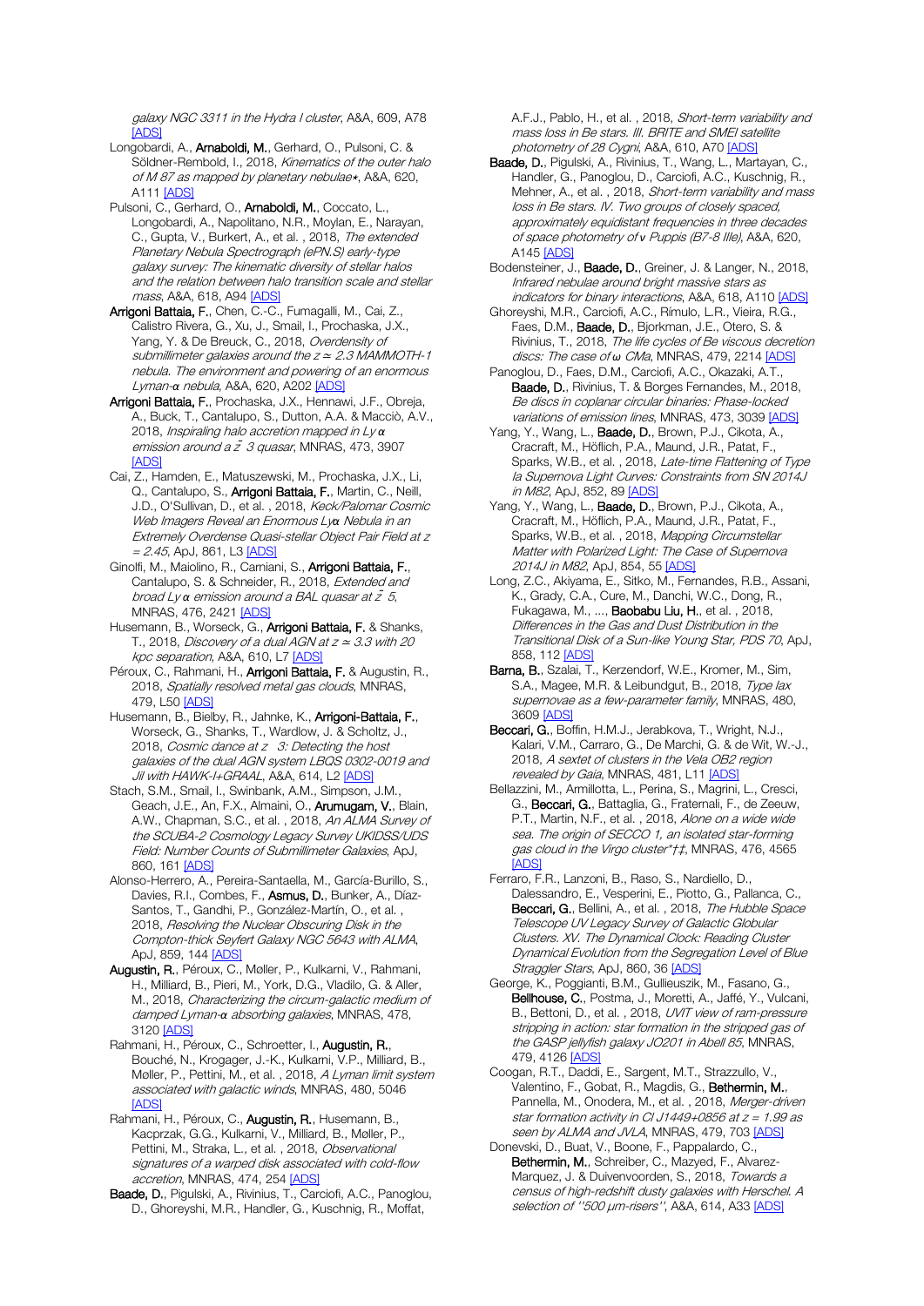galaxy NGC 3311 in the Hydra I cluster, A&A, 609, A78 [\[ADS\]](https://ui.adsabs.harvard.edu/#abs/2018A%26A...609A..78B)

- Longobardi, A., Arnaboldi, M., Gerhard, O., Pulsoni, C. & Söldner-Rembold, I., 2018, Kinematics of the outer halo of M 87 as mapped by planetary nebulae\*, A&A, 620, A11[1 \[ADS\]](https://ui.adsabs.harvard.edu/#abs/2018A%26A...620A.111L)
- Pulsoni, C., Gerhard, O., Arnaboldi, M., Coccato, L., Longobardi, A., Napolitano, N.R., Moylan, E., Narayan, C., Gupta, V., Burkert, A., et al., 2018, The extended Planetary Nebula Spectrograph (ePN.S) early-type galaxy survey: The kinematic diversity of stellar halos and the relation between halo transition scale and stellar mass, A&A, 618, A9[4 \[ADS\]](https://ui.adsabs.harvard.edu/#abs/2018A%26A...618A..94P)
- Arrigoni Battaia, F., Chen, C.-C., Fumagalli, M., Cai, Z. Calistro Rivera, G., Xu, J., Smail, I., Prochaska, J.X., Yang, Y. & De Breuck, C., 2018, Overdensity of submillimeter galaxies around the  $z \approx 2.3$  MAMMOTH-1 nebula. The environment and powering of an enormous Lyman-*α* nebula, A&A, 620, A202 [\[ADS\]](https://ui.adsabs.harvard.edu/#abs/2018A%26A...620A.202A)
- Arrigoni Battaia, F., Prochaska, J.X., Hennawi, J.F., Obreja, A., Buck, T., Cantalupo, S., Dutton, A.A. & Macciò, A.V., 2018, Inspiraling halo accretion mapped in Ly *α* emission around a  $\tilde{z}$  3 quasar, MNRAS, 473, 3907 [\[ADS\]](https://ui.adsabs.harvard.edu/#abs/2018MNRAS.473.3907A)
- Cai, Z., Hamden, E., Matuszewski, M., Prochaska, J.X., Li, Q., Cantalupo, S., Arrigoni Battaia, F., Martin, C., Neill, J.D., O'Sullivan, D., et al. , 2018, Keck/Palomar Cosmic Web Imagers Reveal an Enormous Ly*α* Nebula in an Extremely Overdense Quasi-stellar Object Pair Field at z  $= 2.45$ , ApJ, 861, L3 [\[ADS\]](https://ui.adsabs.harvard.edu/#abs/2018ApJ...861L...3C)
- Ginolfi, M., Maiolino, R., Carniani, S., Arrigoni Battaia, F., Cantalupo, S. & Schneider, R., 2018, Extended and broad Ly *α* emission around a BAL quasar at z *̃*5, MNRAS, 476, 2421 [\[ADS\]](https://ui.adsabs.harvard.edu/#abs/2018MNRAS.476.2421G)
- Husemann, B., Worseck, G., **Arrigoni Battaia, F.** & Shanks, T., 2018, Discovery of a dual AGN at  $z \approx 3.3$  with 20 kpc separation, A&A, 610, L[7 \[ADS\]](https://ui.adsabs.harvard.edu/#abs/2018A%26A...610L...7H)
- Péroux, C., Rahmani, H., **Arrigoni Battaia, F.** & Augustin, R., 2018, Spatially resolved metal gas clouds, MNRAS, 479, L5[0 \[ADS\]](https://ui.adsabs.harvard.edu/#abs/2018MNRAS.479L..50P)
- Husemann, B., Bielby, R., Jahnke, K., Arrigoni-Battaia, F., Worseck, G., Shanks, T., Wardlow, J. & Scholtz, J., 2018, Cosmic dance at z 3: Detecting the host galaxies of the dual AGN system LBQS 0302-0019 and Jil with HAWK-I+GRAAL, A&A, 614, L2 <u>[ADS]</u>
- Stach, S.M., Smail, I., Swinbank, A.M., Simpson, J.M., Geach, J.E., An, F.X., Almaini, O., Arumugam, V., Blain, A.W., Chapman, S.C., et al., 2018, An ALMA Survey of the SCUBA-2 Cosmology Legacy Survey UKIDSS/UDS Field: Number Counts of Submillimeter Galaxies, ApJ, 860, 16[1 \[ADS\]](https://ui.adsabs.harvard.edu/#abs/2018ApJ...860..161S)
- Alonso-Herrero, A., Pereira-Santaella, M., García-Burillo, S., Davies, R.I., Combes, F., Asmus, D., Bunker, A., Díaz-Santos, T., Gandhi, P., González-Martín, O., et al. , 2018, Resolving the Nuclear Obscuring Disk in the Compton-thick Seyfert Galaxy NGC 5643 with ALMA, ApJ, 859, 14[4 \[ADS\]](https://ui.adsabs.harvard.edu/#abs/2018ApJ...859..144A)
- Augustin, R., Péroux, C., Møller, P., Kulkarni, V., Rahmani, H., Milliard, B., Pieri, M., York, D.G., Vladilo, G. & Aller, M., 2018, Characterizing the circum-galactic medium of damped Lyman-*α* absorbing galaxies, MNRAS, 478, 3120 [\[ADS\]](https://ui.adsabs.harvard.edu/#abs/2018MNRAS.478.3120A)
- Rahmani, H., Péroux, C., Schroetter, I., Augustin, R., Bouché, N., Krogager, J.-K., Kulkarni, V.P., Milliard, B., Møller, P., Pettini, M., et al., 2018, A Lyman limit system associated with galactic winds, MNRAS, 480, 5046 [\[ADS\]](https://ui.adsabs.harvard.edu/#abs/2018MNRAS.480.5046R)
- Rahmani, H., Péroux, C., Augustin, R., Husemann, B., Kacprzak, G.G., Kulkarni, V., Milliard, B., Møller, P., Pettini, M., Straka, L., et al., 2018, Observational signatures of a warped disk associated with cold-flow accretion, MNRAS, 474, 25[4 \[ADS\]](https://ui.adsabs.harvard.edu/#abs/2018MNRAS.474..254R)
- Baade, D., Pigulski, A., Rivinius, T., Carciofi, A.C., Panoglou, D., Ghoreyshi, M.R., Handler, G., Kuschnig, R., Moffat,

A.F.J., Pablo, H., et al., 2018, Short-term variability and mass loss in Be stars. III. BRITE and SMEI satellite photometry of 28 Cygni, A&A, 610, A70 [\[ADS\]](https://ui.adsabs.harvard.edu/#abs/2018A%26A...610A..70B)

- Baade, D., Pigulski, A., Rivinius, T., Wang, L., Martayan, C., Handler, G., Panoglou, D., Carciofi, A.C., Kuschnig, R., Mehner, A., et al. , 2018, Short-term variability and mass loss in Be stars. IV. Two groups of closely spaced, approximately equidistant frequencies in three decades of space photometry of *ν* Puppis (B7-8 IIIe), A&A, 620, A14[5 \[ADS\]](https://ui.adsabs.harvard.edu/#abs/2018A%26A...620A.145B)
- Bodensteiner, J., Baade, D., Greiner, J. & Langer, N., 2018, Infrared nebulae around bright massive stars as indicators for binary interactions, A&A, 618, A11[0 \[ADS\]](https://ui.adsabs.harvard.edu/#abs/2018A%26A...618A.110B)
- Ghoreyshi, M.R., Carciofi, A.C., Rímulo, L.R., Vieira, R.G., Faes, D.M., Baade, D., Bjorkman, J.E., Otero, S. & Rivinius, T., 2018, The life cycles of Be viscous decretion discs: The case of *ω CMa*, MNRAS, 479, 221[4 \[ADS\]](https://ui.adsabs.harvard.edu/#abs/2018MNRAS.479.2214G)
- Panoglou, D., Faes, D.M., Carciofi, A.C., Okazaki, A.T., Baade, D., Rivinius, T. & Borges Fernandes, M., 2018, Be discs in coplanar circular binaries: Phase-locked variations of emission lines, MNRAS, 473, 303[9 \[ADS\]](https://ui.adsabs.harvard.edu/#abs/2018MNRAS.473.3039P)
- Yang, Y., Wang, L., Baade, D., Brown, P.J., Cikota, A., Cracraft, M., Höflich, P.A., Maund, J.R., Patat, F., Sparks, W.B., et al. , 2018, Late-time Flattening of Type la Supernova Light Curves: Constraints from SN 2014J in M82, ApJ, 852, 8[9 \[ADS\]](https://ui.adsabs.harvard.edu/#abs/2018ApJ...852...89Y)
- Yang, Y., Wang, L., Baade, D., Brown, P.J., Cikota, A., Cracraft, M., Höflich, P.A., Maund, J.R., Patat, F., Sparks, W.B., et al., 2018, Mapping Circumstellar Matter with Polarized Light: The Case of Supernova 2014J in M82, ApJ, 854, 55 [\[ADS\]](https://ui.adsabs.harvard.edu/#abs/2018ApJ...854...55Y)
- Long, Z.C., Akiyama, E., Sitko, M., Fernandes, R.B., Assani, K., Grady, C.A., Cure, M., Danchi, W.C., Dong, R., Fukagawa, M., ..., Baobabu Liu, H., et al. , 2018, Differences in the Gas and Dust Distribution in the Transitional Disk of a Sun-like Young Star, PDS 70, ApJ, 858, 112 [\[ADS\]](https://ui.adsabs.harvard.edu/#abs/2018ApJ...858..112L)
- Barna, B., Szalai, T., Kerzendorf, W.E., Kromer, M., Sim, S.A., Magee, M.R. & Leibundgut, B., 2018, Type lax supernovae as a few-parameter family, MNRAS, 480, 3609 [\[ADS\]](https://ui.adsabs.harvard.edu/#abs/2018MNRAS.480.3609B)
- Beccari, G., Boffin, H.M.J., Jerabkova, T., Wright, N.J., Kalari, V.M., Carraro, G., De Marchi, G. & de Wit, W.-J., 2018, A sextet of clusters in the Vela OB2 region revealed by Gaia, MNRAS, 481, L11 [\[ADS\]](https://ui.adsabs.harvard.edu/#abs/2018MNRAS.481L..11B)
- Bellazzini, M., Armillotta, L., Perina, S., Magrini, L., Cresci, G., Beccari, G., Battaglia, G., Fraternali, F., de Zeeuw, P.T., Martin, N.F., et al. , 2018, Alone on a wide wide sea. The origin of SECCO 1, an isolated star-forming gas cloud in the Virgo cluster\*†‡, MNRAS, 476, 4565 [\[ADS\]](https://ui.adsabs.harvard.edu/#abs/2018MNRAS.476.4565B)
- Ferraro, F.R., Lanzoni, B., Raso, S., Nardiello, D., Dalessandro, E., Vesperini, E., Piotto, G., Pallanca, C., Beccari, G., Bellini, A., et al., 2018, The Hubble Space Telescope UV Legacy Survey of Galactic Globular Clusters. XV. The Dynamical Clock: Reading Cluster Dynamical Evolution from the Segregation Level of Blue Straggler Stars, ApJ, 860, 3[6 \[ADS\]](https://ui.adsabs.harvard.edu/#abs/2018ApJ...860...36F)
- George, K., Poggianti, B.M., Gullieuszik, M., Fasano, G., Bellhouse, C., Postma, J., Moretti, A., Jaffé, Y., Vulcani, B., Bettoni, D., et al., 2018, UVIT view of ram-pressure stripping in action: star formation in the stripped gas of the GASP jellyfish galaxy JO201 in Abell 85, MNRAS, 479, 4126 [\[ADS\]](https://ui.adsabs.harvard.edu/#abs/2018MNRAS.479.4126G)
- Coogan, R.T., Daddi, E., Sargent, M.T., Strazzullo, V., Valentino, F., Gobat, R., Magdis, G., Bethermin, M., Pannella, M., Onodera, M., et al., 2018, Merger-driven star formation activity in CI J1449+0856 at  $z = 1.99$  as seen by ALMA and JVLA, MNRAS, 479, 70[3 \[ADS\]](https://ui.adsabs.harvard.edu/#abs/2018MNRAS.479..703C)
- Donevski, D., Buat, V., Boone, F., Pappalardo, C., Bethermin, M., Schreiber, C., Mazyed, F., Alvarez-Marquez, J. & Duivenvoorden, S., 2018, Towards a census of high-redshift dusty galaxies with Herschel. A selection of "500 μm-risers", A&A, 614, A3[3 \[ADS\]](https://ui.adsabs.harvard.edu/#abs/2018A%26A...614A..33D)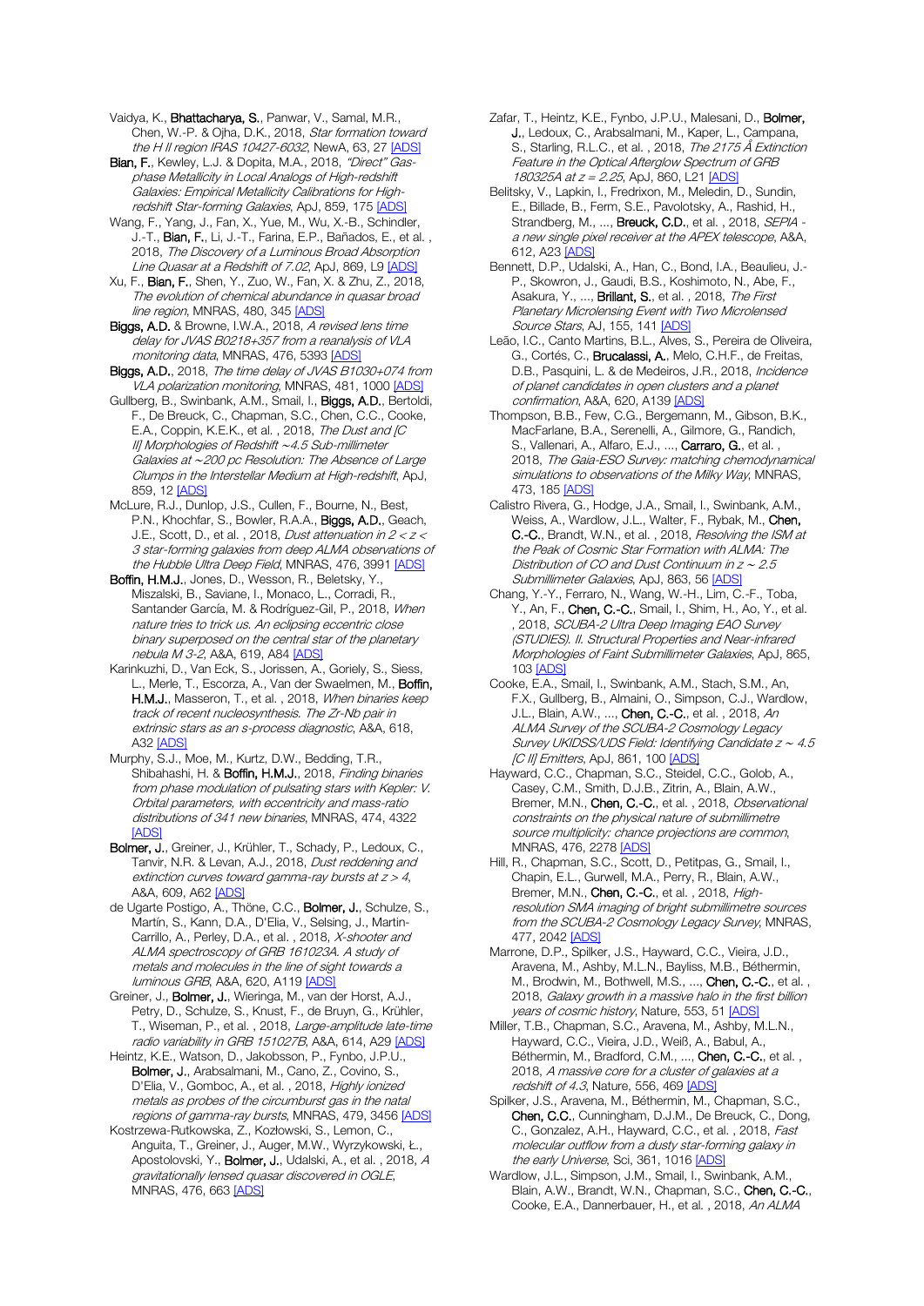Vaidya, K., Bhattacharya, S., Panwar, V., Samal, M.R., Chen, W.-P. & Ojha, D.K., 2018, Star formation toward the H II region IRAS 10427-6032, NewA, 63, 27 [\[ADS\]](https://ui.adsabs.harvard.edu/#abs/2018NewA...63...27V)

Bian, F., Kewley, L.J. & Dopita, M.A., 2018, "Direct" Gasphase Metallicity in Local Analogs of High-redshift Galaxies: Empirical Metallicity Calibrations for High-redshift Star-forming Galaxies, ApJ, 859, 17[5 \[ADS\]](https://ui.adsabs.harvard.edu/#abs/2018ApJ...859..175B)

Wang, F., Yang, J., Fan, X., Yue, M., Wu, X.-B., Schindler, J.-T., Bian, F., Li, J.-T., Farina, E.P., Bañados, E., et al., 2018, The Discovery of a Luminous Broad Absorption Line Quasar at a Redshift of 7.02, ApJ, 869, L[9 \[ADS\]](https://ui.adsabs.harvard.edu/#abs/2018ApJ...869L...9W)

Xu, F., Bian, F., Shen, Y., Zuo, W., Fan, X. & Zhu, Z., 2018, The evolution of chemical abundance in quasar broad line region, MNRAS, 480, 345 [\[ADS\]](https://ui.adsabs.harvard.edu/#abs/2018MNRAS.480..345X)

Biggs, A.D. & Browne, I.W.A., 2018, A revised lens time delay for JVAS B0218+357 from a reanalysis of VLA monitoring data, MNRAS, 476, 539[3 \[ADS\]](https://ui.adsabs.harvard.edu/#abs/2018MNRAS.476.5393B)

Biggs, A.D., 2018, The time delay of JVAS B1030+074 from VLA polarization monitoring, MNRAS, 481, 100[0 \[ADS\]](https://ui.adsabs.harvard.edu/#abs/2018MNRAS.481.1000B)

Gullberg, B., Swinbank, A.M., Smail, I., Biggs, A.D., Bertoldi, F., De Breuck, C., Chapman, S.C., Chen, C.C., Cooke, E.A., Coppin, K.E.K., et al., 2018, The Dust and [C II] Morphologies of Redshift ∼4.5 Sub-millimeter Galaxies at ∼200 pc Resolution: The Absence of Large Clumps in the Interstellar Medium at High-redshift, ApJ, 859, 12 [\[ADS\]](https://ui.adsabs.harvard.edu/#abs/2018ApJ...859...12G)

McLure, R.J., Dunlop, J.S., Cullen, F., Bourne, N., Best, P.N., Khochfar, S., Bowler, R.A.A., Biggs, A.D., Geach, J.E., Scott, D., et al. , 2018, Dust attenuation in 2 < z < 3 star-forming galaxies from deep ALMA observations of the Hubble Ultra Deep Field, MNRAS, 476, 399[1 \[ADS\]](https://ui.adsabs.harvard.edu/#abs/2018MNRAS.476.3991M)

Boffin, H.M.J., Jones, D., Wesson, R., Beletsky, Y., Miszalski, B., Saviane, I., Monaco, L., Corradi, R., Santander García, M. & Rodríguez-Gil, P., 2018, When nature tries to trick us. An eclipsing eccentric close binary superposed on the central star of the planetary nebula M 3-2, A&A, 619, A8[4 \[ADS\]](https://ui.adsabs.harvard.edu/#abs/2018A%26A...619A..84B)

Karinkuzhi, D., Van Eck, S., Jorissen, A., Goriely, S., Siess, L., Merle, T., Escorza, A., Van der Swaelmen, M., Boffin, H.M.J., Masseron, T., et al., 2018, When binaries keep track of recent nucleosynthesis. The Zr-Nb pair in extrinsic stars as an s-process diagnostic, A&A, 618, A32 [\[ADS\]](https://ui.adsabs.harvard.edu/#abs/2018A%26A...618A..32K)

Murphy, S.J., Moe, M., Kurtz, D.W., Bedding, T.R., Shibahashi, H. & Boffin, H.M.J., 2018, Finding binaries from phase modulation of pulsating stars with Kepler: V. Orbital parameters, with eccentricity and mass-ratio distributions of 341 new binaries, MNRAS, 474, 4322 [\[ADS\]](https://ui.adsabs.harvard.edu/#abs/2018MNRAS.474.4322M)

Bolmer, J., Greiner, J., Krühler, T., Schady, P., Ledoux, C., Tanvir, N.R. & Levan, A.J., 2018, Dust reddening and extinction curves toward gamma-ray bursts at  $z > 4$ , A&A, 609, A6[2 \[ADS\]](https://ui.adsabs.harvard.edu/#abs/2018A%26A...609A..62B)

de Ugarte Postigo, A., Thöne, C.C., Bolmer, J., Schulze, S., Martín, S., Kann, D.A., D'Elia, V., Selsing, J., Martin-Carrillo, A., Perley, D.A., et al., 2018, X-shooter and ALMA spectroscopy of GRB 161023A. A study of metals and molecules in the line of sight towards a luminous GRB, A&A, 620, A119 [\[ADS\]](https://ui.adsabs.harvard.edu/#abs/2018A%26A...620A.119D)

Greiner, J., Bolmer, J., Wieringa, M., van der Horst, A.J., Petry, D., Schulze, S., Knust, F., de Bruyn, G., Krühler, T., Wiseman, P., et al., 2018, Large-amplitude late-time radio variability in GRB 151027B, A&A, 614, A2[9 \[ADS\]](https://ui.adsabs.harvard.edu/#abs/2018A%26A...614A..29G)

Heintz, K.E., Watson, D., Jakobsson, P., Fynbo, J.P.U., Bolmer, J., Arabsalmani, M., Cano, Z., Covino, S., D'Elia, V., Gomboc, A., et al., 2018, Highly ionized metals as probes of the circumburst gas in the natal regions of gamma-ray bursts, MNRAS, 479, 3456 [\[ADS\]](https://ui.adsabs.harvard.edu/#abs/2018MNRAS.479.3456H)

Kostrzewa-Rutkowska, Z., Kozłowski, S., Lemon, C., Anguita, T., Greiner, J., Auger, M.W., Wyrzykowski, Ł., Apostolovski, Y., Bolmer, J., Udalski, A., et al., 2018, A gravitationally lensed quasar discovered in OGLE, MNRAS, 476, 66[3 \[ADS\]](https://ui.adsabs.harvard.edu/#abs/2018MNRAS.476..663K)

Zafar, T., Heintz, K.E., Fynbo, J.P.U., Malesani, D., Bolmer, J., Ledoux, C., Arabsalmani, M., Kaper, L., Campana, S., Starling, R.L.C., et al. , 2018, The 2175 Å Extinction Feature in the Optical Afterglow Spectrum of GRB 180325A at z = 2.25, ApJ, 860, L2[1 \[ADS\]](https://ui.adsabs.harvard.edu/#abs/2018ApJ...860L..21Z)

Belitsky, V., Lapkin, I., Fredrixon, M., Meledin, D., Sundin, E., Billade, B., Ferm, S.E., Pavolotsky, A., Rashid, H., Strandberg, M., ..., **Breuck, C.D.**, et al., 2018, *SEPIA* a new single pixel receiver at the APEX telescope, A&A, 612, A2[3 \[ADS\]](https://ui.adsabs.harvard.edu/#abs/2018A%26A...612A..23B)

Bennett, D.P., Udalski, A., Han, C., Bond, I.A., Beaulieu, J.- P., Skowron, J., Gaudi, B.S., Koshimoto, N., Abe, F., Asakura, Y., ..., **Brillant, S.**, et al., 2018, *The First* Planetary Microlensing Event with Two Microlensed Source Stars, AJ, 155, 141 [\[ADS\]](https://ui.adsabs.harvard.edu/#abs/2018AJ....155..141B)

Leão, I.C., Canto Martins, B.L., Alves, S., Pereira de Oliveira, G., Cortés, C., Brucalassi, A., Melo, C.H.F., de Freitas, D.B., Pasquini, L. & de Medeiros, J.R., 2018, *Incidence* of planet candidates in open clusters and a planet confirmation, A&A, 620, A13[9 \[ADS\]](https://ui.adsabs.harvard.edu/#abs/2018A%26A...620A.139L)

Thompson, B.B., Few, C.G., Bergemann, M., Gibson, B.K., MacFarlane, B.A., Serenelli, A., Gilmore, G., Randich, S., Vallenari, A., Alfaro, E.J., ..., Carraro, G., et al. , 2018, The Gaia-ESO Survey: matching chemodynamical simulations to observations of the Milky Way, MNRAS, 473, 185 [\[ADS\]](https://ui.adsabs.harvard.edu/#abs/2018MNRAS.473..185T)

Calistro Rivera, G., Hodge, J.A., Smail, I., Swinbank, A.M., Weiss, A., Wardlow, J.L., Walter, F., Rybak, M., Chen, C.-C., Brandt, W.N., et al., 2018, Resolving the ISM at the Peak of Cosmic Star Formation with ALMA: The Distribution of CO and Dust Continuum in z <sup>∼</sup> 2.5 Submillimeter Galaxies, ApJ, 863, 56 [\[ADS\]](https://ui.adsabs.harvard.edu/#abs/2018ApJ...863...56C)

Chang, Y.-Y., Ferraro, N., Wang, W.-H., Lim, C.-F., Toba, Y., An, F., Chen, C.-C., Smail, I., Shim, H., Ao, Y., et al. , 2018, SCUBA-2 Ultra Deep Imaging EAO Survey (STUDIES). II. Structural Properties and Near-infrared Morphologies of Faint Submillimeter Galaxies, ApJ, 865, 10[3 \[ADS\]](https://ui.adsabs.harvard.edu/#abs/2018ApJ...865..103C)

Cooke, E.A., Smail, I., Swinbank, A.M., Stach, S.M., An, F.X., Gullberg, B., Almaini, O., Simpson, C.J., Wardlow, J.L., Blain, A.W., ..., Chen, C.-C., et al., 2018, An ALMA Survey of the SCUBA-2 Cosmology Legacy Survey UKIDSS/UDS Field: Identifying Candidate z <sup>∼</sup> 4.5 [C II] Emitters, ApJ, 861, 10[0 \[ADS\]](https://ui.adsabs.harvard.edu/#abs/2018ApJ...861..100C)

Hayward, C.C., Chapman, S.C., Steidel, C.C., Golob, A., Casey, C.M., Smith, D.J.B., Zitrin, A., Blain, A.W., Bremer, M.N., Chen, C.-C., et al., 2018, Observational constraints on the physical nature of submillimetre source multiplicity: chance projections are common, MNRAS, 476, 227[8 \[ADS\]](https://ui.adsabs.harvard.edu/#abs/2018MNRAS.476.2278H)

Hill, R., Chapman, S.C., Scott, D., Petitpas, G., Smail, I., Chapin, E.L., Gurwell, M.A., Perry, R., Blain, A.W., Bremer, M.N., Chen, C.-C., et al. , 2018, Highresolution SMA imaging of bright submillimetre sources from the SCUBA-2 Cosmology Legacy Survey, MNRAS, 477, 204[2 \[ADS\]](https://ui.adsabs.harvard.edu/#abs/2018MNRAS.477.2042H)

Marrone, D.P., Spilker, J.S., Hayward, C.C., Vieira, J.D., Aravena, M., Ashby, M.L.N., Bayliss, M.B., Béthermin, M., Brodwin, M., Bothwell, M.S., ..., Chen, C.-C., et al., 2018, Galaxy growth in a massive halo in the first billion years of cosmic history, Nature, 553, 5[1 \[ADS\]](https://ui.adsabs.harvard.edu/#abs/2018Natur.553...51M)

Miller, T.B., Chapman, S.C., Aravena, M., Ashby, M.L.N., Hayward, C.C., Vieira, J.D., Weiß, A., Babul, A., Béthermin, M., Bradford, C.M., ..., Chen, C.-C., et al., 2018, A massive core for a cluster of galaxies at a redshift of 4.3, Nature, 556, 46[9 \[ADS\]](https://ui.adsabs.harvard.edu/#abs/2018Natur.556..469M)

Spilker, J.S., Aravena, M., Béthermin, M., Chapman, S.C., Chen, C.C., Cunningham, D.J.M., De Breuck, C., Dong, C., Gonzalez, A.H., Hayward, C.C., et al. , 2018, Fast molecular outflow from a dusty star-forming galaxy in the early Universe, Sci, 361, 1016 [\[ADS\]](https://ui.adsabs.harvard.edu/#abs/2018Sci...361.1016S)

Wardlow, J.L., Simpson, J.M., Smail, I., Swinbank, A.M., Blain, A.W., Brandt, W.N., Chapman, S.C., Chen, C.-C., Cooke, E.A., Dannerbauer, H., et al. , 2018, An ALMA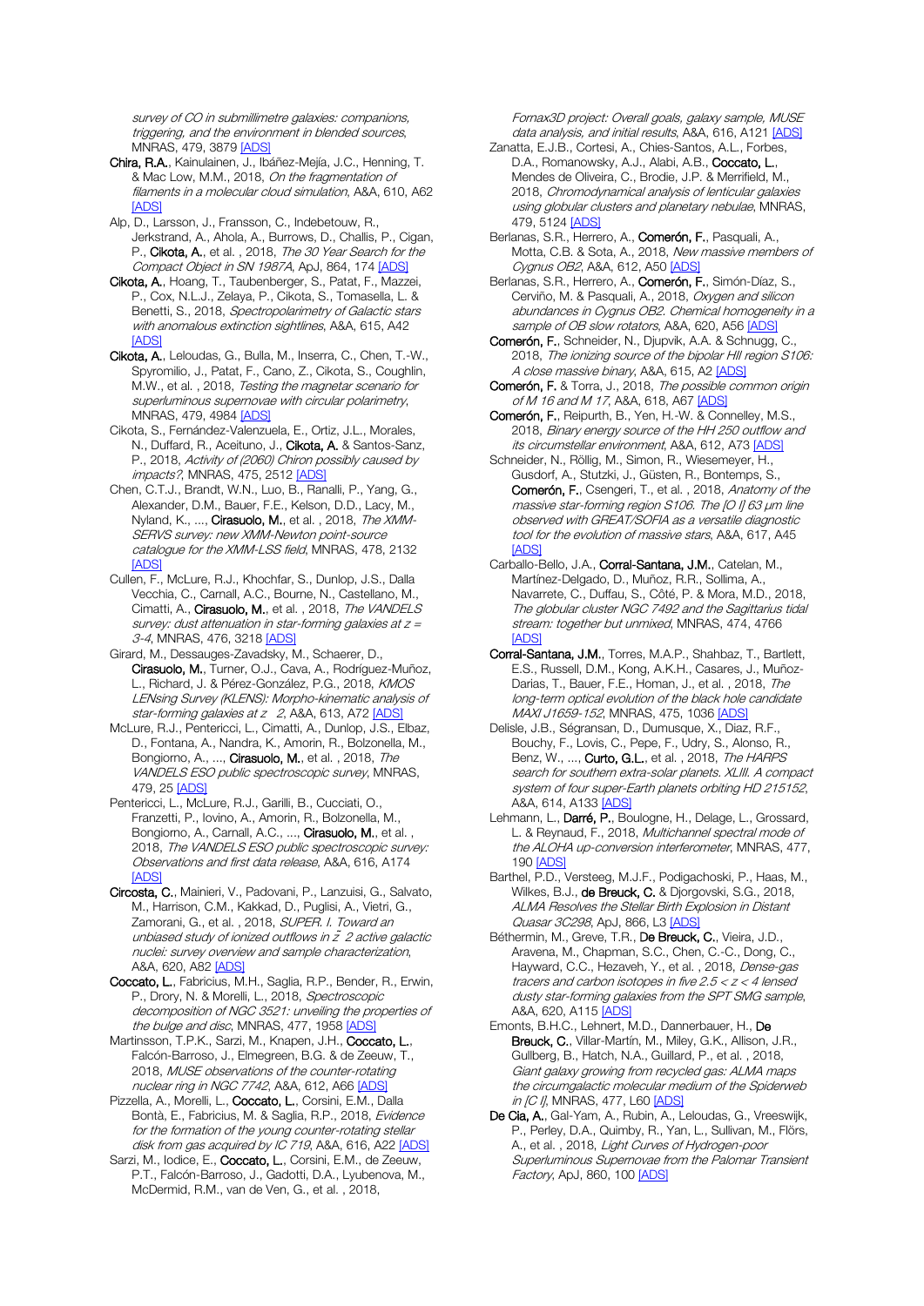survey of CO in submillimetre galaxies: companions, triggering, and the environment in blended sources, MNRAS, 479, 3879 [\[ADS\]](https://ui.adsabs.harvard.edu/#abs/2018MNRAS.479.3879W)

Chira, R.A., Kainulainen, J., Ibáñez-Mejía, J.C., Henning, T. & Mac Low, M.M., 2018, On the fragmentation of filaments in a molecular cloud simulation, A&A, 610, A62 [\[ADS\]](https://ui.adsabs.harvard.edu/#abs/2018A%26A...610A..62C)

Alp, D., Larsson, J., Fransson, C., Indebetouw, R., Jerkstrand, A., Ahola, A., Burrows, D., Challis, P., Cigan, P., Cikota, A., et al., 2018, The 30 Year Search for the Compact Object in SN 1987A, ApJ, 864, 17[4 \[ADS\]](https://ui.adsabs.harvard.edu/#abs/2018ApJ...864..174A)

Cikota, A., Hoang, T., Taubenberger, S., Patat, F., Mazzei, P., Cox, N.L.J., Zelaya, P., Cikota, S., Tomasella, L. & Benetti, S., 2018, Spectropolarimetry of Galactic stars with anomalous extinction sightlines, A&A, 615, A42 [\[ADS\]](https://ui.adsabs.harvard.edu/#abs/2018A%26A...615A..42C)

Cikota, A., Leloudas, G., Bulla, M., Inserra, C., Chen, T.-W., Spyromilio, J., Patat, F., Cano, Z., Cikota, S., Coughlin, M.W., et al., 2018, Testing the magnetar scenario for superluminous supernovae with circular polarimetry, MNRAS, 479, 4984 [\[ADS\]](https://ui.adsabs.harvard.edu/#abs/2018MNRAS.479.4984C)

Cikota, S., Fernández-Valenzuela, E., Ortiz, J.L., Morales, N., Duffard, R., Aceituno, J., Cikota, A. & Santos-Sanz, P., 2018, Activity of (2060) Chiron possibly caused by impacts?, MNRAS, 475, 2512 [\[ADS\]](https://ui.adsabs.harvard.edu/#abs/2018MNRAS.475.2512C)

Chen, C.T.J., Brandt, W.N., Luo, B., Ranalli, P., Yang, G., Alexander, D.M., Bauer, F.E., Kelson, D.D., Lacy, M., Nyland, K., ..., Cirasuolo, M., et al., 2018, The XMM-SERVS survey: new XMM-Newton point-source catalogue for the XMM-LSS field, MNRAS, 478, 2132 [\[ADS\]](https://ui.adsabs.harvard.edu/#abs/2018MNRAS.478.2132C)

Cullen, F., McLure, R.J., Khochfar, S., Dunlop, J.S., Dalla Vecchia, C., Carnall, A.C., Bourne, N., Castellano, M., Cimatti, A., Cirasuolo, M., et al., 2018, The VANDELS survey: dust attenuation in star-forming galaxies at  $z =$ 3-4, MNRAS, 476, 321[8 \[ADS\]](https://ui.adsabs.harvard.edu/#abs/2018MNRAS.476.3218C)

Girard, M., Dessauges-Zavadsky, M., Schaerer, D., Cirasuolo, M., Turner, O.J., Cava, A., Rodríguez-Muñoz, L., Richard, J. & Pérez-González, P.G., 2018, KMOS LENsing Survey (KLENS): Morpho-kinematic analysis of star-forming galaxies at z 2, A&A, 613, A72 [\[ADS\]](https://ui.adsabs.harvard.edu/#abs/2018A%26A...613A..72G)

McLure, R.J., Pentericci, L., Cimatti, A., Dunlop, J.S., Elbaz, D., Fontana, A., Nandra, K., Amorin, R., Bolzonella, M., Bongiorno, A., ..., Cirasuolo, M., et al., 2018, The VANDELS ESO public spectroscopic survey, MNRAS, 479, 25 [\[ADS\]](https://ui.adsabs.harvard.edu/#abs/2018MNRAS.479...25M)

Pentericci, L., McLure, R.J., Garilli, B., Cucciati, O., Franzetti, P., Iovino, A., Amorin, R., Bolzonella, M., Bongiorno, A., Carnall, A.C., ..., Cirasuolo, M., et al. , 2018, The VANDELS ESO public spectroscopic survey: Observations and first data release, A&A, 616, A174 [\[ADS\]](https://ui.adsabs.harvard.edu/#abs/2018A%26A...616A.174P)

Circosta, C., Mainieri, V., Padovani, P., Lanzuisi, G., Salvato, M., Harrison, C.M., Kakkad, D., Puglisi, A., Vietri, G., Zamorani, G., et al., 2018, SUPER. I. Toward an unbiased study of ionized outflows in z *̃*2 active galactic nuclei: survey overview and sample characterization, A&A, 620, A8[2 \[ADS\]](https://ui.adsabs.harvard.edu/#abs/2018A%26A...620A..82C)

Coccato, L., Fabricius, M.H., Saglia, R.P., Bender, R., Erwin, P., Drory, N. & Morelli, L., 2018, Spectroscopic decomposition of NGC 3521: unveiling the properties of the bulge and disc, MNRAS, 477, 1958 [\[ADS\]](https://ui.adsabs.harvard.edu/#abs/2018MNRAS.477.1958C)

Martinsson, T.P.K., Sarzi, M., Knapen, J.H., Coccato, L., Falcón-Barroso, J., Elmegreen, B.G. & de Zeeuw, T., 2018, MUSE observations of the counter-rotating nuclear ring in NGC 7742, A&A, 612, A6[6 \[ADS\]](https://ui.adsabs.harvard.edu/#abs/2018A%26A...612A..66M)

Pizzella, A., Morelli, L., Coccato, L., Corsini, E.M., Dalla Bontà, E., Fabricius, M. & Saglia, R.P., 2018, Evidence for the formation of the young counter-rotating stellar disk from gas acquired by IC 719, A&A, 616, A2[2 \[ADS\]](https://ui.adsabs.harvard.edu/#abs/2018A%26A...616A..22P)

Sarzi, M., Iodice, E., Coccato, L., Corsini, E.M., de Zeeuw, P.T., Falcón-Barroso, J., Gadotti, D.A., Lyubenova, M., McDermid, R.M., van de Ven, G., et al. , 2018,

Fornax3D project: Overall goals, galaxy sample, MUSE data analysis, and initial results, A&A, 616, A12[1 \[ADS\]](https://ui.adsabs.harvard.edu/#abs/2018A%26A...616A.121S)

- Zanatta, E.J.B., Cortesi, A., Chies-Santos, A.L., Forbes, D.A., Romanowsky, A.J., Alabi, A.B., Coccato, L., Mendes de Oliveira, C., Brodie, J.P. & Merrifield, M., 2018, Chromodynamical analysis of lenticular galaxies using globular clusters and planetary nebulae, MNRAS, 479, 512[4 \[ADS\]](https://ui.adsabs.harvard.edu/#abs/2018MNRAS.479.5124Z)
- Berlanas, S.R., Herrero, A., Comerón, F., Pasquali, A., Motta, C.B. & Sota, A., 2018, New massive members of Cygnus OB2, A&A, 612, A5[0 \[ADS\]](https://ui.adsabs.harvard.edu/#abs/2018A%26A...612A..50B)
- Berlanas, S.R., Herrero, A., Comerón, F., Simón-Díaz, S., Cerviño, M. & Pasquali, A., 2018, Oxygen and silicon abundances in Cygnus OB2. Chemical homogeneity in a sample of OB slow rotators, A&A, 620, A5[6 \[ADS\]](https://ui.adsabs.harvard.edu/#abs/2018A%26A...620A..56B)
- Comerón, F., Schneider, N., Djupvik, A.A. & Schnugg, C. 2018, The ionizing source of the bipolar HII region S106: A close massive binary, A&A, 615, A[2 \[ADS\]](https://ui.adsabs.harvard.edu/#abs/2018A%26A...615A...2C)
- Comerón, F. & Torra, J., 2018, The possible common origin of M 16 and M 17, A&A, 618, A6[7 \[ADS\]](https://ui.adsabs.harvard.edu/#abs/2018A%26A...618A..67C)
- Comerón, F., Reipurth, B., Yen, H.-W. & Connelley, M.S., 2018, Binary energy source of the HH 250 outflow and its circumstellar environment, A&A, 612, A7[3 \[ADS\]](https://ui.adsabs.harvard.edu/#abs/2018A%26A...612A..73C)
- Schneider, N., Röllig, M., Simon, R., Wiesemeyer, H., Gusdorf, A., Stutzki, J., Güsten, R., Bontemps, S., Comerón, F., Csengeri, T., et al., 2018, Anatomy of the massive star-forming region S106. The [O I] 63  $\mu$ m line observed with GREAT/SOFIA as a versatile diagnostic tool for the evolution of massive stars, A&A, 617, A45 [\[ADS\]](https://ui.adsabs.harvard.edu/#abs/2018A%26A...617A..45S)
- Carballo-Bello, J.A., Corral-Santana, J.M., Catelan, M., Martínez-Delgado, D., Muñoz, R.R., Sollima, A., Navarrete, C., Duffau, S., Côté, P. & Mora, M.D., 2018, The globular cluster NGC 7492 and the Sagittarius tidal stream: together but unmixed, MNRAS, 474, 4766 [\[ADS\]](https://ui.adsabs.harvard.edu/#abs/2018MNRAS.474.4766C)
- Corral-Santana, J.M., Torres, M.A.P., Shahbaz, T., Bartlett, E.S., Russell, D.M., Kong, A.K.H., Casares, J., Muñoz-Darias, T., Bauer, F.E., Homan, J., et al. , 2018, The long-term optical evolution of the black hole candidate MAXI J1659-152, MNRAS, 475, 1036 [ADS

Delisle, J.B., Ségransan, D., Dumusque, X., Diaz, R.F. Bouchy, F., Lovis, C., Pepe, F., Udry, S., Alonso, R., Benz, W., ..., Curto, G.L., et al., 2018, The HARPS search for southern extra-solar planets. XLIII. A compact system of four super-Earth planets orbiting HD 215152, A&A, 614, A13[3 \[ADS\]](https://ui.adsabs.harvard.edu/#abs/2018A%26A...614A.133D)

- Lehmann, L., Darré, P., Boulogne, H., Delage, L., Grossard, L. & Reynaud, F., 2018, Multichannel spectral mode of the ALOHA up-conversion interferometer, MNRAS, 477, 19[0 \[ADS\]](https://ui.adsabs.harvard.edu/#abs/2018MNRAS.477..190L)
- Barthel, P.D., Versteeg, M.J.F., Podigachoski, P., Haas, M., Wilkes, B.J., de Breuck, C. & Djorgovski, S.G., 2018, ALMA Resolves the Stellar Birth Explosion in Distant Quasar 3C298, ApJ, 866, L[3 \[ADS\]](https://ui.adsabs.harvard.edu/#abs/2018ApJ...866L...3B)

Béthermin, M., Greve, T.R., De Breuck, C., Vieira, J.D., Aravena, M., Chapman, S.C., Chen, C.-C., Dong, C., Hayward, C.C., Hezaveh, Y., et al., 2018, Dense-gas tracers and carbon isotopes in five 2.5 < z < 4 lensed dusty star-forming galaxies from the SPT SMG sample, A&A, 620, A11[5 \[ADS\]](https://ui.adsabs.harvard.edu/#abs/2018A%26A...620A.115B)

- Emonts, B.H.C., Lehnert, M.D., Dannerbauer, H., De Breuck, C., Villar-Martín, M., Miley, G.K., Allison, J.R., Gullberg, B., Hatch, N.A., Guillard, P., et al. , 2018, Giant galaxy growing from recycled gas: ALMA maps the circumgalactic molecular medium of the Spiderweb in [C I], MNRAS, 477, L60 [\[ADS\]](https://ui.adsabs.harvard.edu/#abs/2018MNRAS.477L..60E)
- De Cia, A., Gal-Yam, A., Rubin, A., Leloudas, G., Vreeswijk, P., Perley, D.A., Quimby, R., Yan, L., Sullivan, M., Flörs, A., et al. , 2018, Light Curves of Hydrogen-poor Superluminous Supernovae from the Palomar Transient Factory, ApJ, 860, 10[0 \[ADS\]](https://ui.adsabs.harvard.edu/#abs/2018ApJ...860..100D)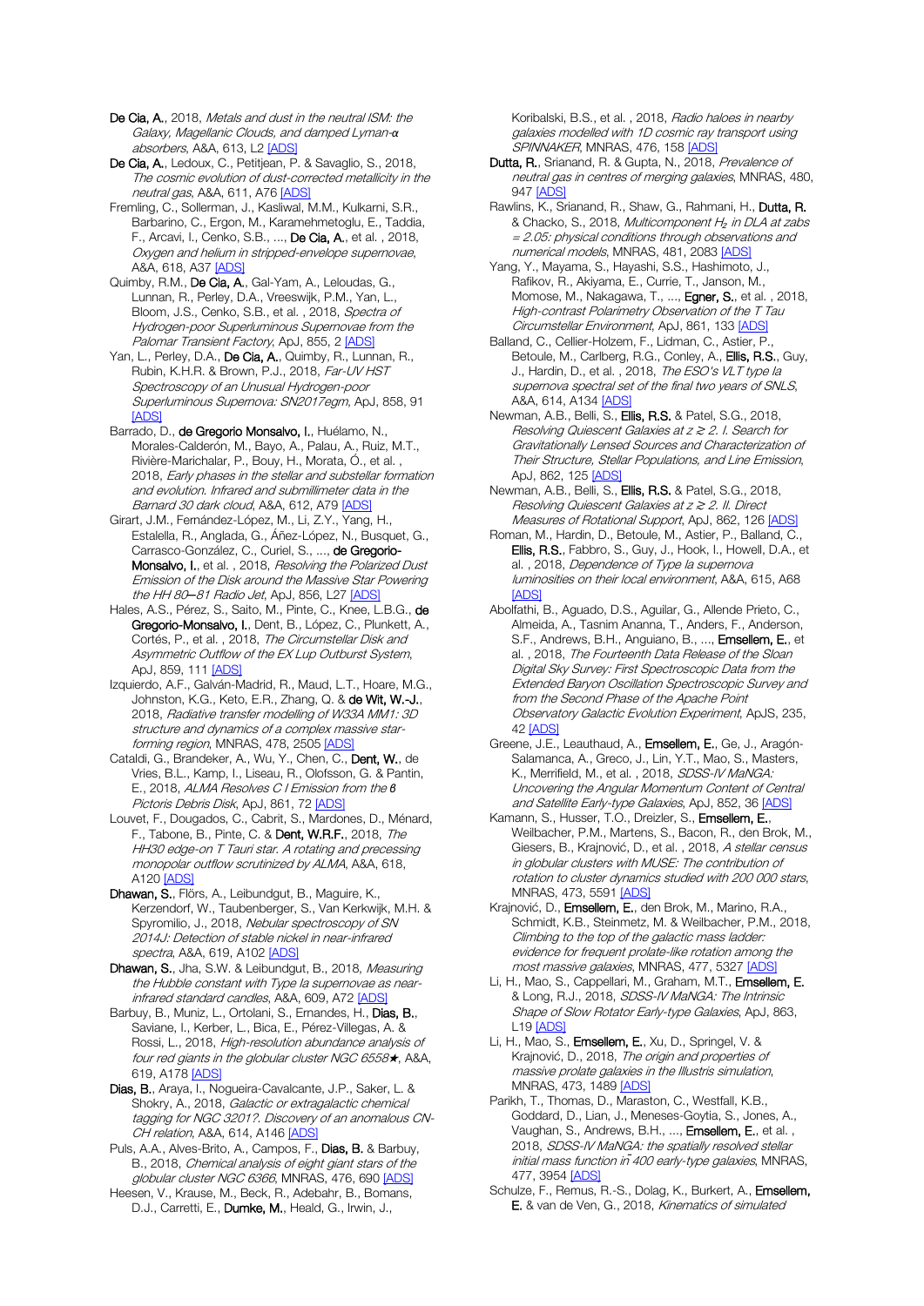De Cia, A., 2018, Metals and dust in the neutral ISM: the Galaxy, Magellanic Clouds, and damped Lyman-*α* absorbers, A&A, 613, L[2 \[ADS\]](https://ui.adsabs.harvard.edu/#abs/2018A%26A...613L...2D)

De Cia, A., Ledoux, C., Petitjean, P. & Savaglio, S., 2018, The cosmic evolution of dust-corrected metallicity in the neutral gas, A&A, 611, A7[6 \[ADS\]](https://ui.adsabs.harvard.edu/#abs/2018A%26A...611A..76D)

Fremling, C., Sollerman, J., Kasliwal, M.M., Kulkarni, S.R., Barbarino, C., Ergon, M., Karamehmetoglu, E., Taddia, F., Arcavi, I., Cenko, S.B., ..., De Cia, A., et al. , 2018, Oxygen and helium in stripped-envelope supernovae, A&A, 618, A3[7 \[ADS\]](https://ui.adsabs.harvard.edu/#abs/2018A%26A...618A..37F)

Quimby, R.M., De Cia, A., Gal-Yam, A., Leloudas, G., Lunnan, R., Perley, D.A., Vreeswijk, P.M., Yan, L., Bloom, J.S., Cenko, S.B., et al., 2018, Spectra of Hydrogen-poor Superluminous Supernovae from the Palomar Transient Factory, ApJ, 855, 2 [\[ADS\]](https://ui.adsabs.harvard.edu/#abs/2018ApJ...855....2Q)

Yan, L., Perley, D.A., De Cia, A., Quimby, R., Lunnan, R., Rubin, K.H.R. & Brown, P.J., 2018, Far-UV HST Spectroscopy of an Unusual Hydrogen-poor Superluminous Supernova: SN2017egm, ApJ, 858, 91 **[\[ADS\]](https://ui.adsabs.harvard.edu/#abs/2018ApJ...858...91Y)** 

Barrado, D., de Gregorio Monsalvo, I., Huélamo, N., Morales-Calderón, M., Bayo, A., Palau, A., Ruiz, M.T., Rivière-Marichalar, P., Bouy, H., Morata, Ó., et al. , 2018, Early phases in the stellar and substellar formation and evolution. Infrared and submillimeter data in the Barnard 30 dark cloud, A&A, 612, A79 [\[ADS\]](https://ui.adsabs.harvard.edu/#abs/2018A%26A...612A..79B)

Girart, J.M., Fernández-López, M., Li, Z.Y., Yang, H., Estalella, R., Anglada, G., Áñez-López, N., Busquet, G., Carrasco-González, C., Curiel, S., ..., de Gregorio-Monsalvo, I., et al., 2018, Resolving the Polarized Dust Emission of the Disk around the Massive Star Powering the HH 80*─*81 Radio Jet, ApJ, 856, L2[7 \[ADS\]](https://ui.adsabs.harvard.edu/#abs/2018ApJ...856L..27G)

Hales, A.S., Pérez, S., Saito, M., Pinte, C., Knee, L.B.G., de Gregorio-Monsalvo, I., Dent, B., López, C., Plunkett, A., Cortés, P., et al. , 2018, The Circumstellar Disk and Asymmetric Outflow of the EX Lup Outburst System, ApJ, 859, 11[1 \[ADS\]](https://ui.adsabs.harvard.edu/#abs/2018ApJ...859..111H)

Izquierdo, A.F., Galván-Madrid, R., Maud, L.T., Hoare, M.G., Johnston, K.G., Keto, E.R., Zhang, Q. & de Wit, W.-J., 2018, Radiative transfer modelling of W33A MM1: 3D structure and dynamics of a complex massive star-forming region, MNRAS, 478, 2505 [\[ADS\]](https://ui.adsabs.harvard.edu/#abs/2018MNRAS.478.2505I)

Cataldi, G., Brandeker, A., Wu, Y., Chen, C., Dent, W., de Vries, B.L., Kamp, I., Liseau, R., Olofsson, G. & Pantin, E., 2018, ALMA Resolves C I Emission from the *β* Pictoris Debris Disk, ApJ, 861, 7[2 \[ADS\]](https://ui.adsabs.harvard.edu/#abs/2018ApJ...861...72C)

Louvet, F., Dougados, C., Cabrit, S., Mardones, D., Ménard, F., Tabone, B., Pinte, C. & Dent, W.R.F., 2018, The HH30 edge-on T Tauri star. A rotating and precessing monopolar outflow scrutinized by ALMA, A&A, 618, A12[0 \[ADS\]](https://ui.adsabs.harvard.edu/#abs/2018A%26A...618A.120L)

Dhawan, S., Flörs, A., Leibundgut, B., Maguire, K., Kerzendorf, W., Taubenberger, S., Van Kerkwijk, M.H. & Spyromilio, J., 2018, Nebular spectroscopy of SN 2014J: Detection of stable nickel in near-infrared spectra, A&A, 619, A102 [\[ADS\]](https://ui.adsabs.harvard.edu/#abs/2018A%26A...619A.102D)

Dhawan, S., Jha, S.W. & Leibundgut, B., 2018, Measuring the Hubble constant with Type Ia supernovae as near-infrared standard candles, A&A, 609, A7[2 \[ADS\]](https://ui.adsabs.harvard.edu/#abs/2018A%26A...609A..72D)

Barbuy, B., Muniz, L., Ortolani, S., Ernandes, H., Dias, B., Saviane, I., Kerber, L., Bica, E., Pérez-Villegas, A. & Rossi, L., 2018, High-resolution abundance analysis of four red giants in the globular cluster NGC 6558★, A&A, 619, A17[8 \[ADS\]](https://ui.adsabs.harvard.edu/#abs/2018A%26A...619A.178B)

Dias, B., Araya, I., Nogueira-Cavalcante, J.P., Saker, L. & Shokry, A., 2018, Galactic or extragalactic chemical tagging for NGC 3201?. Discovery of an anomalous CN-CH relation, A&A, 614, A14[6 \[ADS\]](https://ui.adsabs.harvard.edu/#abs/2018A%26A...614A.146D)

Puls, A.A., Alves-Brito, A., Campos, F., Dias, B. & Barbuy, B., 2018, Chemical analysis of eight giant stars of the globular cluster NGC 6366, MNRAS, 476, 690 [\[ADS\]](https://ui.adsabs.harvard.edu/#abs/2018MNRAS.476..690P)

Heesen, V., Krause, M., Beck, R., Adebahr, B., Bomans, D.J., Carretti, E., Dumke, M., Heald, G., Irwin, J.,

Koribalski, B.S., et al. , 2018, Radio haloes in nearby galaxies modelled with 1D cosmic ray transport using SPINNAKER, MNRAS, 476, 15[8 \[ADS\]](https://ui.adsabs.harvard.edu/#abs/2018MNRAS.476..158H)

Dutta, R., Srianand, R. & Gupta, N., 2018, Prevalence of neutral gas in centres of merging galaxies, MNRAS, 480, 94[7 \[ADS\]](https://ui.adsabs.harvard.edu/#abs/2018MNRAS.480..947D)

Rawlins, K., Srianand, R., Shaw, G., Rahmani, H., Dutta, R. & Chacko, S., 2018, Multicomponent H<sub>2</sub> in DLA at zabs = 2.05: physical conditions through observations and numerical models, MNRAS, 481, 2083 [\[ADS\]](https://ui.adsabs.harvard.edu/#abs/2018MNRAS.481.2083R)

Yang, Y., Mayama, S., Hayashi, S.S., Hashimoto, J., Rafikov, R., Akiyama, E., Currie, T., Janson, M., Momose, M., Nakagawa, T., ..., Egner, S., et al. , 2018, High-contrast Polarimetry Observation of the T Tau Circumstellar Environment, ApJ, 861, 13[3 \[ADS\]](https://ui.adsabs.harvard.edu/#abs/2018ApJ...861..133Y)

Balland, C., Cellier-Holzem, F., Lidman, C., Astier, P., Betoule, M., Carlberg, R.G., Conley, A., Ellis, R.S., Guy, J., Hardin, D., et al., 2018, The ESO's VLT type la supernova spectral set of the final two years of SNLS, A&A, 614, A13[4 \[ADS\]](https://ui.adsabs.harvard.edu/#abs/2018A%26A...614A.134B)

Newman, A.B., Belli, S., Ellis, R.S. & Patel, S.G., 2018, Resolving Quiescent Galaxies at z ≳ 2. I. Search for Gravitationally Lensed Sources and Characterization of Their Structure, Stellar Populations, and Line Emission, ApJ, 862, 12[5 \[ADS\]](https://ui.adsabs.harvard.edu/#abs/2018ApJ...862..125N)

Newman, A.B., Belli, S., Ellis, R.S. & Patel, S.G., 2018, Resolving Quiescent Galaxies at z ≳ 2. II. Direct Measures of Rotational Support, ApJ, 862, 126 [\[ADS\]](https://ui.adsabs.harvard.edu/#abs/2018ApJ...862..126N)

Roman, M., Hardin, D., Betoule, M., Astier, P., Balland, C., Ellis, R.S., Fabbro, S., Guy, J., Hook, I., Howell, D.A., et al., 2018, Dependence of Type la supernova luminosities on their local environment, A&A, 615, A68 [\[ADS\]](https://ui.adsabs.harvard.edu/#abs/2018A%26A...615A..68R)

Abolfathi, B., Aguado, D.S., Aguilar, G., Allende Prieto, C., Almeida, A., Tasnim Ananna, T., Anders, F., Anderson, S.F., Andrews, B.H., Anguiano, B., ..., **Emsellem, E.**, et al. , 2018, The Fourteenth Data Release of the Sloan Digital Sky Survey: First Spectroscopic Data from the Extended Baryon Oscillation Spectroscopic Survey and from the Second Phase of the Apache Point Observatory Galactic Evolution Experiment, ApJS, 235, 42 [\[ADS\]](https://ui.adsabs.harvard.edu/#abs/2018ApJS..235...42A)

Greene, J.E., Leauthaud, A., Emsellem, E., Ge, J., Aragón-Salamanca, A., Greco, J., Lin, Y.T., Mao, S., Masters, K., Merrifield, M., et al., 2018, SDSS-IV MaNGA: Uncovering the Angular Momentum Content of Central and Satellite Early-type Galaxies, ApJ, 852, 36 [\[ADS\]](https://ui.adsabs.harvard.edu/#abs/2018ApJ...852...36G)

Kamann, S., Husser, T.O., Dreizler, S., Emsellem, E., Weilbacher, P.M., Martens, S., Bacon, R., den Brok, M., Giesers, B., Krajnović, D., et al., 2018, A stellar census in globular clusters with MUSE: The contribution of rotation to cluster dynamics studied with 200 000 stars, MNRAS, 473, 559[1 \[ADS\]](https://ui.adsabs.harvard.edu/#abs/2018MNRAS.473.5591K)

Krajnović, D., Emsellem, E., den Brok, M., Marino, R.A., Schmidt, K.B., Steinmetz, M. & Weilbacher, P.M., 2018, Climbing to the top of the galactic mass ladder: evidence for frequent prolate-like rotation among the most massive galaxies, MNRAS, 477, 532[7 \[ADS\]](https://ui.adsabs.harvard.edu/#abs/2018MNRAS.477.5327K)

Li, H., Mao, S., Cappellari, M., Graham, M.T., Emsellem, E. & Long, R.J., 2018, SDSS-IV MaNGA: The Intrinsic Shape of Slow Rotator Early-type Galaxies, ApJ, 863, L19 [\[ADS\]](https://ui.adsabs.harvard.edu/#abs/2018ApJ...863L..19L)

Li, H., Mao, S., Emsellem, E., Xu, D., Springel, V. & Krajnović, D., 2018, The origin and properties of massive prolate galaxies in the Illustris simulation, MNRAS, 473, 148[9 \[ADS\]](https://ui.adsabs.harvard.edu/#abs/2018MNRAS.473.1489L)

Parikh, T., Thomas, D., Maraston, C., Westfall, K.B., Goddard, D., Lian, J., Meneses-Goytia, S., Jones, A., Vaughan, S., Andrews, B.H., ..., Emsellem, E., et al., 2018, SDSS-IV MaNGA: the spatially resolved stellar initial mass function in *̃*400 early-type galaxies, MNRAS, 477, 395[4 \[ADS\]](https://ui.adsabs.harvard.edu/#abs/2018MNRAS.477.3954P)

Schulze, F., Remus, R.-S., Dolag, K., Burkert, A., Emsellem, E. & van de Ven, G., 2018, Kinematics of simulated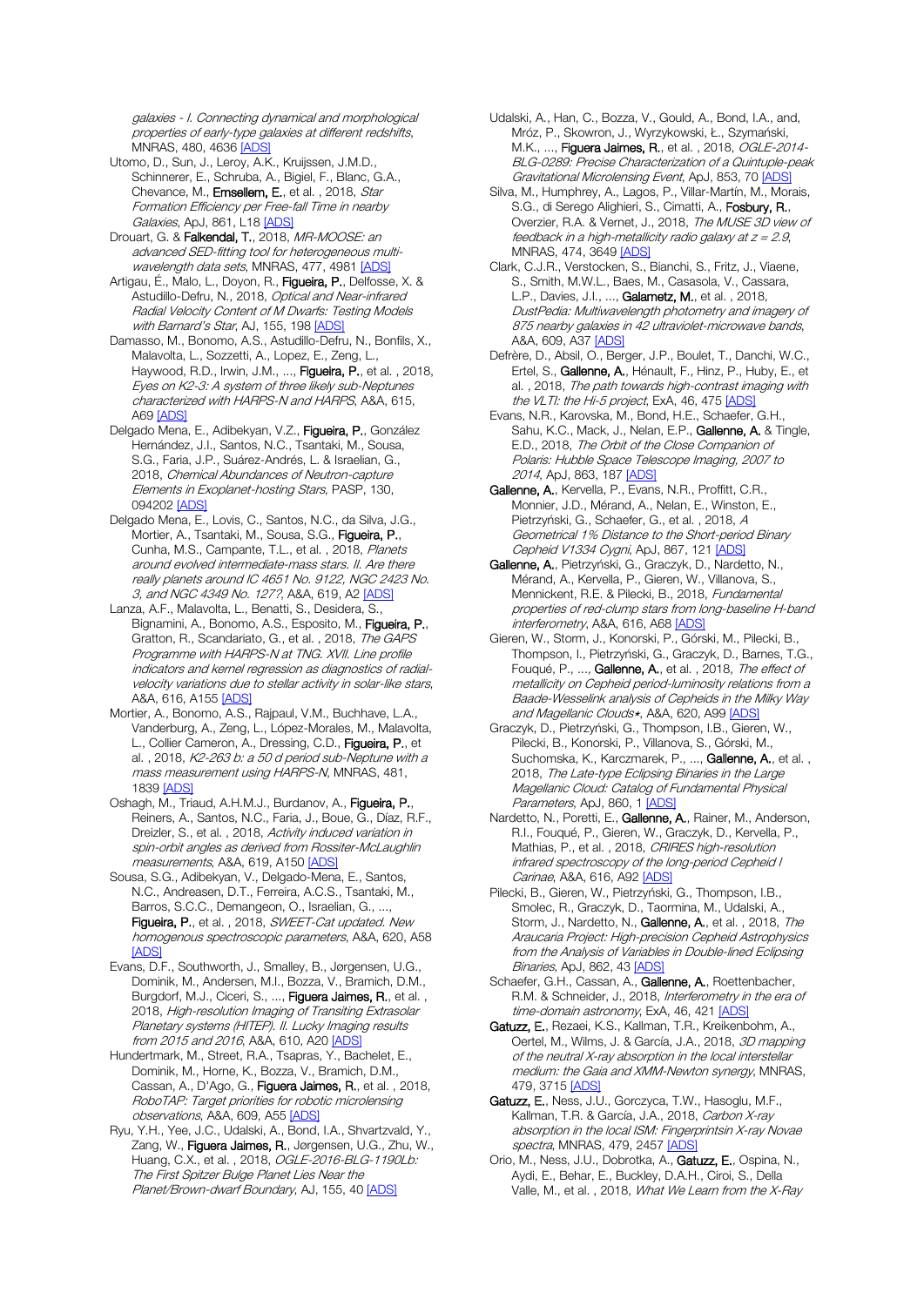galaxies - I. Connecting dynamical and morphological properties of early-type galaxies at different redshifts, MNRAS, 480, 4636 [\[ADS\]](https://ui.adsabs.harvard.edu/#abs/2018MNRAS.480.4636S)

- Utomo, D., Sun, J., Leroy, A.K., Kruijssen, J.M.D., Schinnerer, E., Schruba, A., Bigiel, F., Blanc, G.A., Chevance, M., Emsellem, E., et al., 2018, Star Formation Efficiency per Free-fall Time in nearby Galaxies, ApJ, 861, L18 [\[ADS\]](https://ui.adsabs.harvard.edu/#abs/2018ApJ...861L..18U)
- Drouart, G. & Falkendal, T., 2018, MR-MOOSE: an advanced SED-fitting tool for heterogeneous multi-wavelength data sets, MNRAS, 477, 498[1 \[ADS\]](https://ui.adsabs.harvard.edu/#abs/2018MNRAS.477.4981D)
- Artigau, É., Malo, L., Doyon, R., Figueira, P., Delfosse, X. & Astudillo-Defru, N., 2018, Optical and Near-infrared Radial Velocity Content of M Dwarfs: Testing Models with Barnard's Star, AJ, 155, 19[8 \[ADS\]](https://ui.adsabs.harvard.edu/#abs/2018AJ....155..198A)
- Damasso, M., Bonomo, A.S., Astudillo-Defru, N., Bonfils, X., Malavolta, L., Sozzetti, A., Lopez, E., Zeng, L., Haywood, R.D., Irwin, J.M., ..., Figueira, P., et al., 2018, Eyes on K2-3: A system of three likely sub-Neptunes characterized with HARPS-N and HARPS, A&A, 615, A69 [\[ADS\]](https://ui.adsabs.harvard.edu/#abs/2018A%26A...615A..69D)
- Delgado Mena, E., Adibekyan, V.Z., Figueira, P., González Hernández, J.I., Santos, N.C., Tsantaki, M., Sousa, S.G., Faria, J.P., Suárez-Andrés, L. & Israelian, G., 2018, Chemical Abundances of Neutron-capture Elements in Exoplanet-hosting Stars, PASP, 130, 094202 [\[ADS\]](https://ui.adsabs.harvard.edu/#abs/2018PASP..130i4202D)
- Delgado Mena, E., Lovis, C., Santos, N.C., da Silva, J.G., Mortier, A., Tsantaki, M., Sousa, S.G., Figueira, P., Cunha, M.S., Campante, T.L., et al., 2018, Planets around evolved intermediate-mass stars. II. Are there really planets around IC 4651 No. 9122, NGC 2423 No. 3, and NGC 4349 No. 127?, A&A, 619, A2 [\[ADS\]](https://ui.adsabs.harvard.edu/#abs/2018A%26A...619A...2D)
- Lanza, A.F., Malavolta, L., Benatti, S., Desidera, S., Bignamini, A., Bonomo, A.S., Esposito, M., Figueira, P., Gratton, R., Scandariato, G., et al. , 2018, The GAPS Programme with HARPS-N at TNG. XVII. Line profile indicators and kernel regression as diagnostics of radialvelocity variations due to stellar activity in solar-like stars, A&A, 616, A155 [\[ADS\]](https://ui.adsabs.harvard.edu/#abs/2018A%26A...616A.155L)
- Mortier, A., Bonomo, A.S., Rajpaul, V.M., Buchhave, L.A., Vanderburg, A., Zeng, L., López-Morales, M., Malavolta, L., Collier Cameron, A., Dressing, C.D., Figueira, P., et al. , 2018,  $K2$ -263 b; a 50 d period sub-Neptune with a mass measurement using HARPS-N, MNRAS, 481, 1839 [\[ADS\]](https://ui.adsabs.harvard.edu/#abs/2018MNRAS.481.1839M)
- Oshagh, M., Triaud, A.H.M.J., Burdanov, A., Figueira, P., Reiners, A., Santos, N.C., Faria, J., Boue, G., Díaz, R.F., Dreizler, S., et al. , 2018, Activity induced variation in spin-orbit angles as derived from Rossiter-McLaughlin measurements, A&A, 619, A15[0 \[ADS\]](https://ui.adsabs.harvard.edu/#abs/2018A%26A...619A.150O)
- Sousa, S.G., Adibekyan, V., Delgado-Mena, E., Santos, N.C., Andreasen, D.T., Ferreira, A.C.S., Tsantaki, M., Barros, S.C.C., Demangeon, O., Israelian, G., ..., Figueira, P., et al., 2018, SWEET-Cat updated. New homogenous spectroscopic parameters, A&A, 620, A58 [\[ADS\]](https://ui.adsabs.harvard.edu/#abs/2018A%26A...620A..58S)
- Evans, D.F., Southworth, J., Smalley, B., Jørgensen, U.G., Dominik, M., Andersen, M.I., Bozza, V., Bramich, D.M., Burgdorf, M.J., Ciceri, S., ..., Figuera Jaimes, R., et al., 2018, High-resolution Imaging of Transiting Extrasolar Planetary systems (HITEP). II. Lucky Imaging results from 2015 and 2016, A&A, 610, A20 [\[ADS\]](https://ui.adsabs.harvard.edu/#abs/2018A%26A...610A..20E)
- Hundertmark, M., Street, R.A., Tsapras, Y., Bachelet, E., Dominik, M., Horne, K., Bozza, V., Bramich, D.M., Cassan, A., D'Ago, G., Figuera Jaimes, R., et al., 2018, RoboTAP: Target priorities for robotic microlensing observations, A&A, 609, A5[5 \[ADS\]](https://ui.adsabs.harvard.edu/#abs/2018A%26A...609A..55H)
- Ryu, Y.H., Yee, J.C., Udalski, A., Bond, I.A., Shvartzvald, Y., Zang, W., Figuera Jaimes, R., Jørgensen, U.G., Zhu, W., Huang, C.X., et al., 2018, OGLE-2016-BLG-1190Lb: The First Spitzer Bulge Planet Lies Near the Planet/Brown-dwarf Boundary, AJ, 155, 4[0 \[ADS\]](https://ui.adsabs.harvard.edu/#abs/2018AJ....155...40R)
- Udalski, A., Han, C., Bozza, V., Gould, A., Bond, I.A., and, Mróz, P., Skowron, J., Wyrzykowski, Ł., Szymański, M.K., ..., Figuera Jaimes, R., et al. , 2018, OGLE-2014- BLG-0289: Precise Characterization of a Quintuple-peak Gravitational Microlensing Event, ApJ, 853, 7[0 \[ADS\]](https://ui.adsabs.harvard.edu/#abs/2018ApJ...853...70U)
- Silva, M., Humphrey, A., Lagos, P., Villar-Martín, M., Morais, S.G., di Serego Alighieri, S., Cimatti, A., Fosbury, R., Overzier, R.A. & Vernet, J., 2018, The MUSE 3D view of feedback in a high-metallicity radio galaxy at  $z = 2.9$ , MNRAS, 474, 364[9 \[ADS\]](https://ui.adsabs.harvard.edu/#abs/2018MNRAS.474.3649S)
- Clark, C.J.R., Verstocken, S., Bianchi, S., Fritz, J., Viaene, S., Smith, M.W.L., Baes, M., Casasola, V., Cassara, L.P., Davies, J.I., ..., Galametz, M., et al. , 2018, DustPedia: Multiwavelength photometry and imagery of 875 nearby galaxies in 42 ultraviolet-microwave bands, A&A, 609, A3[7 \[ADS\]](https://ui.adsabs.harvard.edu/#abs/2018A%26A...609A..37C)
- Defrère, D., Absil, O., Berger, J.P., Boulet, T., Danchi, W.C., Ertel, S., Gallenne, A., Hénault, F., Hinz, P., Huby, E., et al. , 2018, The path towards high-contrast imaging with the VLTI: the Hi-5 project, ExA, 46, 47[5 \[ADS\]](https://ui.adsabs.harvard.edu/#abs/2018ExA....46..475D)
- Evans, N.R., Karovska, M., Bond, H.E., Schaefer, G.H., Sahu, K.C., Mack, J., Nelan, E.P., Gallenne, A. & Tingle, E.D., 2018, The Orbit of the Close Companion of Polaris: Hubble Space Telescope Imaging, 2007 to 2014, ApJ, 863, 18[7 \[ADS\]](https://ui.adsabs.harvard.edu/#abs/2018ApJ...863..187E)
- Gallenne, A., Kervella, P., Evans, N.R., Proffitt, C.R., Monnier, J.D., Mérand, A., Nelan, E., Winston, E., Pietrzyński, G., Schaefer, G., et al. , 2018, A Geometrical 1% Distance to the Short-period Binary Cepheid V1334 Cygni, ApJ, 867, 121 [\[ADS\]](https://ui.adsabs.harvard.edu/#abs/2018ApJ...867..121G)
- Gallenne, A., Pietrzyński, G., Graczyk, D., Nardetto, N., Mérand, A., Kervella, P., Gieren, W., Villanova, S., Mennickent, R.E. & Pilecki, B., 2018, Fundamental properties of red-clump stars from long-baseline H-band interferometry, A&A, 616, A68 [\[ADS\]](https://ui.adsabs.harvard.edu/#abs/2018A%26A...616A..68G)
- Gieren, W., Storm, J., Konorski, P., Górski, M., Pilecki, B., Thompson, I., Pietrzyński, G., Graczyk, D., Barnes, T.G., Fouqué, P., ..., Gallenne, A., et al., 2018, The effect of metallicity on Cepheid period-luminosity relations from a Baade-Wesselink analysis of Cepheids in the Milky Way and Magellanic Clouds\*, A&A, 620, A99 [\[ADS\]](https://ui.adsabs.harvard.edu/#abs/2018A%26A...620A..99G)
- Graczyk, D., Pietrzyński, G., Thompson, I.B., Gieren, W., Pilecki, B., Konorski, P., Villanova, S., Górski, M., Suchomska, K., Karczmarek, P., ..., Gallenne, A., et al., 2018, The Late-type Eclipsing Binaries in the Large Magellanic Cloud: Catalog of Fundamental Physical Parameters, ApJ, 860, [1 \[ADS\]](https://ui.adsabs.harvard.edu/#abs/2018ApJ...860....1G)
- Nardetto, N., Poretti, E., Gallenne, A., Rainer, M., Anderson, R.I., Fouqué, P., Gieren, W., Graczyk, D., Kervella, P., Mathias, P., et al., 2018, CRIRES high-resolution infrared spectroscopy of the long-period Cepheid l Carinae, A&A, 616, A92 [\[ADS\]](https://ui.adsabs.harvard.edu/#abs/2018A%26A...616A..92N)
- Pilecki, B., Gieren, W., Pietrzyński, G., Thompson, I.B., Smolec, R., Graczyk, D., Taormina, M., Udalski, A., Storm, J., Nardetto, N., Gallenne, A., et al., 2018, The Araucaria Project: High-precision Cepheid Astrophysics from the Analysis of Variables in Double-lined Eclipsing Binaries, ApJ, 862, 4[3 \[ADS\]](https://ui.adsabs.harvard.edu/#abs/2018ApJ...862...43P)
- Schaefer, G.H., Cassan, A., Gallenne, A., Roettenbacher, R.M. & Schneider, J., 2018, Interferometry in the era of time-domain astronomy, ExA, 46, 421 [\[ADS\]](https://ui.adsabs.harvard.edu/#abs/2018ExA....46..421S)
- Gatuzz, E., Rezaei, K.S., Kallman, T.R., Kreikenbohm, A., Oertel, M., Wilms, J. & García, J.A., 2018, 3D mapping of the neutral X-ray absorption in the local interstellar medium: the Gaia and XMM-Newton synergy, MNRAS, 479, 371[5 \[ADS\]](https://ui.adsabs.harvard.edu/#abs/2018MNRAS.479.3715G)
- Gatuzz, E., Ness, J.U., Gorczyca, T.W., Hasoglu, M.F., Kallman, T.R. & García, J.A., 2018, Carbon X-ray absorption in the local ISM: Fingerprintsin X-ray Novae spectra, MNRAS, 479, 2457 [\[ADS\]](https://ui.adsabs.harvard.edu/#abs/2018MNRAS.479.2457G)
- Orio, M., Ness, J.U., Dobrotka, A., Gatuzz, E., Ospina, N., Aydi, E., Behar, E., Buckley, D.A.H., Ciroi, S., Della Valle, M., et al., 2018, What We Learn from the X-Ray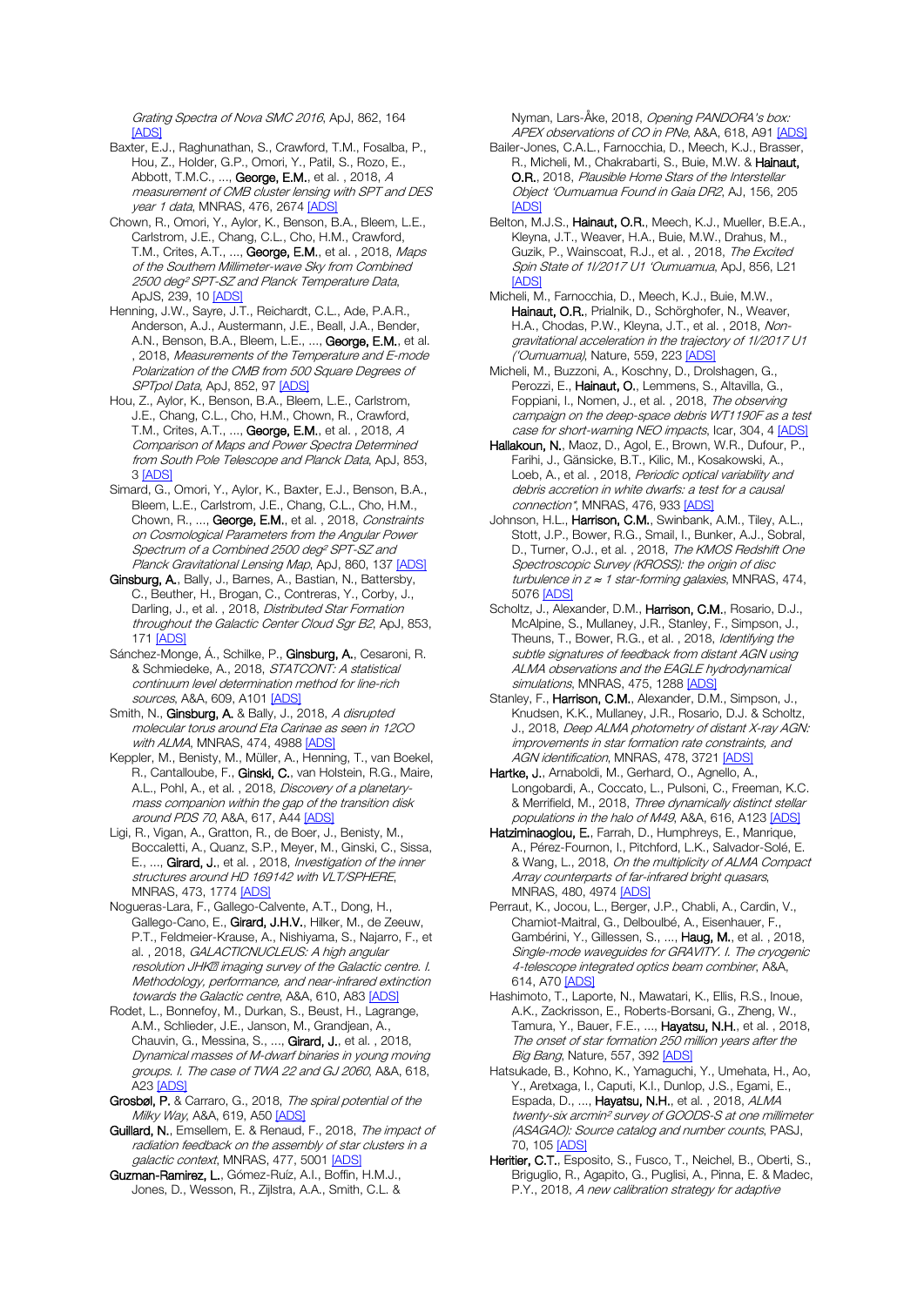Grating Spectra of Nova SMC 2016, ApJ, 862, 164 [\[ADS\]](https://ui.adsabs.harvard.edu/#abs/2018ApJ...862..164O)

Baxter, E.J., Raghunathan, S., Crawford, T.M., Fosalba, P., Hou, Z., Holder, G.P., Omori, Y., Patil, S., Rozo, E., Abbott, T.M.C., ..., George, E.M., et al., 2018, A measurement of CMB cluster lensing with SPT and DES year 1 data, MNRAS, 476, 2674 [\[ADS\]](https://ui.adsabs.harvard.edu/#abs/2018MNRAS.476.2674B)

Chown, R., Omori, Y., Aylor, K., Benson, B.A., Bleem, L.E., Carlstrom, J.E., Chang, C.L., Cho, H.M., Crawford, T.M., Crites, A.T., ..., George, E.M., et al., 2018, Maps of the Southern Millimeter-wave Sky from Combined 2500 deg² SPT-SZ and Planck Temperature Data, ApJS, 239, 10 [\[ADS\]](https://ui.adsabs.harvard.edu/#abs/2018ApJS..239...10C)

Henning, J.W., Sayre, J.T., Reichardt, C.L., Ade, P.A.R., Anderson, A.J., Austermann, J.E., Beall, J.A., Bender, A.N., Benson, B.A., Bleem, L.E., ..., George, E.M., et al. 2018, Measurements of the Temperature and E-mode Polarization of the CMB from 500 Square Degrees of SPTpol Data, ApJ, 852, 97 [\[ADS\]](https://ui.adsabs.harvard.edu/#abs/2018ApJ...852...97H)

Hou, Z., Aylor, K., Benson, B.A., Bleem, L.E., Carlstrom, J.E., Chang, C.L., Cho, H.M., Chown, R., Crawford, T.M., Crites, A.T., ..., George, E.M., et al. , 2018, A Comparison of Maps and Power Spectra Determined from South Pole Telescope and Planck Data, ApJ, 853, [3 \[ADS\]](https://ui.adsabs.harvard.edu/#abs/2018ApJ...853....3H)

Simard, G., Omori, Y., Aylor, K., Baxter, E.J., Benson, B.A., Bleem, L.E., Carlstrom, J.E., Chang, C.L., Cho, H.M., Chown, R., ..., George, E.M., et al., 2018, Constraints on Cosmological Parameters from the Angular Power Spectrum of a Combined 2500 deg² SPT-SZ and Planck Gravitational Lensing Map, ApJ, 860, 13[7 \[ADS\]](https://ui.adsabs.harvard.edu/#abs/2018ApJ...860..137S)

Ginsburg, A., Bally, J., Barnes, A., Bastian, N., Battersby, C., Beuther, H., Brogan, C., Contreras, Y., Corby, J., Darling, J., et al., 2018, Distributed Star Formation throughout the Galactic Center Cloud Sgr B2, ApJ, 853, 17[1 \[ADS\]](https://ui.adsabs.harvard.edu/#abs/2018ApJ...853..171G)

Sánchez-Monge, Á., Schilke, P., Ginsburg, A., Cesaroni, R. & Schmiedeke, A., 2018, STATCONT: A statistical continuum level determination method for line-rich sources, A&A, 609, A10[1 \[ADS\]](https://ui.adsabs.harvard.edu/#abs/2018A%26A...609A.101S)

Smith, N., Ginsburg, A. & Bally, J., 2018, A disrupted molecular torus around Eta Carinae as seen in 12CO with ALMA, MNRAS, 474, 498[8 \[ADS\]](https://ui.adsabs.harvard.edu/#abs/2018MNRAS.474.4988S)

Keppler, M., Benisty, M., Müller, A., Henning, T., van Boekel, R., Cantalloube, F., Ginski, C., van Holstein, R.G., Maire, A.L., Pohl, A., et al., 2018, Discovery of a planetarymass companion within the gap of the transition disk around PDS 70, A&A, 617, A44 [\[ADS\]](https://ui.adsabs.harvard.edu/#abs/2018A%26A...617A..44K)

Ligi, R., Vigan, A., Gratton, R., de Boer, J., Benisty, M., Boccaletti, A., Quanz, S.P., Meyer, M., Ginski, C., Sissa, E., ..., Girard, J., et al., 2018, *Investigation of the inner* structures around HD 169142 with VLT/SPHERE, MNRAS, 473, 1774 [\[ADS\]](https://ui.adsabs.harvard.edu/#abs/2018MNRAS.473.1774L)

Nogueras-Lara, F., Gallego-Calvente, A.T., Dong, H., Gallego-Cano, E., Girard, J.H.V., Hilker, M., de Zeeuw, P.T., Feldmeier-Krause, A., Nishiyama, S., Najarro, F., et al., 2018, GALACTICNUCLEUS: A high angular resolution JHK<sup>®</sup> imaging survey of the Galactic centre. I. Methodology, performance, and near-infrared extinction towards the Galactic centre, A&A, 610, A8[3 \[ADS\]](https://ui.adsabs.harvard.edu/#abs/2018A%26A...610A..83N)

Rodet, L., Bonnefoy, M., Durkan, S., Beust, H., Lagrange, A.M., Schlieder, J.E., Janson, M., Grandjean, A., Chauvin, G., Messina, S., ..., Girard, J., et al., 2018, Dynamical masses of M-dwarf binaries in young moving groups. I. The case of TWA 22 and GJ 2060, A&A, 618, A23 [\[ADS\]](https://ui.adsabs.harvard.edu/#abs/2018A%26A...618A..23R)

Grosbøl, P. & Carraro, G., 2018, The spiral potential of the Milky Way, A&A, 619, A5[0 \[ADS\]](https://ui.adsabs.harvard.edu/#abs/2018A%26A...619A..50G)

Guillard, N., Emsellem, E. & Renaud, F., 2018, The impact of radiation feedback on the assembly of star clusters in a galactic context, MNRAS, 477, 500[1 \[ADS\]](https://ui.adsabs.harvard.edu/#abs/2018MNRAS.477.5001G)

Guzman-Ramirez, L., Gómez-Ruíz, A.I., Boffin, H.M.J., Jones, D., Wesson, R., Zijlstra, A.A., Smith, C.L. & Nyman, Lars-Åke, 2018, Opening PANDORA's box: APEX observations of CO in PNe, A&A, 618, A9[1 \[ADS\]](https://ui.adsabs.harvard.edu/#abs/2018A%26A...618A..91G)

Bailer-Jones, C.A.L., Farnocchia, D., Meech, K.J., Brasser, R., Micheli, M., Chakrabarti, S., Buie, M.W. & Hainaut, O.R., 2018, Plausible Home Stars of the Interstellar Object 'Oumuamua Found in Gaia DR2, AJ, 156, 205 [\[ADS\]](https://ui.adsabs.harvard.edu/#abs/2018AJ....156..205B)

Belton, M.J.S., Hainaut, O.R., Meech, K.J., Mueller, B.E.A., Kleyna, J.T., Weaver, H.A., Buie, M.W., Drahus, M., Guzik, P., Wainscoat, R.J., et al., 2018, The Excited Spin State of 1//2017 U1 'Oumuamua, ApJ, 856, L21 **[\[ADS\]](https://ui.adsabs.harvard.edu/#abs/2018ApJ...856L..21B)** 

Micheli, M., Farnocchia, D., Meech, K.J., Buie, M.W., Hainaut, O.R., Prialnik, D., Schörghofer, N., Weaver, H.A., Chodas, P.W., Kleyna, J.T., et al. , 2018, Nongravitational acceleration in the trajectory of 1I/2017 U1 ('Oumuamua), Nature, 559, 22[3 \[ADS\]](https://ui.adsabs.harvard.edu/#abs/2018Natur.559..223M)

Micheli, M., Buzzoni, A., Koschny, D., Drolshagen, G., Perozzi, E., Hainaut, O., Lemmens, S., Altavilla, G., Foppiani, I., Nomen, J., et al., 2018, The observing campaign on the deep-space debris WT1190F as a test case for short-warning NEO impacts, Icar, 304, 4 [\[ADS\]](https://ui.adsabs.harvard.edu/#abs/2018Icar..304....4M)

Hallakoun, N., Maoz, D., Agol, E., Brown, W.R., Dufour, P., Farihi, J., Gänsicke, B.T., Kilic, M., Kosakowski, A., Loeb, A., et al. , 2018, Periodic optical variability and debris accretion in white dwarfs: a test for a causal connection\*, MNRAS, 476, 93[3 \[ADS\]](https://ui.adsabs.harvard.edu/#abs/2018MNRAS.476..933H)

Johnson, H.L., Harrison, C.M., Swinbank, A.M., Tiley, A.L., Stott, J.P., Bower, R.G., Smail, I., Bunker, A.J., Sobral, D., Turner, O.J., et al., 2018, The KMOS Redshift One Spectroscopic Survey (KROSS): the origin of disc turbulence in  $z \approx 1$  star-forming galaxies, MNRAS, 474, 5076 [\[ADS\]](https://ui.adsabs.harvard.edu/#abs/2018MNRAS.474.5076J)

Scholtz, J., Alexander, D.M., Harrison, C.M., Rosario, D.J., McAlpine, S., Mullaney, J.R., Stanley, F., Simpson, J., Theuns, T., Bower, R.G., et al., 2018, Identifying the subtle signatures of feedback from distant AGN using ALMA observations and the EAGLE hydrodynamical simulations, MNRAS, 475, 128[8 \[ADS\]](https://ui.adsabs.harvard.edu/#abs/2018MNRAS.475.1288S)

Stanley, F., Harrison, C.M., Alexander, D.M., Simpson, J., Knudsen, K.K., Mullaney, J.R., Rosario, D.J. & Scholtz, J., 2018, Deep ALMA photometry of distant X-ray AGN: improvements in star formation rate constraints, and AGN identification, MNRAS, 478, 3721 [\[ADS\]](https://ui.adsabs.harvard.edu/#abs/2018MNRAS.478.3721S)

Hartke, J., Arnaboldi, M., Gerhard, O., Agnello, A., Longobardi, A., Coccato, L., Pulsoni, C., Freeman, K.C. & Merrifield, M., 2018, Three dynamically distinct stellar populations in the halo of M49, A&A, 616, A12[3 \[ADS\]](https://ui.adsabs.harvard.edu/#abs/2018A%26A...616A.123H)

Hatziminaoglou, E., Farrah, D., Humphreys, E., Manrique, A., Pérez-Fournon, I., Pitchford, L.K., Salvador-Solé, E. & Wang, L., 2018, On the multiplicity of ALMA Compact Array counterparts of far-infrared bright quasars, MNRAS, 480, 497[4 \[ADS\]](https://ui.adsabs.harvard.edu/#abs/2018MNRAS.480.4974H)

Perraut, K., Jocou, L., Berger, J.P., Chabli, A., Cardin, V., Chamiot-Maitral, G., Delboulbé, A., Eisenhauer, F., Gambérini, Y., Gillessen, S., ..., Haug, M., et al. , 2018, Single-mode waveguides for GRAVITY. I. The cryogenic 4-telescope integrated optics beam combiner, A&A, 614, A7[0 \[ADS\]](https://ui.adsabs.harvard.edu/#abs/2018A%26A...614A..70P)

Hashimoto, T., Laporte, N., Mawatari, K., Ellis, R.S., Inoue, A.K., Zackrisson, E., Roberts-Borsani, G., Zheng, W., Tamura, Y., Bauer, F.E., ..., Hayatsu, N.H., et al., 2018, The onset of star formation 250 million years after the Big Bang, Nature, 557, 392 [\[ADS\]](https://ui.adsabs.harvard.edu/#abs/2018Natur.557..392H)

Hatsukade, B., Kohno, K., Yamaguchi, Y., Umehata, H., Ao, Y., Aretxaga, I., Caputi, K.I., Dunlop, J.S., Egami, E., Espada, D., ..., Hayatsu, N.H., et al., 2018, ALMA twenty-six arcmin² survey of GOODS-S at one millimeter (ASAGAO): Source catalog and number counts, PASJ, 70, 10[5 \[ADS\]](https://ui.adsabs.harvard.edu/#abs/2018PASJ...70..105H)

Heritier, C.T., Esposito, S., Fusco, T., Neichel, B., Oberti, S., Briguglio, R., Agapito, G., Puglisi, A., Pinna, E. & Madec, P.Y., 2018, A new calibration strategy for adaptive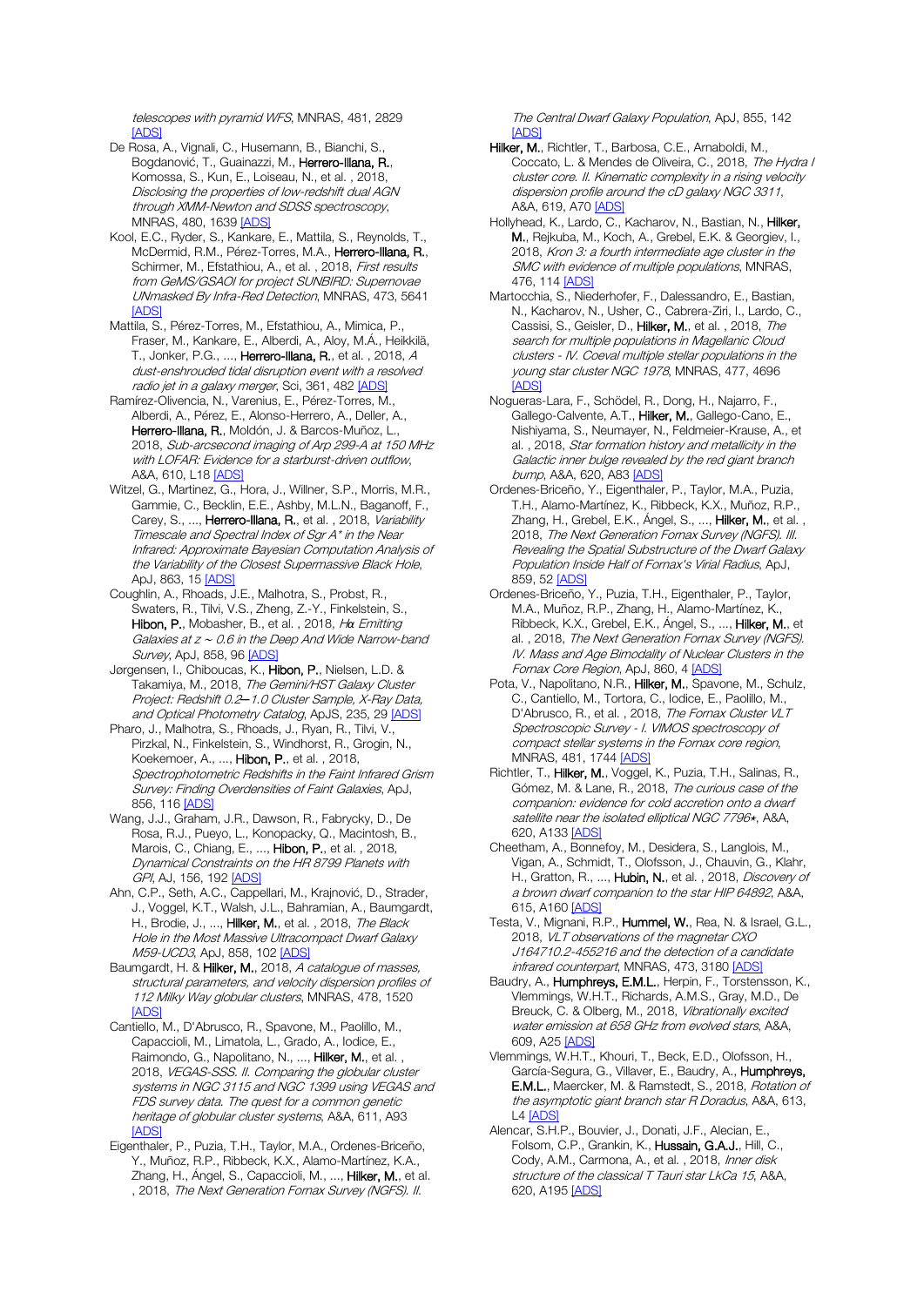telescopes with pyramid WFS, MNRAS, 481, 2829  $[ADS]$ 

- De Rosa, A., Vignali, C., Husemann, B., Bianchi, S., Bogdanović, T., Guainazzi, M., Herrero-Illana, R., Komossa, S., Kun, E., Loiseau, N., et al. , 2018, Disclosing the properties of low-redshift dual AGN through XMM-Newton and SDSS spectroscopy, MNRAS, 480, 1639 [\[ADS\]](https://ui.adsabs.harvard.edu/#abs/2018MNRAS.480.1639D)
- Kool, E.C., Ryder, S., Kankare, E., Mattila, S., Reynolds, T., McDermid, R.M., Pérez-Torres, M.A., Herrero-Illana, R., Schirmer, M., Efstathiou, A., et al., 2018, First results from GeMS/GSAOI for project SUNBIRD: Supernovae UNmasked By Infra-Red Detection, MNRAS, 473, 5641 **[\[ADS\]](https://ui.adsabs.harvard.edu/#abs/2018MNRAS.473.5641K)**
- Mattila, S., Pérez-Torres, M., Efstathiou, A., Mimica, P., Fraser, M., Kankare, E., Alberdi, A., Aloy, M.Á., Heikkilä, T., Jonker, P.G., ..., Herrero-Illana, R., et al., 2018, A dust-enshrouded tidal disruption event with a resolved radio jet in a galaxy merger, Sci, 361, 48[2 \[ADS\]](https://ui.adsabs.harvard.edu/#abs/2018Sci...361..482M)
- Ramírez-Olivencia, N., Varenius, E., Pérez-Torres, M., Alberdi, A., Pérez, E., Alonso-Herrero, A., Deller, A., Herrero-Illana, R., Moldón, J. & Barcos-Muñoz, L., 2018, Sub-arcsecond imaging of Arp 299-A at 150 MHz with LOFAR: Evidence for a starburst-driven outflow, A&A, 610, L1[8 \[ADS\]](https://ui.adsabs.harvard.edu/#abs/2018A%26A...610L..18R)
- Witzel, G., Martinez, G., Hora, J., Willner, S.P., Morris, M.R., Gammie, C., Becklin, E.E., Ashby, M.L.N., Baganoff, F., Carey, S., ..., Herrero-Illana, R., et al., 2018, Variability Timescale and Spectral Index of Sgr A\* in the Near Infrared: Approximate Bayesian Computation Analysis of the Variability of the Closest Supermassive Black Hole, ApJ, 863, 15 [\[ADS\]](https://ui.adsabs.harvard.edu/#abs/2018ApJ...863...15W)
- Coughlin, A., Rhoads, J.E., Malhotra, S., Probst, R., Swaters, R., Tilvi, V.S., Zheng, Z.-Y., Finkelstein, S., Hibon, P., Mobasher, B., et al. , 2018, H*α* Emitting Galaxies at z <sup>∼</sup> 0.6 in the Deep And Wide Narrow-band Survey, ApJ, 858, 96 [\[ADS\]](https://ui.adsabs.harvard.edu/#abs/2018ApJ...858...96C)
- Jørgensen, I., Chiboucas, K., Hibon, P., Nielsen, L.D. & Takamiya, M., 2018, The Gemini/HST Galaxy Cluster Project: Redshift 0.2*─*1.0 Cluster Sample, X-Ray Data, and Optical Photometry Catalog, ApJS, 235, 29 [\[ADS\]](https://ui.adsabs.harvard.edu/#abs/2018ApJS..235...29J)
- Pharo, J., Malhotra, S., Rhoads, J., Ryan, R., Tilvi, V., Pirzkal, N., Finkelstein, S., Windhorst, R., Grogin, N., Koekemoer, A., ..., Hibon, P., et al. , 2018, Spectrophotometric Redshifts in the Faint Infrared Grism Survey: Finding Overdensities of Faint Galaxies, ApJ, 856, 11[6 \[ADS\]](https://ui.adsabs.harvard.edu/#abs/2018ApJ...856..116P)
- Wang, J.J., Graham, J.R., Dawson, R., Fabrycky, D., De Rosa, R.J., Pueyo, L., Konopacky, Q., Macintosh, B., Marois, C., Chiang, E., ..., Hibon, P., et al., 2018, Dynamical Constraints on the HR 8799 Planets with GPI, AJ, 156, 192 [\[ADS\]](https://ui.adsabs.harvard.edu/#abs/2018AJ....156..192W)
- Ahn, C.P., Seth, A.C., Cappellari, M., Krajnović, D., Strader, J., Voggel, K.T., Walsh, J.L., Bahramian, A., Baumgardt, H., Brodie, J., ..., Hilker, M., et al., 2018, The Black Hole in the Most Massive Ultracompact Dwarf Galaxy M59-UCD3, ApJ, 858, 10[2 \[ADS\]](https://ui.adsabs.harvard.edu/#abs/2018ApJ...858..102A)
- Baumgardt, H. & Hilker, M., 2018, A catalogue of masses, structural parameters, and velocity dispersion profiles of 112 Milky Way globular clusters, MNRAS, 478, 1520 [\[ADS\]](https://ui.adsabs.harvard.edu/#abs/2018MNRAS.478.1520B)
- Cantiello, M., D'Abrusco, R., Spavone, M., Paolillo, M., Capaccioli, M., Limatola, L., Grado, A., Iodice, E., Raimondo, G., Napolitano, N., ..., Hilker, M., et al., 2018, VEGAS-SSS. II. Comparing the globular cluster systems in NGC 3115 and NGC 1399 using VEGAS and FDS survey data. The quest for a common genetic heritage of globular cluster systems, A&A, 611, A93 [\[ADS\]](https://ui.adsabs.harvard.edu/#abs/2018A%26A...611A..93C)
- Eigenthaler, P., Puzia, T.H., Taylor, M.A., Ordenes-Briceño, Y., Muñoz, R.P., Ribbeck, K.X., Alamo-Martínez, K.A., Zhang, H., Ángel, S., Capaccioli, M., ..., Hilker, M., et al. , 2018, The Next Generation Fornax Survey (NGFS). II.

The Central Dwarf Galaxy Population, ApJ, 855, 142  $[ADS]$ 

- Hilker, M., Richtler, T., Barbosa, C.E., Arnaboldi, M., Coccato, L. & Mendes de Oliveira, C., 2018, The Hydra I cluster core. II. Kinematic complexity in a rising velocity dispersion profile around the cD galaxy NGC 3311, A&A, 619, A7[0 \[ADS\]](https://ui.adsabs.harvard.edu/#abs/2018A%26A...619A..70H)
- Hollyhead, K., Lardo, C., Kacharov, N., Bastian, N., Hilker, M., Rejkuba, M., Koch, A., Grebel, E.K. & Georgiev, I., 2018, Kron 3: a fourth intermediate age cluster in the SMC with evidence of multiple populations, MNRAS, 476, 114 [\[ADS\]](https://ui.adsabs.harvard.edu/#abs/2018MNRAS.476..114H)
- Martocchia, S., Niederhofer, F., Dalessandro, E., Bastian, N., Kacharov, N., Usher, C., Cabrera-Ziri, I., Lardo, C., Cassisi, S., Geisler, D., Hilker, M., et al. , 2018, The search for multiple populations in Magellanic Cloud clusters - IV. Coeval multiple stellar populations in the young star cluster NGC 1978, MNRAS, 477, 4696 [\[ADS\]](https://ui.adsabs.harvard.edu/#abs/2018MNRAS.477.4696M)
- Nogueras-Lara, F., Schödel, R., Dong, H., Najarro, F., Gallego-Calvente, A.T., Hilker, M., Gallego-Cano, E., Nishiyama, S., Neumayer, N., Feldmeier-Krause, A., et al. , 2018, Star formation history and metallicity in the Galactic inner bulge revealed by the red giant branch bump, A&A, 620, A8[3 \[ADS\]](https://ui.adsabs.harvard.edu/#abs/2018A%26A...620A..83N)
- Ordenes-Briceño, Y., Eigenthaler, P., Taylor, M.A., Puzia, T.H., Alamo-Martínez, K., Ribbeck, K.X., Muñoz, R.P., Zhang, H., Grebel, E.K., Ángel, S., ..., Hilker, M., et al., 2018, The Next Generation Fornax Survey (NGFS). III. Revealing the Spatial Substructure of the Dwarf Galaxy Population Inside Half of Fornax's Virial Radius, ApJ, 859, 5[2 \[ADS\]](https://ui.adsabs.harvard.edu/#abs/2018ApJ...859...52O)
- Ordenes-Briceño, Y., Puzia, T.H., Eigenthaler, P., Taylor, M.A., Muñoz, R.P., Zhang, H., Alamo-Martínez, K., Ribbeck, K.X., Grebel, E.K., Ángel, S., ..., Hilker, M., et al. , 2018, The Next Generation Fornax Survey (NGFS). IV. Mass and Age Bimodality of Nuclear Clusters in the Fornax Core Region, ApJ, 860, [4 \[ADS\]](https://ui.adsabs.harvard.edu/#abs/2018ApJ...860....4O)
- Pota, V., Napolitano, N.R., Hilker, M., Spavone, M., Schulz, C., Cantiello, M., Tortora, C., Iodice, E., Paolillo, M., D'Abrusco, R., et al., 2018, The Fornax Cluster VLT Spectroscopic Survey - I. VIMOS spectroscopy of compact stellar systems in the Fornax core region, MNRAS, 481, 174[4 \[ADS\]](https://ui.adsabs.harvard.edu/#abs/2018MNRAS.481.1744P)
- Richtler, T., Hilker, M., Voggel, K., Puzia, T.H., Salinas, R., Gómez, M. & Lane, R., 2018, The curious case of the companion: evidence for cold accretion onto a dwarf satellite near the isolated elliptical NGC 7796\*, A&A, 620, A13[3 \[ADS\]](https://ui.adsabs.harvard.edu/#abs/2018A%26A...620A.133R)
- Cheetham, A., Bonnefoy, M., Desidera, S., Langlois, M., Vigan, A., Schmidt, T., Olofsson, J., Chauvin, G., Klahr, H., Gratton, R., ..., Hubin, N., et al., 2018, Discovery of a brown dwarf companion to the star HIP 64892, A&A, 615, A16[0 \[ADS\]](https://ui.adsabs.harvard.edu/#abs/2018A%26A...615A.160C)
- Testa, V., Mignani, R.P., Hummel, W., Rea, N. & Israel, G.L., 2018, VLT observations of the magnetar CXO J164710.2-455216 and the detection of a candidate infrared counterpart, MNRAS, 473, 3180 [\[ADS\]](https://ui.adsabs.harvard.edu/#abs/2018MNRAS.473.3180T)
- Baudry, A., Humphreys, E.M.L., Herpin, F., Torstensson, K., Vlemmings, W.H.T., Richards, A.M.S., Gray, M.D., De Breuck, C. & Olberg, M., 2018, Vibrationally excited water emission at 658 GHz from evolved stars, A&A, 609, A2[5 \[ADS\]](https://ui.adsabs.harvard.edu/#abs/2018A%26A...609A..25B)
- Vlemmings, W.H.T., Khouri, T., Beck, E.D., Olofsson, H., García-Segura, G., Villaver, E., Baudry, A., Humphreys, E.M.L., Maercker, M. & Ramstedt, S., 2018, Rotation of the asymptotic giant branch star R Doradus, A&A, 613, L[4 \[ADS\]](https://ui.adsabs.harvard.edu/#abs/2018A%26A...613L...4V)
- Alencar, S.H.P., Bouvier, J., Donati, J.F., Alecian, E., Folsom, C.P., Grankin, K., Hussain, G.A.J., Hill, C., Cody, A.M., Carmona, A., et al., 2018, Inner disk structure of the classical T Tauri star LkCa 15, A&A, 620, A19[5 \[ADS\]](https://ui.adsabs.harvard.edu/#abs/2018A%26A...620A.195A)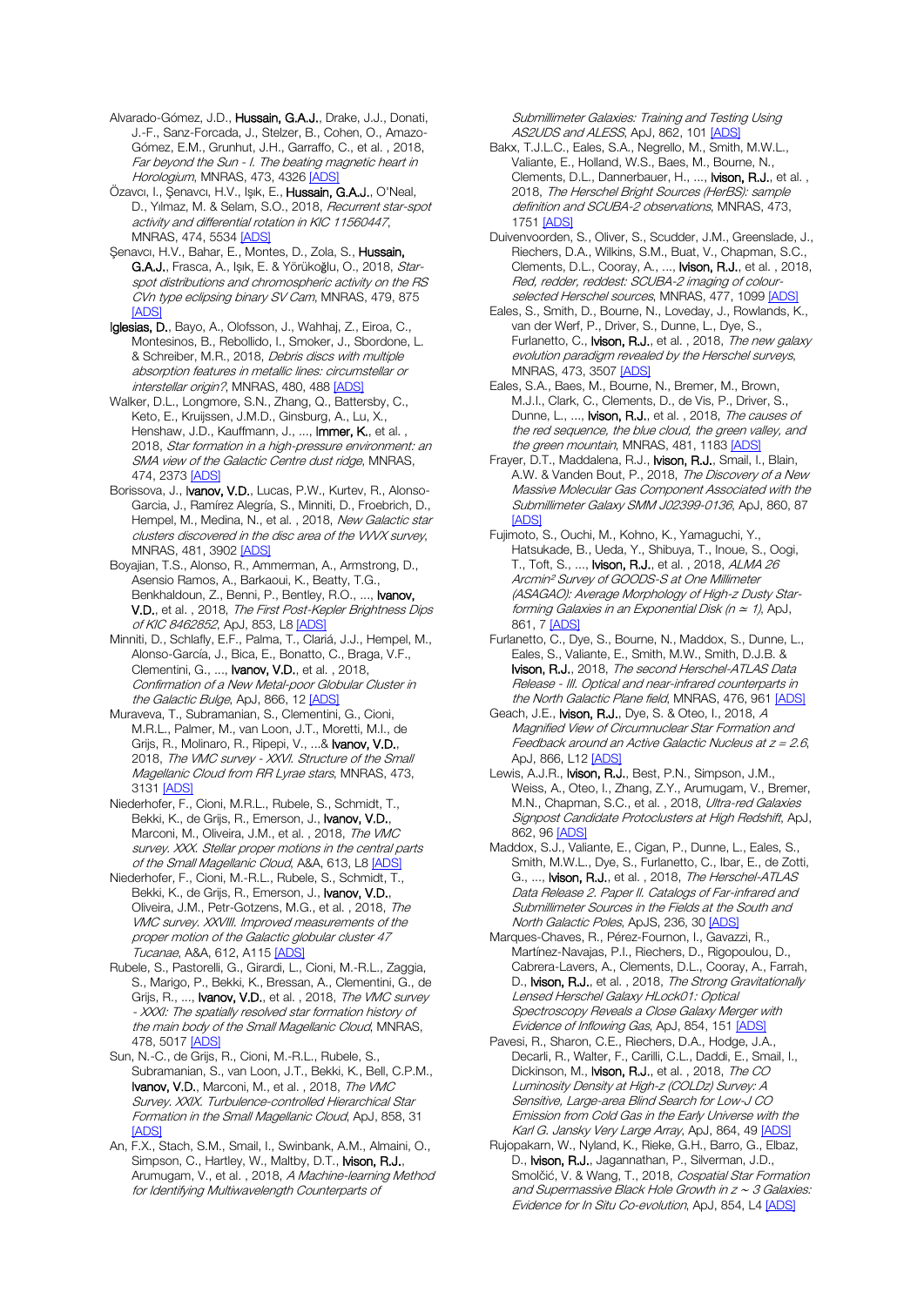Alvarado-Gómez, J.D., Hussain, G.A.J., Drake, J.J., Donati, J.-F., Sanz-Forcada, J., Stelzer, B., Cohen, O., Amazo-Gómez, E.M., Grunhut, J.H., Garraffo, C., et al. , 2018, Far beyond the Sun - I. The beating magnetic heart in Horologium, MNRAS, 473, 432[6 \[ADS\]](https://ui.adsabs.harvard.edu/#abs/2018MNRAS.473.4326A)

Özavcı, I., Şenavcı, H.V., Işık, E., Hussain, G.A.J., O'Neal, D., Yılmaz, M. & Selam, S.O., 2018, Recurrent star-spot activity and differential rotation in KIC 11560447, MNRAS, 474, 5534 [\[ADS\]](https://ui.adsabs.harvard.edu/#abs/2018MNRAS.474.5534O)

Şenavcı, H.V., Bahar, E., Montes, D., Zola, S., Hussain, G.A.J., Frasca, A., Isık, E. & Yörükoğlu, O., 2018, Starspot distributions and chromospheric activity on the RS CVn type eclipsing binary SV Cam, MNRAS, 479, 875 [\[ADS\]](https://ui.adsabs.harvard.edu/#abs/2018MNRAS.479..875S)

Iglesias, D., Bayo, A., Olofsson, J., Wahhaj, Z., Eiroa, C., Montesinos, B., Rebollido, I., Smoker, J., Sbordone, L. & Schreiber, M.R., 2018, Debris discs with multiple absorption features in metallic lines: circumstellar or interstellar origin?, MNRAS, 480, 488 [\[ADS\]](https://ui.adsabs.harvard.edu/#abs/2018MNRAS.480..488I)

Walker, D.L., Longmore, S.N., Zhang, Q., Battersby, C., Keto, E., Kruijssen, J.M.D., Ginsburg, A., Lu, X., Henshaw, J.D., Kauffmann, J., ..., Immer, K., et al., 2018, Star formation in a high-pressure environment: an SMA view of the Galactic Centre dust ridge, MNRAS, 474, 2373 [\[ADS\]](https://ui.adsabs.harvard.edu/#abs/2018MNRAS.474.2373W)

- Borissova, J., Ivanov, V.D., Lucas, P.W., Kurtev, R., Alonso-Garcia, J., Ramírez Alegría, S., Minniti, D., Froebrich, D., Hempel, M., Medina, N., et al., 2018, New Galactic star clusters discovered in the disc area of the WVX survey, MNRAS, 481, 3902 [\[ADS\]](https://ui.adsabs.harvard.edu/#abs/2018MNRAS.481.3902B)
- Boyajian, T.S., Alonso, R., Ammerman, A., Armstrong, D., Asensio Ramos, A., Barkaoui, K., Beatty, T.G., Benkhaldoun, Z., Benni, P., Bentley, R.O., ..., Ivanov, V.D., et al. , 2018, The First Post-Kepler Brightness Dips of KIC 8462852, ApJ, 853, L8 [\[ADS\]](https://ui.adsabs.harvard.edu/#abs/2018ApJ...853L...8B)

Minniti, D., Schlafly, E.F., Palma, T., Clariá, J.J., Hempel, M., Alonso-García, J., Bica, E., Bonatto, C., Braga, V.F., Clementini, G., ..., **Ivanov, V.D.**, et al., 2018, Confirmation of a New Metal-poor Globular Cluster in the Galactic Bulge, ApJ, 866, 1[2 \[ADS\]](https://ui.adsabs.harvard.edu/#abs/2018ApJ...866...12M)

Muraveva, T., Subramanian, S., Clementini, G., Cioni, M.R.L., Palmer, M., van Loon, J.T., Moretti, M.I., de Grijs, R., Molinaro, R., Ripepi, V., ...& Ivanov, V.D., 2018, The VMC survey - XXVI. Structure of the Small Magellanic Cloud from RR Lyrae stars, MNRAS, 473, 3131 [\[ADS\]](https://ui.adsabs.harvard.edu/#abs/2018MNRAS.473.3131M)

Niederhofer, F., Cioni, M.R.L., Rubele, S., Schmidt, T., Bekki, K., de Grijs, R., Emerson, J., **Ivanov, V.D.**, Marconi, M., Oliveira, J.M., et al. , 2018, The VMC survey. XXX. Stellar proper motions in the central parts of the Small Magellanic Cloud, A&A, 613, L[8 \[ADS\]](https://ui.adsabs.harvard.edu/#abs/2018A%26A...613L...8N)

Niederhofer, F., Cioni, M.-R.L., Rubele, S., Schmidt, T., Bekki, K., de Grijs, R., Emerson, J., Ivanov, V.D., Oliveira, J.M., Petr-Gotzens, M.G., et al. , 2018, The VMC survey. XXVIII. Improved measurements of the proper motion of the Galactic globular cluster 47 Tucanae, A&A, 612, A115 [\[ADS\]](https://ui.adsabs.harvard.edu/#abs/2018A%26A...612A.115N)

Rubele, S., Pastorelli, G., Girardi, L., Cioni, M.-R.L., Zaggia, S., Marigo, P., Bekki, K., Bressan, A., Clementini, G., de Grijs, R., ..., **Ivanov, V.D.**, et al., 2018, *The VMC survey* - XXXI: The spatially resolved star formation history of the main body of the Small Magellanic Cloud, MNRAS, 478, 5017 [\[ADS\]](https://ui.adsabs.harvard.edu/#abs/2018MNRAS.478.5017R)

Sun, N.-C., de Grijs, R., Cioni, M.-R.L., Rubele, S., Subramanian, S., van Loon, J.T., Bekki, K., Bell, C.P.M., Ivanov, V.D., Marconi, M., et al., 2018, The VMC Survey. XXIX. Turbulence-controlled Hierarchical Star Formation in the Small Magellanic Cloud, ApJ, 858, 31 [\[ADS\]](https://ui.adsabs.harvard.edu/#abs/2018ApJ...858...31S)

An, F.X., Stach, S.M., Smail, I., Swinbank, A.M., Almaini, O., Simpson, C., Hartley, W., Maltby, D.T., Ivison, R.J., Arumugam, V., et al., 2018, A Machine-learning Method for Identifying Multiwavelength Counterparts of

Submillimeter Galaxies: Training and Testing Using AS2UDS and ALESS, ApJ, 862, 101 [\[ADS\]](https://ui.adsabs.harvard.edu/#abs/2018ApJ...862..101A)

Bakx, T.J.L.C., Eales, S.A., Negrello, M., Smith, M.W.L., Valiante, E., Holland, W.S., Baes, M., Bourne, N., Clements, D.L., Dannerbauer, H., ..., Ivison, R.J., et al. , 2018, The Herschel Bright Sources (HerBS): sample definition and SCUBA-2 observations, MNRAS, 473, 1751 [\[ADS\]](https://ui.adsabs.harvard.edu/#abs/2018MNRAS.473.1751B)

Duivenvoorden, S., Oliver, S., Scudder, J.M., Greenslade, J., Riechers, D.A., Wilkins, S.M., Buat, V., Chapman, S.C., Clements, D.L., Cooray, A., ..., Ivison, R.J., et al. , 2018, Red, redder, reddest: SCUBA-2 imaging of colour-selected Herschel sources, MNRAS, 477, 1099 [\[ADS\]](https://ui.adsabs.harvard.edu/#abs/2018MNRAS.477.1099D)

Eales, S., Smith, D., Bourne, N., Loveday, J., Rowlands, K., van der Werf, P., Driver, S., Dunne, L., Dye, S., Furlanetto, C., Ivison, R.J., et al., 2018, The new galaxy evolution paradigm revealed by the Herschel surveys, MNRAS, 473, 350[7 \[ADS\]](https://ui.adsabs.harvard.edu/#abs/2018MNRAS.473.3507E)

Eales, S.A., Baes, M., Bourne, N., Bremer, M., Brown, M.J.I., Clark, C., Clements, D., de Vis, P., Driver, S., Dunne, L., ..., **Ivison, R.J.**, et al., 2018, The causes of the red sequence, the blue cloud, the green valley, and the green mountain, MNRAS, 481, 1183 [\[ADS\]](https://ui.adsabs.harvard.edu/#abs/2018MNRAS.481.1183E)

- Frayer, D.T., Maddalena, R.J., Ivison, R.J., Smail, I., Blain, A.W. & Vanden Bout, P., 2018, The Discovery of a New Massive Molecular Gas Component Associated with the Submillimeter Galaxy SMM J02399-0136, ApJ, 860, 87 **[\[ADS\]](https://ui.adsabs.harvard.edu/#abs/2018ApJ...860...87F)**
- Fujimoto, S., Ouchi, M., Kohno, K., Yamaguchi, Y., Hatsukade, B., Ueda, Y., Shibuya, T., Inoue, S., Oogi, T., Toft, S., ..., **Ivison, R.J.**, et al., 2018, ALMA 26 Arcmin² Survey of GOODS-S at One Millimeter (ASAGAO): Average Morphology of High-z Dusty Starforming Galaxies in an Exponential Disk ( $n \approx 1$ ), ApJ, 861, [7 \[ADS\]](https://ui.adsabs.harvard.edu/#abs/2018ApJ...861....7F)

Furlanetto, C., Dye, S., Bourne, N., Maddox, S., Dunne, L., Eales, S., Valiante, E., Smith, M.W., Smith, D.J.B. & Ivison, R.J., 2018, The second Herschel-ATLAS Data Release - III. Optical and near-infrared counterparts in the North Galactic Plane field, MNRAS, 476, 96[1 \[ADS\]](https://ui.adsabs.harvard.edu/#abs/2018MNRAS.476..961F)

Geach, J.E., Ivison, R.J., Dye, S. & Oteo, I., 2018, A Magnified View of Circumnuclear Star Formation and Feedback around an Active Galactic Nucleus at  $z = 2.6$ , ApJ, 866, L12 [\[ADS\]](https://ui.adsabs.harvard.edu/#abs/2018ApJ...866L..12G)

Lewis, A.J.R., **Ivison, R.J.**, Best, P.N., Simpson, J.M., Weiss, A., Oteo, I., Zhang, Z.Y., Arumugam, V., Bremer, M.N., Chapman, S.C., et al., 2018, Ultra-red Galaxies Signpost Candidate Protoclusters at High Redshift, ApJ, 862, 9[6 \[ADS\]](https://ui.adsabs.harvard.edu/#abs/2018ApJ...862...96L)

Maddox, S.J., Valiante, E., Cigan, P., Dunne, L., Eales, S., Smith, M.W.L., Dye, S., Furlanetto, C., Ibar, E., de Zotti, G., ..., **Ivison, R.J.**, et al., 2018, *The Herschel-ATLAS* Data Release 2. Paper II. Catalogs of Far-infrared and Submillimeter Sources in the Fields at the South and North Galactic Poles, ApJS, 236, 30 [\[ADS\]](https://ui.adsabs.harvard.edu/#abs/2018ApJS..236...30M)

Marques-Chaves, R., Pérez-Fournon, I., Gavazzi, R., Martínez-Navajas, P.I., Riechers, D., Rigopoulou, D., Cabrera-Lavers, A., Clements, D.L., Cooray, A., Farrah, D., **Ivison, R.J.**, et al., 2018, *The Strong Gravitationally* Lensed Herschel Galaxy HLock01: Optical Spectroscopy Reveals a Close Galaxy Merger with Evidence of Inflowing Gas, ApJ, 854, 15[1 \[ADS\]](https://ui.adsabs.harvard.edu/#abs/2018ApJ...854..151M)

Pavesi, R., Sharon, C.E., Riechers, D.A., Hodge, J.A., Decarli, R., Walter, F., Carilli, C.L., Daddi, E., Smail, I., Dickinson, M., Ivison, R.J., et al., 2018, The CO Luminosity Density at High-z (COLDz) Survey: A Sensitive, Large-area Blind Search for Low-J CO Emission from Cold Gas in the Early Universe with the Karl G. Jansky Very Large Array, ApJ, 864, 4[9 \[ADS\]](https://ui.adsabs.harvard.edu/#abs/2018ApJ...864...49P)

Rujopakarn, W., Nyland, K., Rieke, G.H., Barro, G., Elbaz, D., Ivison, R.J., Jagannathan, P., Silverman, J.D., Smolčić, V. & Wang, T., 2018, Cospatial Star Formation and Supermassive Black Hole Growth in z <sup>∼</sup> 3 Galaxies: Evidence for In Situ Co-evolution, ApJ, 854, L[4 \[ADS\]](https://ui.adsabs.harvard.edu/#abs/2018ApJ...854L...4R)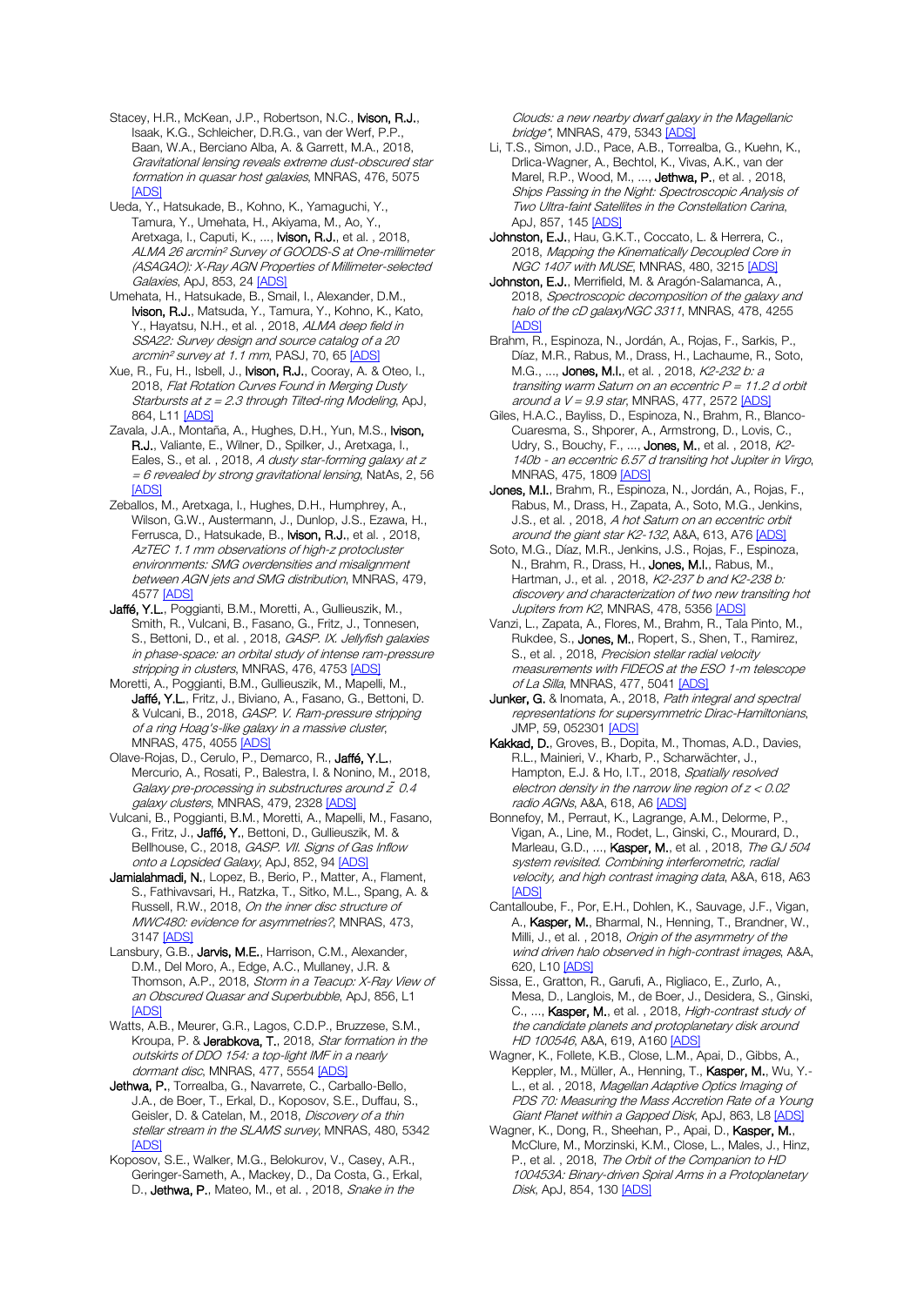Stacey, H.R., McKean, J.P., Robertson, N.C., Ivison, R.J., Isaak, K.G., Schleicher, D.R.G., van der Werf, P.P., Baan, W.A., Berciano Alba, A. & Garrett, M.A., 2018, Gravitational lensing reveals extreme dust-obscured star formation in quasar host galaxies, MNRAS, 476, 5075 [\[ADS\]](https://ui.adsabs.harvard.edu/#abs/2018MNRAS.476.5075S)

Ueda, Y., Hatsukade, B., Kohno, K., Yamaguchi, Y., Tamura, Y., Umehata, H., Akiyama, M., Ao, Y., Aretxaga, I., Caputi, K., ..., Ivison, R.J., et al. , 2018, ALMA 26 arcmin² Survey of GOODS-S at One-millimeter (ASAGAO): X-Ray AGN Properties of Millimeter-selected Galaxies, ApJ, 853, 2[4 \[ADS\]](https://ui.adsabs.harvard.edu/#abs/2018ApJ...853...24U)

Umehata, H., Hatsukade, B., Smail, I., Alexander, D.M., Ivison, R.J., Matsuda, Y., Tamura, Y., Kohno, K., Kato, Y., Hayatsu, N.H., et al., 2018, ALMA deep field in SSA22: Survey design and source catalog of a 20 arcmin<sup>2</sup> survey at 1.1 mm, PASJ, 70, 6[5 \[ADS\]](https://ui.adsabs.harvard.edu/#abs/2018PASJ...70...65U)

Xue, R., Fu, H., Isbell, J., Ivison, R.J., Cooray, A. & Oteo, I., 2018, Flat Rotation Curves Found in Merging Dusty Starbursts at  $z = 2.3$  through Tilted-ring Modeling, ApJ, 864, L1[1 \[ADS\]](https://ui.adsabs.harvard.edu/#abs/2018ApJ...864L..11X)

Zavala, J.A., Montaña, A., Hughes, D.H., Yun, M.S., Ivison, R.J., Valiante, E., Wilner, D., Spilker, J., Aretxaga, I., Eales, S., et al., 2018, A dusty star-forming galaxy at z  $= 6$  revealed by strong gravitational lensing, NatAs, 2, 56 [\[ADS\]](https://ui.adsabs.harvard.edu/#abs/2018NatAs...2...56Z)

Zeballos, M., Aretxaga, I., Hughes, D.H., Humphrey, A., Wilson, G.W., Austermann, J., Dunlop, J.S., Ezawa, H., Ferrusca, D., Hatsukade, B., Ivison, R.J., et al., 2018, AzTEC 1.1 mm observations of high-z protocluster environments: SMG overdensities and misalignment between AGN jets and SMG distribution, MNRAS, 479, 4577 [\[ADS\]](https://ui.adsabs.harvard.edu/#abs/2018MNRAS.479.4577Z)

Jaffé, Y.L., Poggianti, B.M., Moretti, A., Gullieuszik, M., Smith, R., Vulcani, B., Fasano, G., Fritz, J., Tonnesen, S., Bettoni, D., et al., 2018, GASP. IX. Jellyfish galaxies in phase-space: an orbital study of intense ram-pressure stripping in clusters, MNRAS, 476, 4753 [\[ADS\]](https://ui.adsabs.harvard.edu/#abs/2018MNRAS.476.4753J)

Moretti, A., Poggianti, B.M., Gullieuszik, M., Mapelli, M., Jaffé, Y.L., Fritz, J., Biviano, A., Fasano, G., Bettoni, D. & Vulcani, B., 2018, GASP. V. Ram-pressure stripping of a ring Hoag's-like galaxy in a massive cluster, MNRAS, 475, 4055 [\[ADS\]](https://ui.adsabs.harvard.edu/#abs/2018MNRAS.475.4055M)

Olave-Rojas, D., Cerulo, P., Demarco, R., Jaffé, Y.L., Mercurio, A., Rosati, P., Balestra, I. & Nonino, M., 2018, Galaxy pre-processing in substructures around  $\tilde{z}$  0.4 galaxy clusters, MNRAS, 479, 2328 [\[ADS\]](https://ui.adsabs.harvard.edu/#abs/2018MNRAS.479.2328O)

Vulcani, B., Poggianti, B.M., Moretti, A., Mapelli, M., Fasano, G., Fritz, J., Jaffé, Y., Bettoni, D., Gullieuszik, M. & Bellhouse, C., 2018, GASP. VII. Signs of Gas Inflow onto a Lopsided Galaxy, ApJ, 852, 94 [\[ADS\]](https://ui.adsabs.harvard.edu/#abs/2018ApJ...852...94V)

Jamialahmadi, N., Lopez, B., Berio, P., Matter, A., Flament, S., Fathivavsari, H., Ratzka, T., Sitko, M.L., Spang, A. & Russell, R.W., 2018, On the inner disc structure of MWC480: evidence for asymmetries?, MNRAS, 473, 3147 [\[ADS\]](https://ui.adsabs.harvard.edu/#abs/2018MNRAS.473.3147J)

Lansbury, G.B., Jarvis, M.E., Harrison, C.M., Alexander, D.M., Del Moro, A., Edge, A.C., Mullaney, J.R. & Thomson, A.P., 2018, Storm in a Teacup: X-Ray View of an Obscured Quasar and Superbubble, ApJ, 856, L1 [\[ADS\]](https://ui.adsabs.harvard.edu/#abs/2018ApJ...856L...1L)

Watts, A.B., Meurer, G.R., Lagos, C.D.P., Bruzzese, S.M., Kroupa, P. & Jerabkova, T., 2018, Star formation in the outskirts of DDO 154: a top-light IMF in a nearly dormant disc, MNRAS, 477, 555[4 \[ADS\]](https://ui.adsabs.harvard.edu/#abs/2018MNRAS.477.5554W)

Jethwa, P., Torrealba, G., Navarrete, C., Carballo-Bello, J.A., de Boer, T., Erkal, D., Koposov, S.E., Duffau, S., Geisler, D. & Catelan, M., 2018, Discovery of a thin stellar stream in the SLAMS survey, MNRAS, 480, 5342 [\[ADS\]](https://ui.adsabs.harvard.edu/#abs/2018MNRAS.480.5342J)

Koposov, S.E., Walker, M.G., Belokurov, V., Casey, A.R., Geringer-Sameth, A., Mackey, D., Da Costa, G., Erkal, D., Jethwa, P., Mateo, M., et al., 2018, Snake in the

Clouds: a new nearby dwarf galaxy in the Magellanic bridge\*, MNRAS, 479, 5343 [\[ADS\]](https://ui.adsabs.harvard.edu/#abs/2018MNRAS.479.5343K)

Li, T.S., Simon, J.D., Pace, A.B., Torrealba, G., Kuehn, K., Drlica-Wagner, A., Bechtol, K., Vivas, A.K., van der Marel, R.P., Wood, M., ..., Jethwa, P., et al. , 2018, Ships Passing in the Night: Spectroscopic Analysis of Two Ultra-faint Satellites in the Constellation Carina, ApJ, 857, 14[5 \[ADS\]](https://ui.adsabs.harvard.edu/#abs/2018ApJ...857..145L)

Johnston, E.J., Hau, G.K.T., Coccato, L. & Herrera. C., 2018, Mapping the Kinematically Decoupled Core in NGC 1407 with MUSE, MNRAS, 480, 3215 [\[ADS\]](https://ui.adsabs.harvard.edu/#abs/2018MNRAS.480.3215J)

Johnston, E.J., Merrifield, M. & Aragón-Salamanca, A., 2018, Spectroscopic decomposition of the galaxy and halo of the cD galaxyNGC 3311, MNRAS, 478, 4255 [\[ADS\]](https://ui.adsabs.harvard.edu/#abs/2018MNRAS.478.4255J)

Brahm, R., Espinoza, N., Jordán, A., Rojas, F., Sarkis, P., Díaz, M.R., Rabus, M., Drass, H., Lachaume, R., Soto, M.G., ..., **Jones, M.I.**, et al., 2018, K2-232 b: a transiting warm Saturn on an eccentric  $P = 11.2$  d orbit around a  $V = 9.9$  star, MNRAS, 477, 257[2 \[ADS\]](https://ui.adsabs.harvard.edu/#abs/2018MNRAS.477.2572B)

Giles, H.A.C., Bayliss, D., Espinoza, N., Brahm, R., Blanco-Cuaresma, S., Shporer, A., Armstrong, D., Lovis, C., Udry, S., Bouchy, F., ..., **Jones, M.**, et al., 2018, K2-140b - an eccentric 6.57 d transiting hot Jupiter in Virgo, MNRAS, 475, 180[9 \[ADS\]](https://ui.adsabs.harvard.edu/#abs/2018MNRAS.475.1809G)

Jones, M.I., Brahm, R., Espinoza, N., Jordán, A., Rojas, F., Rabus, M., Drass, H., Zapata, A., Soto, M.G., Jenkins, J.S., et al., 2018, A hot Saturn on an eccentric orbit around the giant star K2-132, A&A, 613, A7[6 \[ADS\]](https://ui.adsabs.harvard.edu/#abs/2018A%26A...613A..76J)

Soto, M.G., Díaz, M.R., Jenkins, J.S., Rojas, F., Espinoza, N., Brahm, R., Drass, H., Jones, M.I., Rabus, M., Hartman, J., et al., 2018, K2-237 b and K2-238 b: discovery and characterization of two new transiting hot Jupiters from K2, MNRAS, 478, 535[6 \[ADS\]](https://ui.adsabs.harvard.edu/#abs/2018MNRAS.478.5356S)

Vanzi, L., Zapata, A., Flores, M., Brahm, R., Tala Pinto, M., Rukdee, S., Jones, M., Ropert, S., Shen, T., Ramirez, S., et al., 2018, Precision stellar radial velocity measurements with FIDEOS at the ESO 1-m telescope of La Silla, MNRAS, 477, 504[1 \[ADS\]](https://ui.adsabs.harvard.edu/#abs/2018MNRAS.477.5041V)

Junker, G. & Inomata, A., 2018, Path integral and spectral representations for supersymmetric Dirac-Hamiltonians, JMP, 59, 05230[1 \[ADS\]](https://ui.adsabs.harvard.edu/#abs/2018JMP....59e2301J)

Kakkad, D., Groves, B., Dopita, M., Thomas, A.D., Davies, R.L., Mainieri, V., Kharb, P., Scharwächter, J., Hampton, E.J. & Ho, I.T., 2018, Spatially resolved electron density in the narrow line region of z < 0.02 radio AGNs, A&A, 618, A6 [\[ADS\]](https://ui.adsabs.harvard.edu/#abs/2018A%26A...618A...6K)

Bonnefoy, M., Perraut, K., Lagrange, A.M., Delorme, P., Vigan, A., Line, M., Rodet, L., Ginski, C., Mourard, D., Marleau, G.D., ..., Kasper, M., et al., 2018, The GJ 504 system revisited. Combining interferometric, radial velocity, and high contrast imaging data, A&A, 618, A63 [\[ADS\]](https://ui.adsabs.harvard.edu/#abs/2018A%26A...618A..63B)

Cantalloube, F., Por, E.H., Dohlen, K., Sauvage, J.F., Vigan, A., Kasper, M., Bharmal, N., Henning, T., Brandner, W., Milli, J., et al., 2018, Origin of the asymmetry of the wind driven halo observed in high-contrast images, A&A, 620, L10 [\[ADS\]](https://ui.adsabs.harvard.edu/#abs/2018A%26A...620L..10C)

Sissa, E., Gratton, R., Garufi, A., Rigliaco, E., Zurlo, A., Mesa, D., Langlois, M., de Boer, J., Desidera, S., Ginski, C., ..., Kasper, M., et al., 2018, High-contrast study of the candidate planets and protoplanetary disk around HD 100546, A&A, 619, A160 [\[ADS\]](https://ui.adsabs.harvard.edu/#abs/2018A%26A...619A.160S)

Wagner, K., Follete, K.B., Close, L.M., Apai, D., Gibbs, A., Keppler, M., Müller, A., Henning, T., Kasper, M., Wu, Y. L., et al. , 2018, Magellan Adaptive Optics Imaging of PDS 70: Measuring the Mass Accretion Rate of a Young Giant Planet within a Gapped Disk, ApJ, 863, L[8 \[ADS\]](https://ui.adsabs.harvard.edu/#abs/2018ApJ...863L...8W)

Wagner, K., Dong, R., Sheehan, P., Apai, D., Kasper, M., McClure, M., Morzinski, K.M., Close, L., Males, J., Hinz, P., et al. , 2018, The Orbit of the Companion to HD 100453A: Binary-driven Spiral Arms in a Protoplanetary Disk, ApJ, 854, 13[0 \[ADS\]](https://ui.adsabs.harvard.edu/#abs/2018ApJ...854..130W)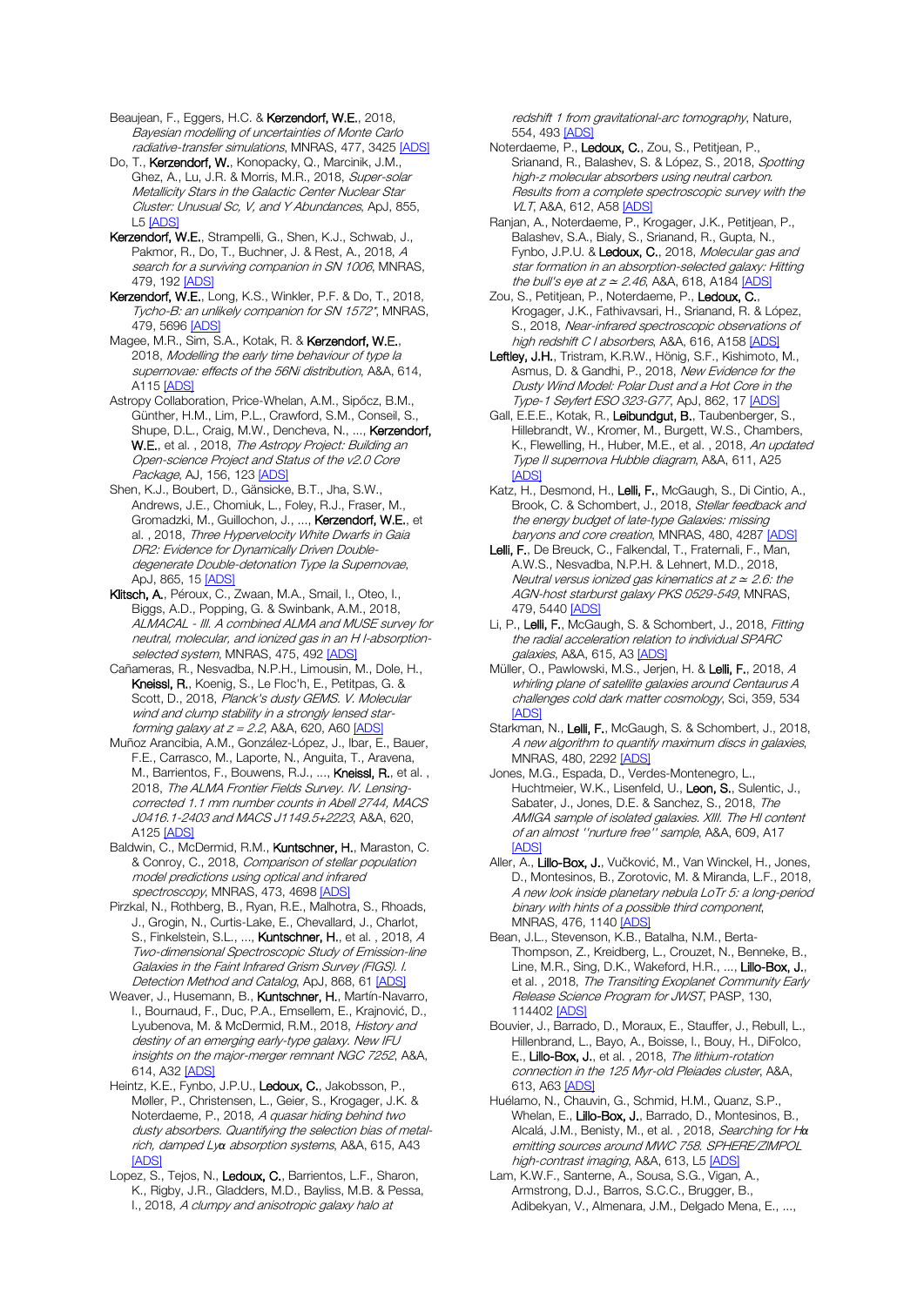Beaujean, F., Eggers, H.C. & Kerzendorf, W.E., 2018, Bayesian modelling of uncertainties of Monte Carlo radiative-transfer simulations, MNRAS, 477, 342[5 \[ADS\]](https://ui.adsabs.harvard.edu/#abs/2018MNRAS.477.3425B)

Do, T., Kerzendorf, W., Konopacky, Q., Marcinik, J.M., Ghez, A., Lu, J.R. & Morris, M.R., 2018, Super-solar Metallicity Stars in the Galactic Center Nuclear Star Cluster: Unusual Sc, V, and Y Abundances, ApJ, 855, L5 [\[ADS\]](https://ui.adsabs.harvard.edu/#abs/2018ApJ...855L...5D)

Kerzendorf, W.E., Strampelli, G., Shen, K.J., Schwab, J., Pakmor, R., Do, T., Buchner, J. & Rest, A., 2018, A search for a surviving companion in SN 1006, MNRAS, 479, 19[2 \[ADS\]](https://ui.adsabs.harvard.edu/#abs/2018MNRAS.479..192K)

Kerzendorf, W.E., Long, K.S., Winkler, P.F. & Do, T., 2018, Tycho-B: an unlikely companion for SN 1572\*, MNRAS, 479, 5696 [\[ADS\]](https://ui.adsabs.harvard.edu/#abs/2018MNRAS.479.5696K)

Magee, M.R., Sim, S.A., Kotak, R. & Kerzendorf, W.E., 2018, Modelling the early time behaviour of type Ia supernovae: effects of the 56Ni distribution, A&A, 614, A11[5 \[ADS\]](https://ui.adsabs.harvard.edu/#abs/2018A%26A...614A.115M)

Astropy Collaboration, Price-Whelan, A.M., Sipőcz, B.M., Günther, H.M., Lim, P.L., Crawford, S.M., Conseil, S., Shupe, D.L., Craig, M.W., Dencheva, N., ..., Kerzendorf, W.E., et al., 2018, The Astropy Project: Building an Open-science Project and Status of the v2.0 Core Package, AJ, 156, 12[3 \[ADS\]](https://ui.adsabs.harvard.edu/#abs/2018AJ....156..123A)

Shen, K.J., Boubert, D., Gänsicke, B.T., Jha, S.W., Andrews, J.E., Chomiuk, L., Foley, R.J., Fraser, M., Gromadzki, M., Guillochon, J., ..., Kerzendorf, W.E., et al., 2018, Three Hypervelocity White Dwarfs in Gaia DR2: Evidence for Dynamically Driven Doubledegenerate Double-detonation Type Ia Supernovae, ApJ, 865, 15 [\[ADS\]](https://ui.adsabs.harvard.edu/#abs/2018ApJ...865...15S)

Klitsch, A., Péroux, C., Zwaan, M.A., Smail, I., Oteo, I., Biggs, A.D., Popping, G. & Swinbank, A.M., 2018, ALMACAL - III. A combined ALMA and MUSE survey for neutral, molecular, and ionized gas in an H I-absorption-selected system, MNRAS, 475, 49[2 \[ADS\]](https://ui.adsabs.harvard.edu/#abs/2018MNRAS.475..492K)

Cañameras, R., Nesvadba, N.P.H., Limousin, M., Dole, H., Kneissl, R., Koenig, S., Le Floc'h, E., Petitpas, G. & Scott, D., 2018, Planck's dusty GEMS. V. Molecular wind and clump stability in a strongly lensed starforming galaxy at  $z = 2.2$ , A&A, 620, A60 [\[ADS\]](https://ui.adsabs.harvard.edu/#abs/2018A%26A...620A..60C)

Muñoz Arancibia, A.M., González-López, J., Ibar, E., Bauer, F.E., Carrasco, M., Laporte, N., Anguita, T., Aravena, M., Barrientos, F., Bouwens, R.J., ..., Kneissl, R., et al., 2018, The ALMA Frontier Fields Survey. IV. Lensingcorrected 1.1 mm number counts in Abell 2744, MACS J0416.1-2403 and MACS J1149.5+2223, A&A, 620, A12[5 \[ADS\]](https://ui.adsabs.harvard.edu/#abs/2018A%26A...620A.125M)

Baldwin, C., McDermid, R.M., Kuntschner, H., Maraston, C. & Conroy, C., 2018, Comparison of stellar population model predictions using optical and infrared spectroscopy, MNRAS, 473, 469[8 \[ADS\]](https://ui.adsabs.harvard.edu/#abs/2018MNRAS.473.4698B)

Pirzkal, N., Rothberg, B., Ryan, R.E., Malhotra, S., Rhoads, J., Grogin, N., Curtis-Lake, E., Chevallard, J., Charlot, S., Finkelstein, S.L., ..., Kuntschner, H., et al., 2018, A Two-dimensional Spectroscopic Study of Emission-line Galaxies in the Faint Infrared Grism Survey (FIGS). I. Detection Method and Catalog, ApJ, 868, 6[1 \[ADS\]](https://ui.adsabs.harvard.edu/#abs/2018ApJ...868...61P)

Weaver, J., Husemann, B., Kuntschner, H., Martín-Navarro, I., Bournaud, F., Duc, P.A., Emsellem, E., Krajnović, D., Lyubenova, M. & McDermid, R.M., 2018, History and destiny of an emerging early-type galaxy. New IFU insights on the major-merger remnant NGC 7252, A&A, 614, A32 [\[ADS\]](https://ui.adsabs.harvard.edu/#abs/2018A%26A...614A..32W)

Heintz, K.E., Fynbo, J.P.U., Ledoux, C., Jakobsson, P., Møller, P., Christensen, L., Geier, S., Krogager, J.K. & Noterdaeme, P., 2018, A quasar hiding behind two dusty absorbers. Quantifying the selection bias of metalrich, damped Ly*α* absorption systems, A&A, 615, A43 [\[ADS\]](https://ui.adsabs.harvard.edu/#abs/2018A%26A...615A..43H)

Lopez, S., Tejos, N., Ledoux, C., Barrientos, L.F., Sharon, K., Rigby, J.R., Gladders, M.D., Bayliss, M.B. & Pessa, I., 2018, A clumpy and anisotropic galaxy halo at

redshift 1 from gravitational-arc tomography, Nature, 554, 493 [\[ADS\]](https://ui.adsabs.harvard.edu/#abs/2018Natur.554..493L)

Noterdaeme, P., Ledoux, C., Zou, S., Petitjean, P., Srianand, R., Balashev, S. & López, S., 2018, Spotting high-z molecular absorbers using neutral carbon. Results from a complete spectroscopic survey with the VLT, A&A, 612, A5[8 \[ADS\]](https://ui.adsabs.harvard.edu/#abs/2018A%26A...612A..58N)

Ranjan, A., Noterdaeme, P., Krogager, J.K., Petitjean, P., Balashev, S.A., Bialy, S., Srianand, R., Gupta, N., Fynbo, J.P.U. & Ledoux, C., 2018, Molecular gas and star formation in an absorption-selected galaxy: Hitting the bull's eye at  $z \approx 2.46$ , A&A, 618, A184 [\[ADS\]](https://ui.adsabs.harvard.edu/#abs/2018A%26A...618A.184R)

Zou, S., Petitjean, P., Noterdaeme, P., Ledoux, C., Krogager, J.K., Fathivavsari, H., Srianand, R. & López, S., 2018, Near-infrared spectroscopic observations of high redshift C I absorbers, A&A, 616, A158 [\[ADS\]](https://ui.adsabs.harvard.edu/#abs/2018A%26A...616A.158Z)

Leftley, J.H., Tristram, K.R.W., Hönig, S.F., Kishimoto, M., Asmus, D. & Gandhi, P., 2018, New Evidence for the Dusty Wind Model: Polar Dust and a Hot Core in the Type-1 Seyfert ESO 323-G77, ApJ, 862, 17 [\[ADS\]](https://ui.adsabs.harvard.edu/#abs/2018ApJ...862...17L)

Gall, E.E.E., Kotak, R., Leibundgut, B., Taubenberger, S., Hillebrandt, W., Kromer, M., Burgett, W.S., Chambers, K., Flewelling, H., Huber, M.E., et al., 2018, An updated Type II supernova Hubble diagram, A&A, 611, A25 [\[ADS\]](https://ui.adsabs.harvard.edu/#abs/2018A%26A...611A..25G)

Katz, H., Desmond, H., Lelli, F., McGaugh, S., Di Cintio, A., Brook, C. & Schombert, J., 2018, Stellar feedback and the energy budget of late-type Galaxies: missing baryons and core creation, MNRAS, 480, 428[7 \[ADS\]](https://ui.adsabs.harvard.edu/#abs/2018MNRAS.480.4287K)

Lelli, F., De Breuck, C., Falkendal, T., Fraternali, F., Man, A.W.S., Nesvadba, N.P.H. & Lehnert, M.D., 2018, Neutral versus ionized gas kinematics at  $z \approx 2.6$ : the AGN-host starburst galaxy PKS 0529-549, MNRAS, 479, 544[0 \[ADS\]](https://ui.adsabs.harvard.edu/#abs/2018MNRAS.479.5440L)

Li, P., Lelli, F., McGaugh, S. & Schombert, J., 2018, Fitting the radial acceleration relation to individual SPARC galaxies, A&A, 615, A[3 \[ADS\]](https://ui.adsabs.harvard.edu/#abs/2018A%26A...615A...3L)

Müller, O., Pawlowski, M.S., Jerjen, H. & Lelli, F., 2018, A whirling plane of satellite galaxies around Centaurus A challenges cold dark matter cosmology, Sci, 359, 534 [\[ADS\]](https://ui.adsabs.harvard.edu/#abs/2018Sci...359..534M)

Starkman, N., Lelli, F., McGaugh, S. & Schombert, J., 2018, A new algorithm to quantify maximum discs in galaxies, MNRAS, 480, 229[2 \[ADS\]](https://ui.adsabs.harvard.edu/#abs/2018MNRAS.480.2292S)

Jones, M.G., Espada, D., Verdes-Montenegro, L., Huchtmeier, W.K., Lisenfeld, U., Leon, S., Sulentic, J., Sabater, J., Jones, D.E. & Sanchez, S., 2018, The AMIGA sample of isolated galaxies. XIII. The HI content of an almost ''nurture free'' sample, A&A, 609, A17 [\[ADS\]](https://ui.adsabs.harvard.edu/#abs/2018A%26A...609A..17J)

Aller, A., Lillo-Box, J., Vučković, M., Van Winckel, H., Jones, D., Montesinos, B., Zorotovic, M. & Miranda, L.F., 2018, A new look inside planetary nebula LoTr 5: a long-period binary with hints of a possible third component, MNRAS, 476, 114[0 \[ADS\]](https://ui.adsabs.harvard.edu/#abs/2018MNRAS.476.1140A)

Bean, J.L., Stevenson, K.B., Batalha, N.M., Berta-Thompson, Z., Kreidberg, L., Crouzet, N., Benneke, B., Line, M.R., Sing, D.K., Wakeford, H.R., ..., Lillo-Box, J., et al., 2018, The Transiting Exoplanet Community Early Release Science Program for JWST, PASP, 130, 11440[2 \[ADS\]](https://ui.adsabs.harvard.edu/#abs/2018PASP..130k4402B)

Bouvier, J., Barrado, D., Moraux, E., Stauffer, J., Rebull, L., Hillenbrand, L., Bayo, A., Boisse, I., Bouy, H., DiFolco, E., Lillo-Box, J., et al., 2018, The lithium-rotation connection in the 125 Myr-old Pleiades cluster, A&A, 613, A6[3 \[ADS\]](https://ui.adsabs.harvard.edu/#abs/2018A%26A...613A..63B)

Huélamo, N., Chauvin, G., Schmid, H.M., Quanz, S.P., Whelan, E., Lillo-Box, J., Barrado, D., Montesinos, B., Alcalá, J.M., Benisty, M., et al. , 2018, Searching for H*α* emitting sources around MWC 758. SPHERE/ZIMPOL high-contrast imaging, A&A, 613, L[5 \[ADS\]](https://ui.adsabs.harvard.edu/#abs/2018A%26A...613L...5H)

Lam, K.W.F., Santerne, A., Sousa, S.G., Vigan, A., Armstrong, D.J., Barros, S.C.C., Brugger, B., Adibekyan, V., Almenara, J.M., Delgado Mena, E., ...,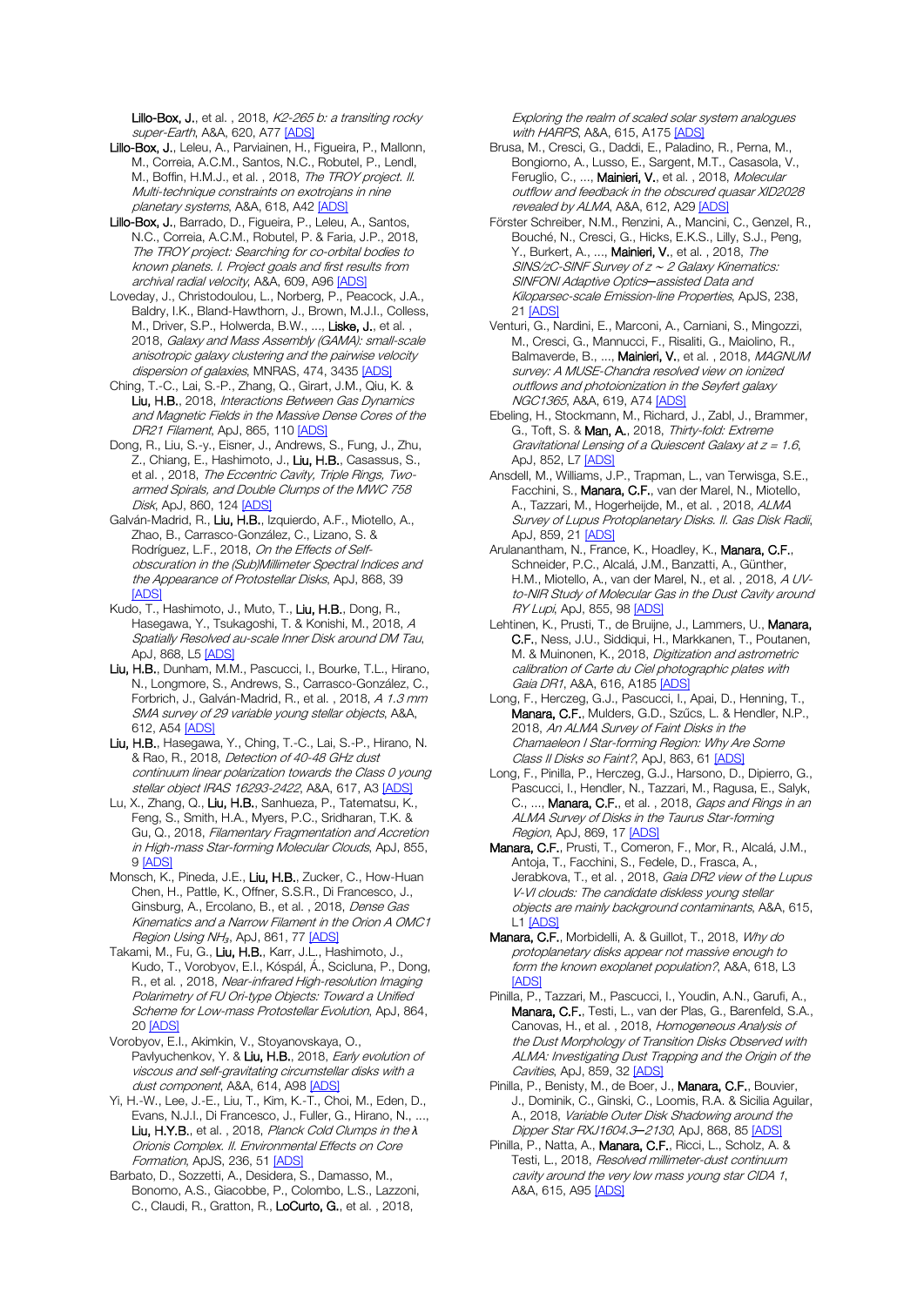Lillo-Box, J., et al., 2018, K2-265 b: a transiting rocky super-Earth, A&A, 620, A7[7 \[ADS\]](https://ui.adsabs.harvard.edu/#abs/2018A%26A...620A..77L)

- Lillo-Box, J., Leleu, A., Parviainen, H., Figueira, P., Mallonn, M., Correia, A.C.M., Santos, N.C., Robutel, P., Lendl, M., Boffin, H.M.J., et al., 2018, The TROY project. II. Multi-technique constraints on exotrojans in nine planetary systems, A&A, 618, A42 [\[ADS\]](https://ui.adsabs.harvard.edu/#abs/2018A%26A...618A..42L)
- Lillo-Box, J., Barrado, D., Figueira, P., Leleu, A., Santos, N.C., Correia, A.C.M., Robutel, P. & Faria, J.P., 2018, The TROY project: Searching for co-orbital bodies to known planets. I. Project goals and first results from archival radial velocity, A&A, 609, A96 [\[ADS\]](https://ui.adsabs.harvard.edu/#abs/2018A%26A...609A..96L)
- Loveday, J., Christodoulou, L., Norberg, P., Peacock, J.A., Baldry, I.K., Bland-Hawthorn, J., Brown, M.J.I., Colless, M., Driver, S.P., Holwerda, B.W., ..., Liske, J., et al., 2018, Galaxy and Mass Assembly (GAMA): small-scale anisotropic galaxy clustering and the pairwise velocity dispersion of galaxies, MNRAS, 474, 343[5 \[ADS\]](https://ui.adsabs.harvard.edu/#abs/2018MNRAS.474.3435L)
- Ching, T.-C., Lai, S.-P., Zhang, Q., Girart, J.M., Qiu, K. & Liu, H.B., 2018, Interactions Between Gas Dynamics and Magnetic Fields in the Massive Dense Cores of the DR21 Filament, ApJ, 865, 11[0 \[ADS\]](https://ui.adsabs.harvard.edu/#abs/2018ApJ...865..110C)
- Dong, R., Liu, S.-y., Eisner, J., Andrews, S., Fung, J., Zhu, Z., Chiang, E., Hashimoto, J., Liu, H.B., Casassus, S., et al. , 2018, The Eccentric Cavity, Triple Rings, Twoarmed Spirals, and Double Clumps of the MWC 758 Disk, ApJ, 860, 12[4 \[ADS\]](https://ui.adsabs.harvard.edu/#abs/2018ApJ...860..124D)
- Galván-Madrid, R., Liu, H.B., Izquierdo, A.F., Miotello, A., Zhao, B., Carrasco-González, C., Lizano, S. & Rodríguez, L.F., 2018, On the Effects of Selfobscuration in the (Sub)Millimeter Spectral Indices and the Appearance of Protostellar Disks, ApJ, 868, 39 **[\[ADS\]](https://ui.adsabs.harvard.edu/#abs/2018ApJ...868...39G)**
- Kudo, T., Hashimoto, J., Muto, T., Liu, H.B., Dong, R., Hasegawa, Y., Tsukagoshi, T. & Konishi, M., 2018, A Spatially Resolved au-scale Inner Disk around DM Tau, ApJ, 868, L5 [\[ADS\]](https://ui.adsabs.harvard.edu/#abs/2018ApJ...868L...5K)
- Liu, H.B., Dunham, M.M., Pascucci, I., Bourke, T.L., Hirano, N., Longmore, S., Andrews, S., Carrasco-González, C., Forbrich, J., Galván-Madrid, R., et al. , 2018, A 1.3 mm SMA survey of 29 variable young stellar objects, A&A, 612, A54 [\[ADS\]](https://ui.adsabs.harvard.edu/#abs/2018A%26A...612A..54L)
- Liu, H.B., Hasegawa, Y., Ching, T.-C., Lai, S.-P., Hirano, N. & Rao, R., 2018, Detection of 40-48 GHz dust continuum linear polarization towards the Class 0 young stellar object IRAS 16293-2422, A&A, 617, A[3 \[ADS\]](https://ui.adsabs.harvard.edu/#abs/2018A%26A...617A...3L)
- Lu, X., Zhang, Q., Liu, H.B., Sanhueza, P., Tatematsu, K., Feng, S., Smith, H.A., Myers, P.C., Sridharan, T.K. & Gu, Q., 2018, Filamentary Fragmentation and Accretion in High-mass Star-forming Molecular Clouds, ApJ, 855, [9 \[ADS\]](https://ui.adsabs.harvard.edu/#abs/2018ApJ...855....9L)
- Monsch, K., Pineda, J.E., Liu, H.B., Zucker, C., How-Huan Chen, H., Pattle, K., Offner, S.S.R., Di Francesco, J., Ginsburg, A., Ercolano, B., et al., 2018, Dense Gas Kinematics and a Narrow Filament in the Orion A OMC1 Region Using NH<sub>3</sub>, ApJ, 861, 77 [\[ADS\]](https://ui.adsabs.harvard.edu/#abs/2018ApJ...861...77M)
- Takami, M., Fu, G., Liu, H.B., Karr, J.L., Hashimoto, J., Kudo, T., Vorobyov, E.I., Kóspál, Á., Scicluna, P., Dong, R., et al., 2018, Near-infrared High-resolution Imaging Polarimetry of FU Ori-type Objects: Toward a Unified Scheme for Low-mass Protostellar Evolution, ApJ, 864, 20 [\[ADS\]](https://ui.adsabs.harvard.edu/#abs/2018ApJ...864...20T)
- Vorobyov, E.I., Akimkin, V., Stoyanovskaya, O., Pavlyuchenkov, Y. & Liu, H.B., 2018, Early evolution of viscous and self-gravitating circumstellar disks with a dust component, A&A, 614, A9[8 \[ADS\]](https://ui.adsabs.harvard.edu/#abs/2018A%26A...614A..98V)
- Yi, H.-W., Lee, J.-E., Liu, T., Kim, K.-T., Choi, M., Eden, D., Evans, N.J.I., Di Francesco, J., Fuller, G., Hirano, N., .... Liu, H.Y.B., et al. , 2018, Planck Cold Clumps in the *λ* Orionis Complex. II. Environmental Effects on Core Formation, ApJS, 236, 5[1 \[ADS\]](https://ui.adsabs.harvard.edu/#abs/2018ApJS..236...51Y)
- Barbato, D., Sozzetti, A., Desidera, S., Damasso, M., Bonomo, A.S., Giacobbe, P., Colombo, L.S., Lazzoni, C., Claudi, R., Gratton, R., LoCurto, G., et al., 2018,

Exploring the realm of scaled solar system analogues with HARPS, A&A, 615, A17[5 \[ADS\]](https://ui.adsabs.harvard.edu/#abs/2018A%26A...615A.175B)

- Brusa, M., Cresci, G., Daddi, E., Paladino, R., Perna, M., Bongiorno, A., Lusso, E., Sargent, M.T., Casasola, V., Feruglio, C., ..., Mainieri, V., et al., 2018, Molecular outflow and feedback in the obscured quasar XID2028 revealed by ALMA, A&A, 612, A2[9 \[ADS\]](https://ui.adsabs.harvard.edu/#abs/2018A%26A...612A..29B)
- Förster Schreiber, N.M., Renzini, A., Mancini, C., Genzel, R., Bouché, N., Cresci, G., Hicks, E.K.S., Lilly, S.J., Peng, Y., Burkert, A., ..., Mainieri, V., et al., 2018, The SINS/zC-SINF Survey of z <sup>∼</sup> 2 Galaxy Kinematics: SINFONI Adaptive Optics*─*assisted Data and Kiloparsec-scale Emission-line Properties, ApJS, 238, 21 [\[ADS\]](https://ui.adsabs.harvard.edu/#abs/2018ApJS..238...21F)
- Venturi, G., Nardini, E., Marconi, A., Carniani, S., Mingozzi, M., Cresci, G., Mannucci, F., Risaliti, G., Maiolino, R., Balmaverde, B., ..., Mainieri, V., et al., 2018, MAGNUM survey: A MUSE-Chandra resolved view on ionized outflows and photoionization in the Seyfert galaxy NGC1365, A&A, 619, A7[4 \[ADS\]](https://ui.adsabs.harvard.edu/#abs/2018A%26A...619A..74V)
- Ebeling, H., Stockmann, M., Richard, J., Zabl, J., Brammer, G., Toft, S. & Man, A., 2018, Thirty-fold: Extreme Gravitational Lensing of a Quiescent Galaxy at  $z = 1.6$ , ApJ, 852, L[7 \[ADS\]](https://ui.adsabs.harvard.edu/#abs/2018ApJ...852L...7E)
- Ansdell, M., Williams, J.P., Trapman, L., van Terwisga, S.E., Facchini, S., Manara, C.F., van der Marel, N., Miotello, A., Tazzari, M., Hogerheijde, M., et al. , 2018, ALMA Survey of Lupus Protoplanetary Disks. II. Gas Disk Radii, ApJ, 859, 2[1 \[ADS\]](https://ui.adsabs.harvard.edu/#abs/2018ApJ...859...21A)
- Arulanantham, N., France, K., Hoadley, K., Manara, C.F., Schneider, P.C., Alcalá, J.M., Banzatti, A., Günther, H.M., Miotello, A., van der Marel, N., et al. , 2018, A UVto-NIR Study of Molecular Gas in the Dust Cavity around RY Lupi, ApJ, 855, 9[8 \[ADS\]](https://ui.adsabs.harvard.edu/#abs/2018ApJ...855...98A)
- Lehtinen, K., Prusti, T., de Bruijne, J., Lammers, U., Manara, C.F., Ness, J.U., Siddiqui, H., Markkanen, T., Poutanen, M. & Muinonen, K., 2018, Digitization and astrometric calibration of Carte du Ciel photographic plates with Gaia DR1, A&A, 616, A18[5 \[ADS\]](https://ui.adsabs.harvard.edu/#abs/2018A%26A...616A.185L)
- Long, F., Herczeg, G.J., Pascucci, I., Apai, D., Henning, T., Manara, C.F., Mulders, G.D., Szűcs, L. & Hendler, N.P., 2018, An ALMA Survey of Faint Disks in the Chamaeleon I Star-forming Region: Why Are Some Class II Disks so Faint?, ApJ, 863, 6[1 \[ADS\]](https://ui.adsabs.harvard.edu/#abs/2018ApJ...863...61L)
- Long, F., Pinilla, P., Herczeg, G.J., Harsono, D., Dipierro, G., Pascucci, I., Hendler, N., Tazzari, M., Ragusa, E., Salyk, C., ..., Manara, C.F., et al., 2018, Gaps and Rings in an ALMA Survey of Disks in the Taurus Star-forming Region, ApJ, 869, 1[7 \[ADS\]](https://ui.adsabs.harvard.edu/#abs/2018ApJ...869...17L)
- Manara, C.F., Prusti, T., Comeron, F., Mor, R., Alcalá, J.M., Antoja, T., Facchini, S., Fedele, D., Frasca, A., Jerabkova, T., et al., 2018, Gaia DR2 view of the Lupus V-VI clouds: The candidate diskless young stellar objects are mainly background contaminants, A&A, 615, L[1 \[ADS\]](https://ui.adsabs.harvard.edu/#abs/2018A%26A...615L...1M)
- Manara, C.F., Morbidelli, A. & Guillot, T., 2018, Why do protoplanetary disks appear not massive enough to form the known exoplanet population?, A&A, 618, L3 **[\[ADS\]](https://ui.adsabs.harvard.edu/#abs/2018A%26A...618L...3M)**
- Pinilla, P., Tazzari, M., Pascucci, I., Youdin, A.N., Garufi, A., Manara, C.F., Testi, L., van der Plas, G., Barenfeld, S.A., Canovas, H., et al. , 2018, Homogeneous Analysis of the Dust Morphology of Transition Disks Observed with ALMA: Investigating Dust Trapping and the Origin of the Cavities, ApJ, 859, 32 [\[ADS\]](https://ui.adsabs.harvard.edu/#abs/2018ApJ...859...32P)
- Pinilla, P., Benisty, M., de Boer, J., Manara, C.F., Bouvier, J., Dominik, C., Ginski, C., Loomis, R.A. & Sicilia Aguilar, A., 2018, Variable Outer Disk Shadowing around the Dipper Star RXJ1604.3*─*2130, ApJ, 868, 8[5 \[ADS\]](https://ui.adsabs.harvard.edu/#abs/2018ApJ...868...85P)
- Pinilla, P., Natta, A., Manara, C.F., Ricci, L., Scholz, A. & Testi, L., 2018, Resolved millimeter-dust continuum cavity around the very low mass young star CIDA 1, A&A, 615, A9[5 \[ADS\]](https://ui.adsabs.harvard.edu/#abs/2018A%26A...615A..95P)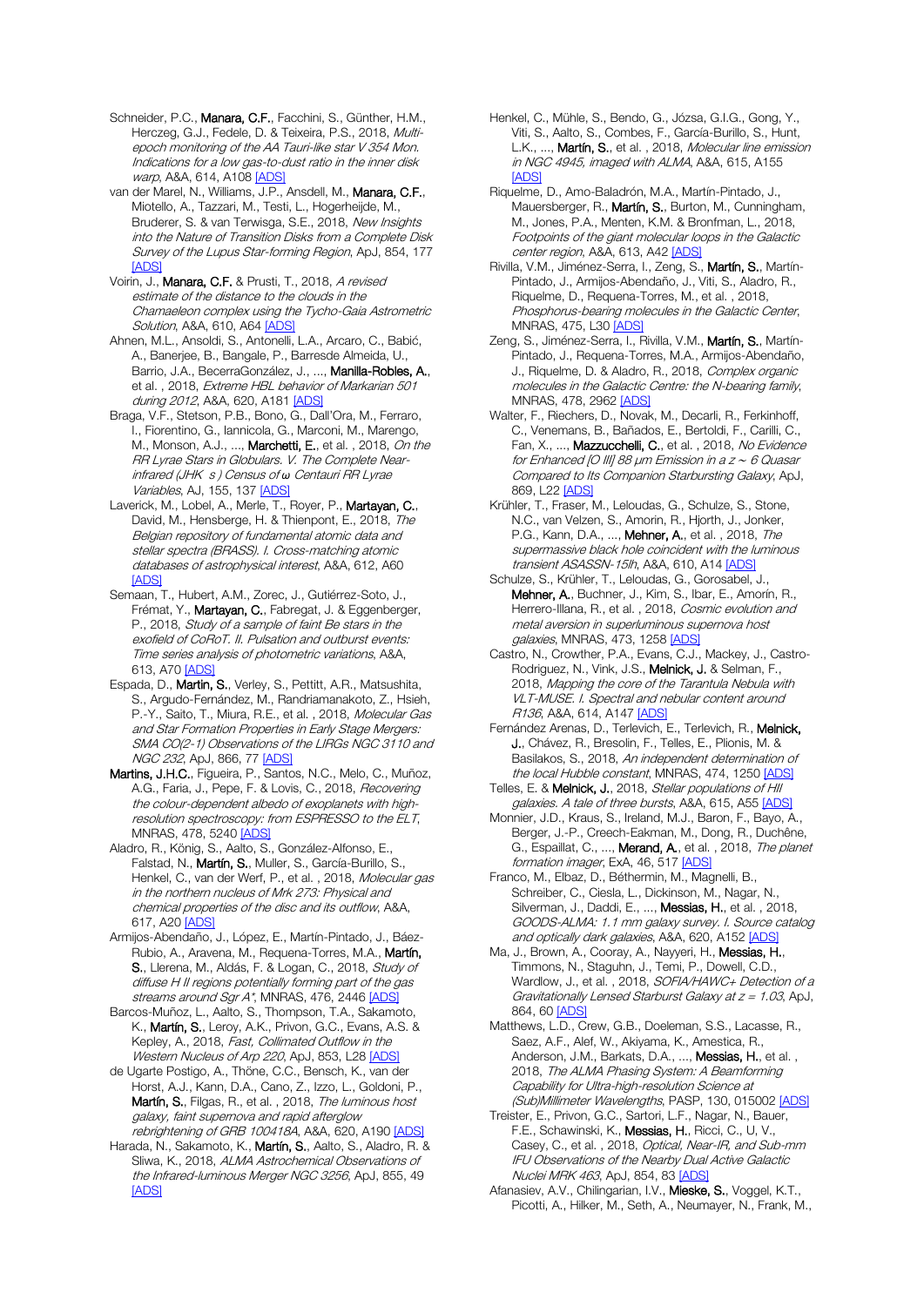Schneider, P.C., Manara, C.F., Facchini, S., Günther, H.M., Herczeg, G.J., Fedele, D. & Teixeira, P.S., 2018, Multiepoch monitoring of the AA Tauri-like star V 354 Mon. Indications for a low gas-to-dust ratio in the inner disk warp, A&A, 614, A10[8 \[ADS\]](https://ui.adsabs.harvard.edu/#abs/2018A%26A...614A.108S)

van der Marel, N., Williams, J.P., Ansdell, M., Manara, C.F., Miotello, A., Tazzari, M., Testi, L., Hogerheijde, M., Bruderer, S. & van Terwisga, S.E., 2018, New Insights into the Nature of Transition Disks from a Complete Disk Survey of the Lupus Star-forming Region, ApJ, 854, 177 [\[ADS\]](https://ui.adsabs.harvard.edu/#abs/2018ApJ...854..177V)

Voirin, J., Manara, C.F. & Prusti, T., 2018, A revised estimate of the distance to the clouds in the Chamaeleon complex using the Tycho-Gaia Astrometric Solution, A&A, 610, A6[4 \[ADS\]](https://ui.adsabs.harvard.edu/#abs/2018A%26A...610A..64V)

Ahnen, M.L., Ansoldi, S., Antonelli, L.A., Arcaro, C., Babić, A., Banerjee, B., Bangale, P., Barresde Almeida, U., Barrio, J.A., BecerraGonzález, J., ..., Manilla-Robles, A., et al. , 2018, Extreme HBL behavior of Markarian 501 during 2012, A&A, 620, A181 [\[ADS\]](https://ui.adsabs.harvard.edu/#abs/2018A%26A...620A.181A)

Braga, V.F., Stetson, P.B., Bono, G., Dall'Ora, M., Ferraro, I., Fiorentino, G., Iannicola, G., Marconi, M., Marengo, M., Monson, A.J., ..., Marchetti, E., et al., 2018, On the RR Lyrae Stars in Globulars. V. The Complete Nearinfrared (JHK s ) Census of *ω* Centauri RR Lyrae Variables, AJ, 155, 13[7 \[ADS\]](https://ui.adsabs.harvard.edu/#abs/2018AJ....155..137B)

Laverick, M., Lobel, A., Merle, T., Royer, P., Martayan, C., David, M., Hensberge, H. & Thienpont, E., 2018, The Belgian repository of fundamental atomic data and stellar spectra (BRASS). I. Cross-matching atomic databases of astrophysical interest, A&A, 612, A60 [\[ADS\]](https://ui.adsabs.harvard.edu/#abs/2018A%26A...612A..60L)

Semaan, T., Hubert, A.M., Zorec, J., Gutiérrez-Soto, J., Frémat, Y., Martayan, C., Fabregat, J. & Eggenberger, P., 2018, Study of a sample of faint Be stars in the exofield of CoRoT. II. Pulsation and outburst events: Time series analysis of photometric variations, A&A, 613, A70 [\[ADS\]](https://ui.adsabs.harvard.edu/#abs/2018A%26A...613A..70S)

Espada, D., Martin, S., Verley, S., Pettitt, A.R., Matsushita, S., Argudo-Fernández, M., Randriamanakoto, Z., Hsieh, P.-Y., Saito, T., Miura, R.E., et al., 2018, Molecular Gas and Star Formation Properties in Early Stage Mergers: SMA CO(2-1) Observations of the LIRGs NGC 3110 and NGC 232, ApJ, 866, 7[7 \[ADS\]](https://ui.adsabs.harvard.edu/#abs/2018ApJ...866...77E)

Martins, J.H.C., Figueira, P., Santos, N.C., Melo, C., Muñoz, A.G., Faria, J., Pepe, F. & Lovis, C., 2018, Recovering the colour-dependent albedo of exoplanets with highresolution spectroscopy: from ESPRESSO to the ELT, MNRAS, 478, 5240 [\[ADS\]](https://ui.adsabs.harvard.edu/#abs/2018MNRAS.478.5240M)

Aladro, R., König, S., Aalto, S., González-Alfonso, E., Falstad, N., Martín, S., Muller, S., García-Burillo, S., Henkel, C., van der Werf, P., et al., 2018, Molecular gas in the northern nucleus of Mrk 273: Physical and chemical properties of the disc and its outflow, A&A, 617, A20 [\[ADS\]](https://ui.adsabs.harvard.edu/#abs/2018A%26A...617A..20A)

Armijos-Abendaño, J., López, E., Martín-Pintado, J., Báez-Rubio, A., Aravena, M., Requena-Torres, M.A., Martín, S., Llerena, M., Aldás, F. & Logan, C., 2018, Study of diffuse H II regions potentially forming part of the gas streams around Sqr A\*, MNRAS, 476, 2446 [\[ADS\]](https://ui.adsabs.harvard.edu/#abs/2018MNRAS.476.2446A)

Barcos-Muñoz, L., Aalto, S., Thompson, T.A., Sakamoto, K., Martín, S., Leroy, A.K., Privon, G.C., Evans, A.S. & Kepley, A., 2018, Fast, Collimated Outflow in the Western Nucleus of Arp 220, ApJ, 853, L28 [\[ADS\]](https://ui.adsabs.harvard.edu/#abs/2018ApJ...853L..28B)

de Ugarte Postigo, A., Thöne, C.C., Bensch, K., van der Horst, A.J., Kann, D.A., Cano, Z., Izzo, L., Goldoni, P., Martín, S., Filgas, R., et al., 2018, The luminous host galaxy, faint supernova and rapid afterglow rebrightening of GRB 100418A, A&A, 620, A190 [\[ADS\]](https://ui.adsabs.harvard.edu/#abs/2018A%26A...620A.190D)

Harada, N., Sakamoto, K., Martín, S., Aalto, S., Aladro, R. & Sliwa, K., 2018, ALMA Astrochemical Observations of the Infrared-luminous Merger NGC 3256, ApJ, 855, 49 **[\[ADS\]](https://ui.adsabs.harvard.edu/#abs/2018ApJ...855...49H)** 

Henkel, C., Mühle, S., Bendo, G., Józsa, G.I.G., Gong, Y., Viti, S., Aalto, S., Combes, F., García-Burillo, S., Hunt, L.K., ..., Martín, S., et al., 2018, Molecular line emission in NGC 4945, imaged with ALMA, A&A, 615, A155 [\[ADS\]](https://ui.adsabs.harvard.edu/#abs/2018A%26A...615A.155H)

Riquelme, D., Amo-Baladrón, M.A., Martín-Pintado, J., Mauersberger, R., Martín, S., Burton, M., Cunningham, M., Jones, P.A., Menten, K.M. & Bronfman, L., 2018, Footpoints of the giant molecular loops in the Galactic center region, A&A, 613, A42 [\[ADS\]](https://ui.adsabs.harvard.edu/#abs/2018A%26A...613A..42R)

Rivilla, V.M., Jiménez-Serra, I., Zeng, S., Martín, S., Martín-Pintado, J., Armijos-Abendaño, J., Viti, S., Aladro, R., Riquelme, D., Requena-Torres, M., et al. , 2018, Phosphorus-bearing molecules in the Galactic Center, MNRAS, 475, L3[0 \[ADS\]](https://ui.adsabs.harvard.edu/#abs/2018MNRAS.475L..30R)

Zeng, S., Jiménez-Serra, I., Rivilla, V.M., Martín, S., Martín-Pintado, J., Requena-Torres, M.A., Armijos-Abendaño, J., Riquelme, D. & Aladro, R., 2018, Complex organic molecules in the Galactic Centre: the N-bearing family, MNRAS, 478, 296[2 \[ADS\]](https://ui.adsabs.harvard.edu/#abs/2018MNRAS.478.2962Z)

Walter, F., Riechers, D., Novak, M., Decarli, R., Ferkinhoff, C., Venemans, B., Bañados, E., Bertoldi, F., Carilli, C., Fan, X., ..., Mazzucchelli, C., et al., 2018, No Evidence for Enhanced [O III] 88 μm Emission in a z <sup>∼</sup> 6 Quasar Compared to Its Companion Starbursting Galaxy, ApJ, 869, L22 [\[ADS\]](https://ui.adsabs.harvard.edu/#abs/2018ApJ...869L..22W)

Krühler, T., Fraser, M., Leloudas, G., Schulze, S., Stone, N.C., van Velzen, S., Amorin, R., Hjorth, J., Jonker, P.G., Kann, D.A., ..., Mehner, A., et al. , 2018, The supermassive black hole coincident with the luminous transient ASASSN-15lh, A&A, 610, A1[4 \[ADS\]](https://ui.adsabs.harvard.edu/#abs/2018A%26A...610A..14K)

Schulze, S., Krühler, T., Leloudas, G., Gorosabel, J., Mehner, A., Buchner, J., Kim, S., Ibar, E., Amorín, R., Herrero-Illana, R., et al., 2018, Cosmic evolution and metal aversion in superluminous supernova host galaxies, MNRAS, 473, 125[8 \[ADS\]](https://ui.adsabs.harvard.edu/#abs/2018MNRAS.473.1258S)

Castro, N., Crowther, P.A., Evans, C.J., Mackey, J., Castro-Rodriguez, N., Vink, J.S., Melnick, J. & Selman, F., 2018, Mapping the core of the Tarantula Nebula with VLT-MUSE. I. Spectral and nebular content around R136, A&A, 614, A14[7 \[ADS\]](https://ui.adsabs.harvard.edu/#abs/2018A%26A...614A.147C)

Fernández Arenas, D., Terlevich, E., Terlevich, R., Melnick, J., Chávez, R., Bresolin, F., Telles, E., Plionis, M. & Basilakos, S., 2018, An independent determination of the local Hubble constant, MNRAS, 474, 1250 [\[ADS\]](https://ui.adsabs.harvard.edu/#abs/2018MNRAS.474.1250F)

Telles, E. & Melnick, J., 2018, Stellar populations of HII galaxies. A tale of three bursts, A&A, 615, A5[5 \[ADS\]](https://ui.adsabs.harvard.edu/#abs/2018A%26A...615A..55T)

Monnier, J.D., Kraus, S., Ireland, M.J., Baron, F., Bayo, A., Berger, J.-P., Creech-Eakman, M., Dong, R., Duchêne, G., Espaillat, C., ..., Merand, A., et al., 2018, The planet formation imager, ExA, 46, 51[7 \[ADS\]](https://ui.adsabs.harvard.edu/#abs/2018ExA....46..517M)

Franco, M., Elbaz, D., Béthermin, M., Magnelli, B., Schreiber, C., Ciesla, L., Dickinson, M., Nagar, N., Silverman, J., Daddi, E., ..., Messias, H., et al. , 2018, GOODS-ALMA: 1.1 mm galaxy survey. I. Source catalog and optically dark galaxies, A&A, 620, A15[2 \[ADS\]](https://ui.adsabs.harvard.edu/#abs/2018A%26A...620A.152F)

Ma, J., Brown, A., Cooray, A., Nayyeri, H., Messias, H., Timmons, N., Staguhn, J., Temi, P., Dowell, C.D., Wardlow, J., et al., 2018, SOFIA/HAWC+ Detection of a Gravitationally Lensed Starburst Galaxy at  $z = 1.03$ , ApJ, 864, 6[0 \[ADS\]](https://ui.adsabs.harvard.edu/#abs/2018ApJ...864...60M)

Matthews, L.D., Crew, G.B., Doeleman, S.S., Lacasse, R., Saez, A.F., Alef, W., Akiyama, K., Amestica, R., Anderson, J.M., Barkats, D.A., ..., Messias, H., et al., 2018, The ALMA Phasing System: A Beamforming Capability for Ultra-high-resolution Science at (Sub)Millimeter Wavelengths, PASP, 130, 015002 [\[ADS\]](https://ui.adsabs.harvard.edu/#abs/2018PASP..130a5002M)

Treister, E., Privon, G.C., Sartori, L.F., Nagar, N., Bauer, F.E., Schawinski, K., Messias, H., Ricci, C., U, V., Casey, C., et al. , 2018, Optical, Near-IR, and Sub-mm IFU Observations of the Nearby Dual Active Galactic Nuclei MRK 463, ApJ, 854, 8[3 \[ADS\]](https://ui.adsabs.harvard.edu/#abs/2018ApJ...854...83T)

Afanasiev, A.V., Chilingarian, I.V., Mieske, S., Voggel, K.T., Picotti, A., Hilker, M., Seth, A., Neumayer, N., Frank, M.,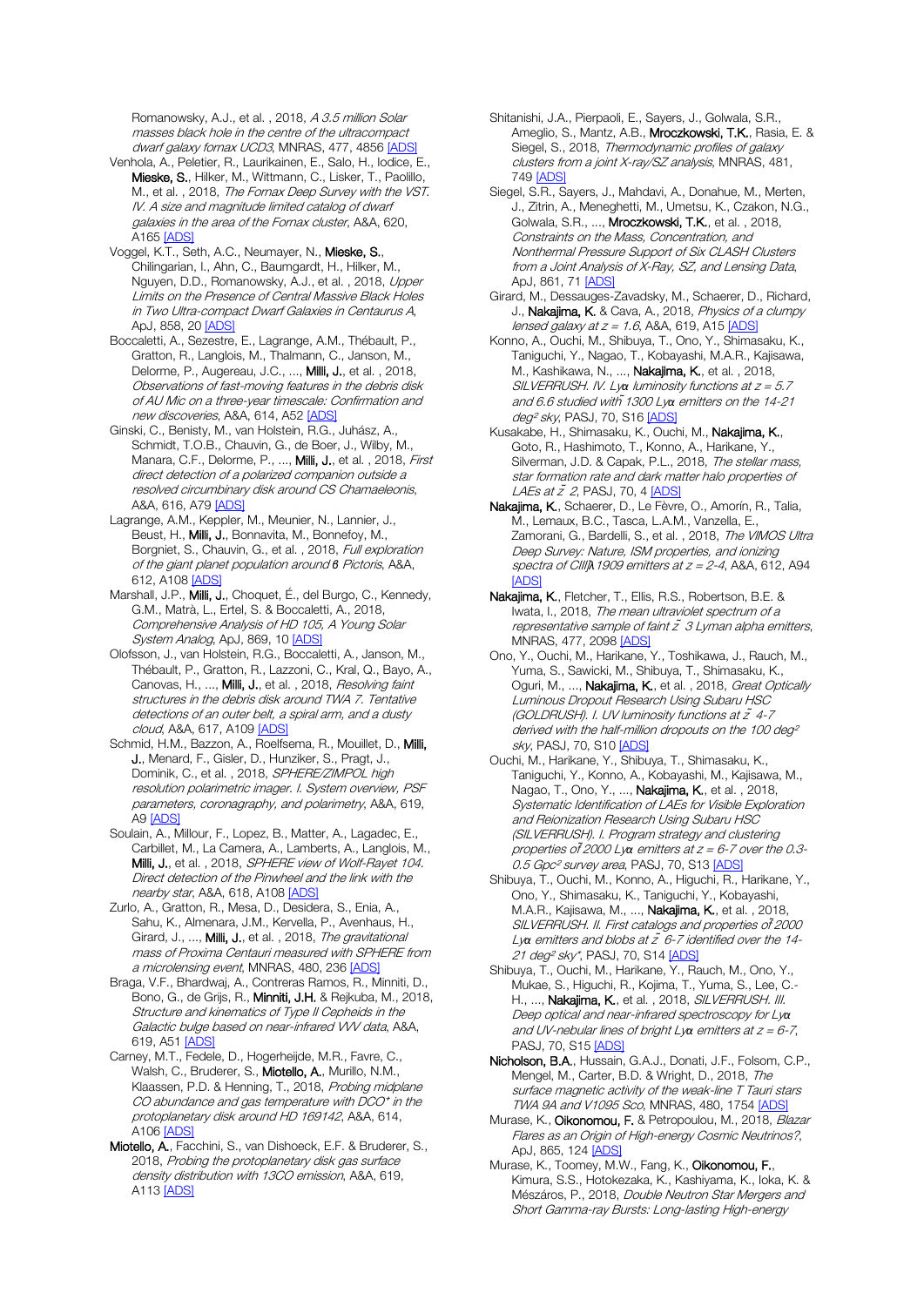Romanowsky, A.J., et al., 2018, A 3.5 million Solar masses black hole in the centre of the ultracompact dwarf galaxy fornax UCD3, MNRAS, 477, 485[6 \[ADS\]](https://ui.adsabs.harvard.edu/#abs/2018MNRAS.477.4856A)

Venhola, A., Peletier, R., Laurikainen, E., Salo, H., Iodice, E., Mieske, S., Hilker, M., Wittmann, C., Lisker, T., Paolillo, M., et al., 2018, The Fornax Deep Survey with the VST. IV. A size and magnitude limited catalog of dwarf galaxies in the area of the Fornax cluster, A&A, 620, A16[5 \[ADS\]](https://ui.adsabs.harvard.edu/#abs/2018A%26A...620A.165V)

Voggel, K.T., Seth, A.C., Neumayer, N., Mieske, S., Chilingarian, I., Ahn, C., Baumgardt, H., Hilker, M., Nguyen, D.D., Romanowsky, A.J., et al., 2018, Upper Limits on the Presence of Central Massive Black Holes in Two Ultra-compact Dwarf Galaxies in Centaurus A, ApJ, 858, 20 [\[ADS\]](https://ui.adsabs.harvard.edu/#abs/2018ApJ...858...20V)

Boccaletti, A., Sezestre, E., Lagrange, A.M., Thébault, P., Gratton, R., Langlois, M., Thalmann, C., Janson, M., Delorme, P., Augereau, J.C., ..., Milli, J., et al. , 2018, Observations of fast-moving features in the debris disk of AU Mic on a three-year timescale: Confirmation and new discoveries, A&A, 614, A52 [\[ADS\]](https://ui.adsabs.harvard.edu/#abs/2018A%26A...614A..52B)

Ginski, C., Benisty, M., van Holstein, R.G., Juhász, A., Schmidt, T.O.B., Chauvin, G., de Boer, J., Wilby, M., Manara, C.F., Delorme, P., ..., Milli, J., et al., 2018, First direct detection of a polarized companion outside a resolved circumbinary disk around CS Chamaeleonis, A&A, 616, A7[9 \[ADS\]](https://ui.adsabs.harvard.edu/#abs/2018A%26A...616A..79G)

Lagrange, A.M., Keppler, M., Meunier, N., Lannier, J., Beust, H., Milli, J., Bonnavita, M., Bonnefoy, M., Borgniet, S., Chauvin, G., et al. , 2018, Full exploration of the giant planet population around *β* Pictoris, A&A, 612, A10[8 \[ADS\]](https://ui.adsabs.harvard.edu/#abs/2018A%26A...612A.108L)

Marshall, J.P., Milli, J., Choquet, É., del Burgo, C., Kennedy, G.M., Matrà, L., Ertel, S. & Boccaletti, A., 2018, Comprehensive Analysis of HD 105, A Young Solar System Analog, ApJ, 869, 1[0 \[ADS\]](https://ui.adsabs.harvard.edu/#abs/2018ApJ...869...10M)

Olofsson, J., van Holstein, R.G., Boccaletti, A., Janson, M., Thébault, P., Gratton, R., Lazzoni, C., Kral, Q., Bayo, A., Canovas, H., ..., Milli, J., et al., 2018, Resolving faint structures in the debris disk around TWA 7. Tentative detections of an outer belt, a spiral arm, and a dusty cloud, A&A, 617, A109 [\[ADS\]](https://ui.adsabs.harvard.edu/#abs/2018A%26A...617A.109O)

Schmid, H.M., Bazzon, A., Roelfsema, R., Mouillet, D., Milli, J., Menard, F., Gisler, D., Hunziker, S., Pragt, J., Dominik, C., et al., 2018, SPHERE/ZIMPOL high resolution polarimetric imager. I. System overview, PSF parameters, coronagraphy, and polarimetry, A&A, 619, A[9 \[ADS\]](https://ui.adsabs.harvard.edu/#abs/2018A%26A...619A...9S)

Soulain, A., Millour, F., Lopez, B., Matter, A., Lagadec, E., Carbillet, M., La Camera, A., Lamberts, A., Langlois, M., Milli, J., et al., 2018, SPHERE view of Wolf-Rayet 104. Direct detection of the Pinwheel and the link with the nearby star, A&A, 618, A108 [\[ADS\]](https://ui.adsabs.harvard.edu/#abs/2018A%26A...618A.108S)

Zurlo, A., Gratton, R., Mesa, D., Desidera, S., Enia, A., Sahu, K., Almenara, J.M., Kervella, P., Avenhaus, H., Girard, J., ..., Milli, J., et al., 2018, The gravitational mass of Proxima Centauri measured with SPHERE from a microlensing event, MNRAS, 480, 23[6 \[ADS\]](https://ui.adsabs.harvard.edu/#abs/2018MNRAS.480..236Z)

Braga, V.F., Bhardwaj, A., Contreras Ramos, R., Minniti, D., Bono, G., de Grijs, R., Minniti, J.H. & Rejkuba, M., 2018, Structure and kinematics of Type II Cepheids in the Galactic bulge based on near-infrared VVV data, A&A, 619, A51 [\[ADS\]](https://ui.adsabs.harvard.edu/#abs/2018A%26A...619A..51B)

Carney, M.T., Fedele, D., Hogerheijde, M.R., Favre, C., Walsh, C., Bruderer, S., Miotello, A., Murillo, N.M., Klaassen, P.D. & Henning, T., 2018, Probing midplane  $CO$  abundance and gas temperature with  $DCO<sup>+</sup>$  in the protoplanetary disk around HD 169142, A&A, 614, A10[6 \[ADS\]](https://ui.adsabs.harvard.edu/#abs/2018A%26A...614A.106C)

Miotello, A., Facchini, S., van Dishoeck, E.F. & Bruderer, S., 2018, Probing the protoplanetary disk gas surface density distribution with 13CO emission, A&A, 619, A11[3 \[ADS\]](https://ui.adsabs.harvard.edu/#abs/2018A%26A...619A.113M)

Shitanishi, J.A., Pierpaoli, E., Sayers, J., Golwala, S.R., Ameglio, S., Mantz, A.B., Mroczkowski, T.K., Rasia, E. & Siegel, S., 2018, Thermodynamic profiles of galaxy clusters from a joint X-ray/SZ analysis, MNRAS, 481, 74[9 \[ADS\]](https://ui.adsabs.harvard.edu/#abs/2018MNRAS.481..749S)

Siegel, S.R., Sayers, J., Mahdavi, A., Donahue, M., Merten, J., Zitrin, A., Meneghetti, M., Umetsu, K., Czakon, N.G., Golwala, S.R., ..., Mroczkowski, T.K., et al. , 2018, Constraints on the Mass, Concentration, and Nonthermal Pressure Support of Six CLASH Clusters from a Joint Analysis of X-Ray, SZ, and Lensing Data, ApJ, 861, 7[1 \[ADS\]](https://ui.adsabs.harvard.edu/#abs/2018ApJ...861...71S)

Girard, M., Dessauges-Zavadsky, M., Schaerer, D., Richard, J., Nakajima, K. & Cava, A., 2018, Physics of a clumpy lensed galaxy at  $z = 1.6$ , A&A, 619, A15 [\[ADS\]](https://ui.adsabs.harvard.edu/#abs/2018A%26A...619A..15G)

Konno, A., Ouchi, M., Shibuya, T., Ono, Y., Shimasaku, K., Taniguchi, Y., Nagao, T., Kobayashi, M.A.R., Kajisawa, M., Kashikawa, N., ..., Nakajima, K., et al. , 2018, SILVERRUSH. IV. Ly*α* luminosity functions at z = 5.7 and 6.6 studied with *̃*1300 Ly*α* emitters on the 14-21 deg<sup>2</sup> sky, PASJ, 70, S16 [\[ADS\]](https://ui.adsabs.harvard.edu/#abs/2018PASJ...70S..16K)

Kusakabe, H., Shimasaku, K., Ouchi, M., Nakajima, K., Goto, R., Hashimoto, T., Konno, A., Harikane, Y., Silverman, J.D. & Capak, P.L., 2018, The stellar mass, star formation rate and dark matter halo properties of LAEs at  $\tilde{z}$  2, PASJ, 70, [4 \[ADS\]](https://ui.adsabs.harvard.edu/#abs/2018PASJ...70....4K)

Nakajima, K., Schaerer, D., Le Fèvre, O., Amorín, R., Talia, M., Lemaux, B.C., Tasca, L.A.M., Vanzella, E., Zamorani, G., Bardelli, S., et al., 2018, The VIMOS Ultra Deep Survey: Nature, ISM properties, and ionizing spectra of CIII]*λ*1909 emitters at z = 2-4, A&A, 612, A94 [\[ADS\]](https://ui.adsabs.harvard.edu/#abs/2018A%26A...612A..94N)

Nakajima, K., Fletcher, T., Ellis, R.S., Robertson, B.E. & Iwata, I., 2018, The mean ultraviolet spectrum of a representative sample of faint  $\tilde{z}$  3 Lyman alpha emitters, MNRAS, 477, 209[8 \[ADS\]](https://ui.adsabs.harvard.edu/#abs/2018MNRAS.477.2098N)

Ono, Y., Ouchi, M., Harikane, Y., Toshikawa, J., Rauch, M., Yuma, S., Sawicki, M., Shibuya, T., Shimasaku, K., Oguri, M., ..., Nakajima, K., et al., 2018, Great Optically Luminous Dropout Research Using Subaru HSC (GOLDRUSH). I. UV luminosity functions at z *̃*4-7 derived with the half-million dropouts on the 100 deg<sup>2</sup> sky, PASJ, 70, S10 [\[ADS\]](https://ui.adsabs.harvard.edu/#abs/2018PASJ...70S..10O)

Ouchi, M., Harikane, Y., Shibuya, T., Shimasaku, K., Taniguchi, Y., Konno, A., Kobayashi, M., Kajisawa, M., Nagao, T., Ono, Y., ..., Nakajima, K., et al. , 2018, Systematic Identification of LAEs for Visible Exploration and Reionization Research Using Subaru HSC (SILVERRUSH). I. Program strategy and clustering properties of *̃*2000 Ly*α* emitters at z = 6-7 over the 0.3- 0.5 Gpc<sup>2</sup> survey area, PASJ, 70, S1[3 \[ADS\]](https://ui.adsabs.harvard.edu/#abs/2018PASJ...70S..13O)

Shibuya, T., Ouchi, M., Konno, A., Higuchi, R., Harikane, Y., Ono, Y., Shimasaku, K., Taniguchi, Y., Kobayashi, M.A.R., Kajisawa, M., ..., Nakajima, K., et al. , 2018, SILVERRUSH. II. First catalogs and properties of *̃*2000 Ly*α* emitters and blobs at z *̃*6-7 identified over the 14- 21 deg<sup>2</sup> sky<sup>\*</sup>, PASJ, 70, S14 [\[ADS\]](https://ui.adsabs.harvard.edu/#abs/2018PASJ...70S..14S)

Shibuya, T., Ouchi, M., Harikane, Y., Rauch, M., Ono, Y., Mukae, S., Higuchi, R., Kojima, T., Yuma, S., Lee, C.- H., ..., Nakajima, K., et al., 2018, SILVERRUSH. III. Deep optical and near-infrared spectroscopy for Ly*α* and UV-nebular lines of bright Ly*α* emitters at z = 6-7, PASJ, 70, S15 [\[ADS\]](https://ui.adsabs.harvard.edu/#abs/2018PASJ...70S..15S)

Nicholson, B.A., Hussain, G.A.J., Donati, J.F., Folsom, C.P., Mengel, M., Carter, B.D. & Wright, D., 2018, The surface magnetic activity of the weak-line T Tauri stars TWA 9A and V1095 Sco, MNRAS, 480, 175[4 \[ADS\]](https://ui.adsabs.harvard.edu/#abs/2018MNRAS.480.1754N)

Murase, K., Oikonomou, F. & Petropoulou, M., 2018, Blazar Flares as an Origin of High-energy Cosmic Neutrinos?, ApJ, 865, 12[4 \[ADS\]](https://ui.adsabs.harvard.edu/#abs/2018ApJ...865..124M)

Murase, K., Toomey, M.W., Fang, K., Oikonomou, F., Kimura, S.S., Hotokezaka, K., Kashiyama, K., Ioka, K. & Mészáros, P., 2018, Double Neutron Star Mergers and Short Gamma-ray Bursts: Long-lasting High-energy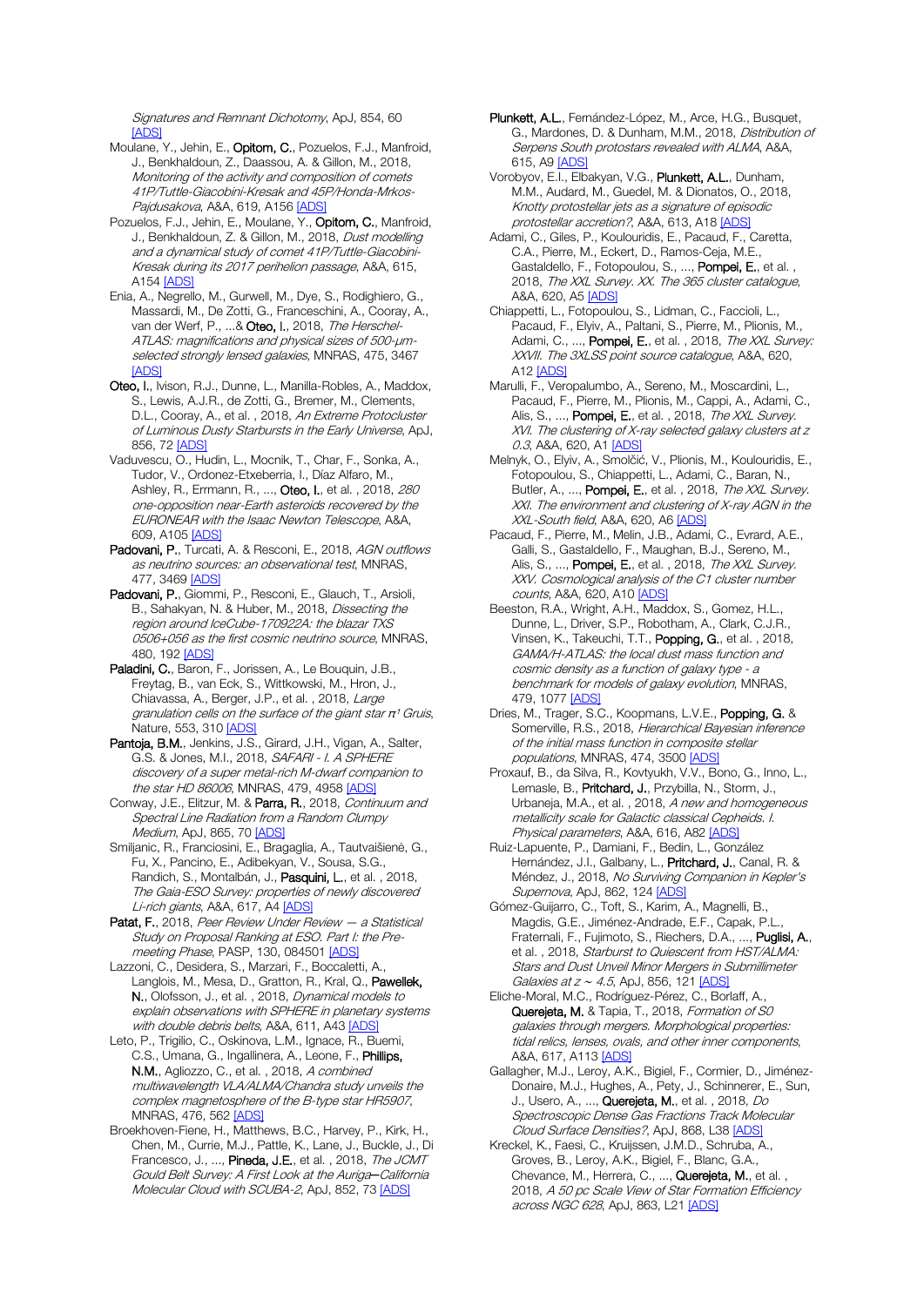Signatures and Remnant Dichotomy, ApJ, 854, 60 [\[ADS\]](https://ui.adsabs.harvard.edu/#abs/2018ApJ...854...60M)

- Moulane, Y., Jehin, E., Opitom, C., Pozuelos, F.J., Manfroid, J., Benkhaldoun, Z., Daassou, A. & Gillon, M., 2018, Monitoring of the activity and composition of comets 41P/Tuttle-Giacobini-Kresak and 45P/Honda-Mrkos-Pajdusakova, A&A, 619, A15[6 \[ADS\]](https://ui.adsabs.harvard.edu/#abs/2018A%26A...619A.156M)
- Pozuelos, F.J., Jehin, E., Moulane, Y., Opitom, C., Manfroid, J., Benkhaldoun, Z. & Gillon, M., 2018, Dust modelling and a dynamical study of comet 41P/Tuttle-Giacobini-Kresak during its 2017 perihelion passage, A&A, 615, A15[4 \[ADS\]](https://ui.adsabs.harvard.edu/#abs/2018A%26A...615A.154P)
- Enia, A., Negrello, M., Gurwell, M., Dye, S., Rodighiero, G., Massardi, M., De Zotti, G., Franceschini, A., Cooray, A., van der Werf, P., ...& Oteo, I., 2018, The Herschel-ATLAS: magnifications and physical sizes of 500-μmselected strongly lensed galaxies, MNRAS, 475, 3467 [\[ADS\]](https://ui.adsabs.harvard.edu/#abs/2018MNRAS.475.3467E)
- Oteo, I., Ivison, R.J., Dunne, L., Manilla-Robles, A., Maddox, S., Lewis, A.J.R., de Zotti, G., Bremer, M., Clements, D.L., Cooray, A., et al., 2018, An Extreme Protocluster of Luminous Dusty Starbursts in the Early Universe, ApJ, 856, 72 [\[ADS\]](https://ui.adsabs.harvard.edu/#abs/2018ApJ...856...72O)
- Vaduvescu, O., Hudin, L., Mocnik, T., Char, F., Sonka, A., Tudor, V., Ordonez-Etxeberria, I., Díaz Alfaro, M., Ashley, R., Errmann, R., ..., Oteo, I., et al., 2018, 280 one-opposition near-Earth asteroids recovered by the EURONEAR with the Isaac Newton Telescope, A&A, 609, A10[5 \[ADS\]](https://ui.adsabs.harvard.edu/#abs/2018A%26A...609A.105V)
- Padovani, P., Turcati, A. & Resconi, E., 2018, AGN outflows as neutrino sources: an observational test, MNRAS, 477, 3469 [\[ADS\]](https://ui.adsabs.harvard.edu/#abs/2018MNRAS.477.3469P)
- Padovani, P., Giommi, P., Resconi, E., Glauch, T., Arsioli, B., Sahakyan, N. & Huber, M., 2018, Dissecting the region around IceCube-170922A: the blazar TXS 0506+056 as the first cosmic neutrino source, MNRAS, 480, 19[2 \[ADS\]](https://ui.adsabs.harvard.edu/#abs/2018MNRAS.480..192P)
- Paladini, C., Baron, F., Jorissen, A., Le Bouquin, J.B., Freytag, B., van Eck, S., Wittkowski, M., Hron, J., Chiavassa, A., Berger, J.P., et al. , 2018, Large granulation cells on the surface of the giant star  $\pi$ <sup>1</sup> Gruis, Nature, 553, 310 [\[ADS\]](https://ui.adsabs.harvard.edu/#abs/2018Natur.553..310P)
- Pantoja, B.M., Jenkins, J.S., Girard, J.H., Vigan, A., Salter, G.S. & Jones, M.I., 2018, SAFARI - I. A SPHERE discovery of a super metal-rich M-dwarf companion to the star HD 86006, MNRAS, 479, 495[8 \[ADS\]](https://ui.adsabs.harvard.edu/#abs/2018MNRAS.479.4958P)
- Conway, J.E., Elitzur, M. & Parra, R., 2018, Continuum and Spectral Line Radiation from a Random Clumpy Medium, ApJ, 865, 7[0 \[ADS\]](https://ui.adsabs.harvard.edu/#abs/2018ApJ...865...70C)
- Smiljanic, R., Franciosini, E., Bragaglia, A., Tautvaišienė, G., Fu, X., Pancino, E., Adibekyan, V., Sousa, S.G., Randich, S., Montalbán, J., Pasquini, L., et al., 2018, The Gaia-ESO Survey: properties of newly discovered Li-rich giants, A&A, 617, A[4 \[ADS\]](https://ui.adsabs.harvard.edu/#abs/2018A%26A...617A...4S)
- Patat, F., 2018, Peer Review Under Review a Statistical Study on Proposal Ranking at ESO. Part I: the Pre-meeting Phase, PASP, 130, 084501 [\[ADS\]](https://ui.adsabs.harvard.edu/#abs/2018PASP..130h4501P)
- Lazzoni, C., Desidera, S., Marzari, F., Boccaletti, A., Langlois, M., Mesa, D., Gratton, R., Kral, Q., Pawellek, N., Olofsson, J., et al. , 2018, Dynamical models to explain observations with SPHERE in planetary systems with double debris belts, A&A, 611, A4[3 \[ADS\]](https://ui.adsabs.harvard.edu/#abs/2018A%26A...611A..43L)
- Leto, P., Trigilio, C., Oskinova, L.M., Ignace, R., Buemi, C.S., Umana, G., Ingallinera, A., Leone, F., Phillips, N.M., Agliozzo, C., et al., 2018, A combined multiwavelength VLA/ALMA/Chandra study unveils the complex magnetosphere of the B-type star HR5907, MNRAS, 476, 56[2 \[ADS\]](https://ui.adsabs.harvard.edu/#abs/2018MNRAS.476..562L)
- Broekhoven-Fiene, H., Matthews, B.C., Harvey, P., Kirk, H., Chen, M., Currie, M.J., Pattle, K., Lane, J., Buckle, J., Di Francesco, J., ..., Pineda, J.E., et al., 2018, The JCMT Gould Belt Survey: A First Look at the Auriga*─*California Molecular Cloud with SCUBA-2, ApJ, 852, 73 [\[ADS\]](https://ui.adsabs.harvard.edu/#abs/2018ApJ...852...73B)
- Plunkett, A.L., Fernández-López, M., Arce, H.G., Busquet, G., Mardones, D. & Dunham, M.M., 2018, Distribution of Serpens South protostars revealed with ALMA, A&A, 615, A[9 \[ADS\]](https://ui.adsabs.harvard.edu/#abs/2018A%26A...615A...9P)
- Vorobyov, E.I., Elbakyan, V.G., Plunkett, A.L., Dunham, M.M., Audard, M., Guedel, M. & Dionatos, O., 2018, Knotty protostellar jets as a signature of episodic protostellar accretion?, A&A, 613, A1[8 \[ADS\]](https://ui.adsabs.harvard.edu/#abs/2018A%26A...613A..18V)
- Adami, C., Giles, P., Koulouridis, E., Pacaud, F., Caretta, C.A., Pierre, M., Eckert, D., Ramos-Ceja, M.E., Gastaldello, F., Fotopoulou, S., ..., Pompei, E., et al. , 2018, The XXL Survey. XX. The 365 cluster catalogue, A&A, 620, A[5 \[ADS\]](https://ui.adsabs.harvard.edu/#abs/2018A%26A...620A...5A)
- Chiappetti, L., Fotopoulou, S., Lidman, C., Faccioli, L., Pacaud, F., Elyiv, A., Paltani, S., Pierre, M., Plionis, M., Adami, C., ..., Pompei, E., et al., 2018, The XXL Survey: XXVII. The 3XLSS point source catalogue, A&A, 620, A12 [\[ADS\]](https://ui.adsabs.harvard.edu/#abs/2018A%26A...620A..12C)
- Marulli, F., Veropalumbo, A., Sereno, M., Moscardini, L., Pacaud, F., Pierre, M., Plionis, M., Cappi, A., Adami, C., Alis, S., ..., Pompei, E., et al., 2018, The XXL Survey. XVI. The clustering of X-ray selected galaxy clusters at z 0.3, A&A, 620, A[1 \[ADS\]](https://ui.adsabs.harvard.edu/#abs/2018A%26A...620A...1M)
- Melnyk, O., Elyiv, A., Smolčić, V., Plionis, M., Koulouridis, E., Fotopoulou, S., Chiappetti, L., Adami, C., Baran, N., Butler, A., ..., Pompei, E., et al., 2018, The XXL Survey. XXI. The environment and clustering of X-ray AGN in the XXL-South field, A&A, 620, A6 [\[ADS\]](https://ui.adsabs.harvard.edu/#abs/2018A%26A...620A...6M)
- Pacaud, F., Pierre, M., Melin, J.B., Adami, C., Evrard, A.E., Galli, S., Gastaldello, F., Maughan, B.J., Sereno, M., Alis, S., ..., **Pompei, E.**, et al., 2018, *The XXL Survey.* XXV. Cosmological analysis of the C1 cluster number counts, A&A, 620, A10 [\[ADS\]](https://ui.adsabs.harvard.edu/#abs/2018A%26A...620A..10P)
- Beeston, R.A., Wright, A.H., Maddox, S., Gomez, H.L. Dunne, L., Driver, S.P., Robotham, A., Clark, C.J.R., Vinsen, K., Takeuchi, T.T., Popping, G., et al. , 2018, GAMA/H-ATLAS: the local dust mass function and cosmic density as a function of galaxy type - <sup>a</sup> benchmark for models of galaxy evolution, MNRAS, 479, 107[7 \[ADS\]](https://ui.adsabs.harvard.edu/#abs/2018MNRAS.479.1077B)
- Dries, M., Trager, S.C., Koopmans, L.V.E., Popping, G. & Somerville, R.S., 2018, Hierarchical Bayesian inference of the initial mass function in composite stellar populations, MNRAS, 474, 350[0 \[ADS\]](https://ui.adsabs.harvard.edu/#abs/2018MNRAS.474.3500D)
- Proxauf, B., da Silva, R., Kovtyukh, V.V., Bono, G., Inno, L., Lemasle, B., Pritchard, J., Przybilla, N., Storm, J., Urbaneja, M.A., et al. , 2018, A new and homogeneous metallicity scale for Galactic classical Cepheids. I. Physical parameters, A&A, 616, A82 [\[ADS\]](https://ui.adsabs.harvard.edu/#abs/2018A%26A...616A..82P)
- Ruiz-Lapuente, P., Damiani, F., Bedin, L., González Hernández, J.I., Galbany, L., Pritchard, J., Canal, R. & Méndez, J., 2018, No Surviving Companion in Kepler's Supernova, ApJ, 862, 124 [\[ADS\]](https://ui.adsabs.harvard.edu/#abs/2018ApJ...862..124R)
- Gómez-Guijarro, C., Toft, S., Karim, A., Magnelli, B., Magdis, G.E., Jiménez-Andrade, E.F., Capak, P.L. Fraternali, F., Fujimoto, S., Riechers, D.A., ..., Puglisi, A., et al., 2018, Starburst to Quiescent from HST/ALMA: Stars and Dust Unveil Minor Mergers in Submillimeter Galaxies at z ~ 4.5, ApJ, 856, 12[1 \[ADS\]](https://ui.adsabs.harvard.edu/#abs/2018ApJ...856..121G)
- Eliche-Moral, M.C., Rodríguez-Pérez, C., Borlaff, A., Querejeta, M. & Tapia, T., 2018, Formation of SO galaxies through mergers. Morphological properties: tidal relics, lenses, ovals, and other inner components, A&A, 617, A11[3 \[ADS\]](https://ui.adsabs.harvard.edu/#abs/2018A%26A...617A.113E)
- Gallagher, M.J., Leroy, A.K., Bigiel, F., Cormier, D., Jiménez-Donaire, M.J., Hughes, A., Pety, J., Schinnerer, E., Sun, J., Usero, A., ..., Querejeta, M., et al. , 2018, Do Spectroscopic Dense Gas Fractions Track Molecular Cloud Surface Densities?, ApJ, 868, L3[8 \[ADS\]](https://ui.adsabs.harvard.edu/#abs/2018ApJ...868L..38G)
- Kreckel, K., Faesi, C., Kruijssen, J.M.D., Schruba, A., Groves, B., Leroy, A.K., Bigiel, F., Blanc, G.A., Chevance, M., Herrera, C., ..., Querejeta, M., et al., 2018, A 50 pc Scale View of Star Formation Efficiency across NGC 628, ApJ, 863, L21 [\[ADS\]](https://ui.adsabs.harvard.edu/#abs/2018ApJ...863L..21K)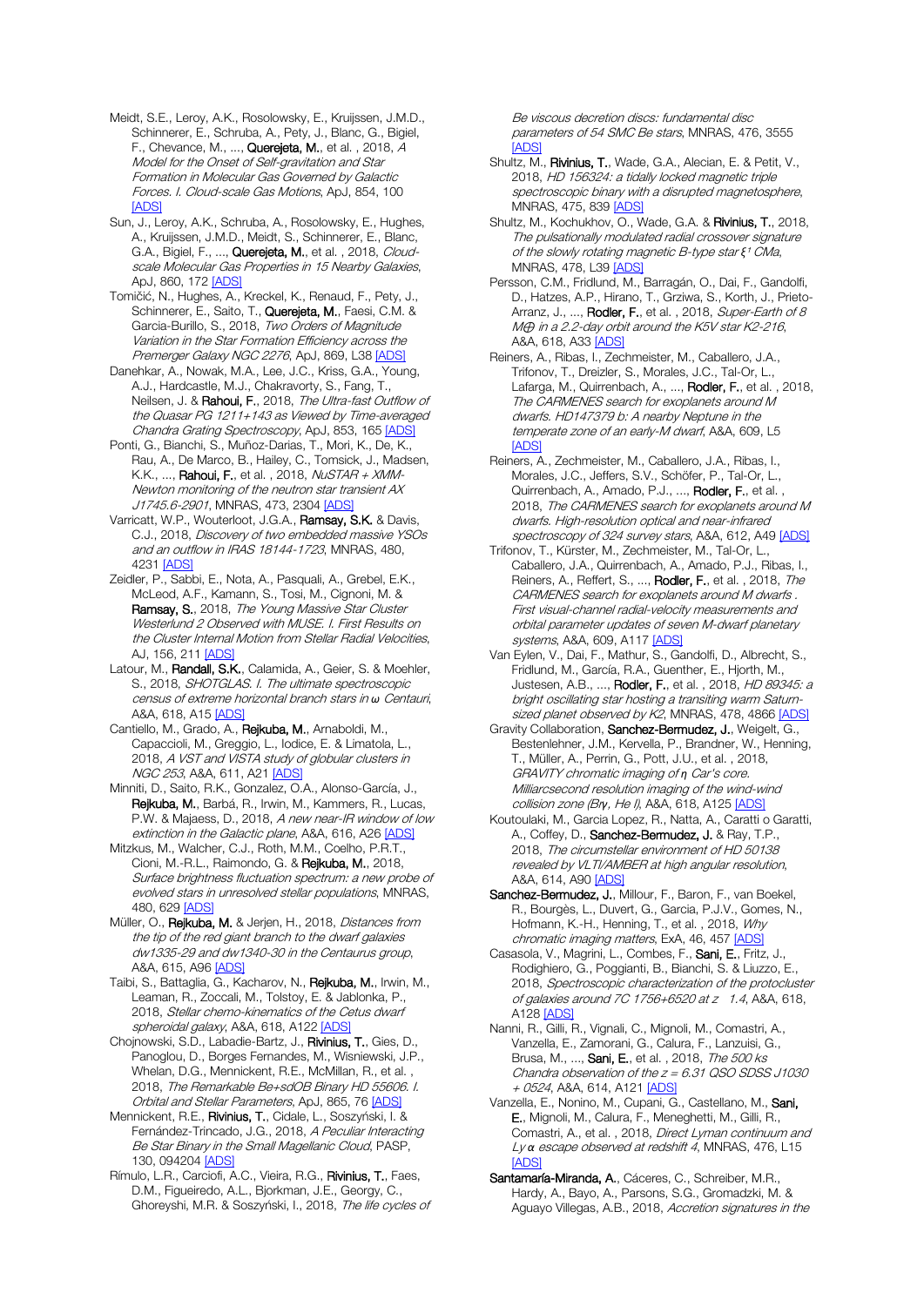- Meidt, S.E., Leroy, A.K., Rosolowsky, E., Kruijssen, J.M.D., Schinnerer, E., Schruba, A., Pety, J., Blanc, G., Bigiel, F., Chevance, M., ..., Querejeta, M., et al. , 2018, A Model for the Onset of Self-gravitation and Star Formation in Molecular Gas Governed by Galactic Forces. I. Cloud-scale Gas Motions, ApJ, 854, 100 [\[ADS\]](https://ui.adsabs.harvard.edu/#abs/2018ApJ...854..100M)
- Sun, J., Leroy, A.K., Schruba, A., Rosolowsky, E., Hughes, A., Kruijssen, J.M.D., Meidt, S., Schinnerer, E., Blanc, G.A., Bigiel, F., ..., Querejeta, M., et al., 2018, Cloudscale Molecular Gas Properties in 15 Nearby Galaxies, ApJ, 860, 17[2 \[ADS\]](https://ui.adsabs.harvard.edu/#abs/2018ApJ...860..172S)
- Tomičić, N., Hughes, A., Kreckel, K., Renaud, F., Pety, J., Schinnerer, E., Saito, T., Querejeta, M., Faesi, C.M. & Garcia-Burillo, S., 2018, Two Orders of Magnitude Variation in the Star Formation Efficiency across the Premerger Galaxy NGC 2276, ApJ, 869, L38 [\[ADS\]](https://ui.adsabs.harvard.edu/#abs/2018ApJ...869L..38T)
- Danehkar, A., Nowak, M.A., Lee, J.C., Kriss, G.A., Young, A.J., Hardcastle, M.J., Chakravorty, S., Fang, T., Neilsen, J. & Rahoui, F., 2018, The Ultra-fast Outflow of the Quasar PG 1211+143 as Viewed by Time-averaged Chandra Grating Spectroscopy, ApJ, 853, 16[5 \[ADS\]](https://ui.adsabs.harvard.edu/#abs/2018ApJ...853..165D)
- Ponti, G., Bianchi, S., Muñoz-Darias, T., Mori, K., De, K., Rau, A., De Marco, B., Hailey, C., Tomsick, J., Madsen, K.K., ..., **Rahoui, F.**, et al., 2018, *NuSTAR + XMM-*Newton monitoring of the neutron star transient AX J1745.6-2901, MNRAS, 473, 230[4 \[ADS\]](https://ui.adsabs.harvard.edu/#abs/2018MNRAS.473.2304P)
- Varricatt, W.P., Wouterloot, J.G.A., Ramsay, S.K. & Davis, C.J., 2018, Discovery of two embedded massive YSOs and an outflow in IRAS 18144-1723, MNRAS, 480, 4231 [\[ADS\]](https://ui.adsabs.harvard.edu/#abs/2018MNRAS.480.4231V)
- Zeidler, P., Sabbi, E., Nota, A., Pasquali, A., Grebel, E.K., McLeod, A.F., Kamann, S., Tosi, M., Cignoni, M. & Ramsay, S., 2018, The Young Massive Star Cluster Westerlund 2 Observed with MUSE. I. First Results on the Cluster Internal Motion from Stellar Radial Velocities, AJ, 156, 211 [\[ADS\]](https://ui.adsabs.harvard.edu/#abs/2018AJ....156..211Z)
- Latour, M., Randall, S.K., Calamida, A., Geier, S. & Moehler, S., 2018, SHOTGLAS. I. The ultimate spectroscopic census of extreme horizontal branch stars in *ω* Centauri, A&A, 618, A1[5 \[ADS\]](https://ui.adsabs.harvard.edu/#abs/2018A%26A...618A..15L)
- Cantiello, M., Grado, A., Rejkuba, M., Arnaboldi, M., Capaccioli, M., Greggio, L., Iodice, E. & Limatola, L., 2018, A VST and VISTA study of globular clusters in NGC 253, A&A, 611, A2[1 \[ADS\]](https://ui.adsabs.harvard.edu/#abs/2018A%26A...611A..21C)
- Minniti, D., Saito, R.K., Gonzalez, O.A., Alonso-García, J., Rejkuba, M., Barbá, R., Irwin, M., Kammers, R., Lucas, P.W. & Majaess, D., 2018, A new near-IR window of low extinction in the Galactic plane, A&A, 616, A2[6 \[ADS\]](https://ui.adsabs.harvard.edu/#abs/2018A%26A...616A..26M)
- Mitzkus, M., Walcher, C.J., Roth, M.M., Coelho, P.R.T., Cioni, M.-R.L., Raimondo, G. & Rejkuba, M., 2018, Surface brightness fluctuation spectrum: a new probe of evolved stars in unresolved stellar populations, MNRAS, 480, 62[9 \[ADS\]](https://ui.adsabs.harvard.edu/#abs/2018MNRAS.480..629M)
- Müller, O., Rejkuba, M. & Jerjen, H., 2018, Distances from the tip of the red giant branch to the dwarf galaxies dw1335-29 and dw1340-30 in the Centaurus group, A&A, 615, A9[6 \[ADS\]](https://ui.adsabs.harvard.edu/#abs/2018A%26A...615A..96M)
- Taibi, S., Battaglia, G., Kacharov, N., Rejkuba, M., Irwin, M., Leaman, R., Zoccali, M., Tolstoy, E. & Jablonka, P., 2018, Stellar chemo-kinematics of the Cetus dwarf spheroidal galaxy, A&A, 618, A122 [\[ADS\]](https://ui.adsabs.harvard.edu/#abs/2018A%26A...618A.122T)
- Chojnowski, S.D., Labadie-Bartz, J., Rivinius, T., Gies, D., Panoglou, D., Borges Fernandes, M., Wisniewski, J.P., Whelan, D.G., Mennickent, R.E., McMillan, R., et al. , 2018, The Remarkable Be+sdOB Binary HD 55606. I. Orbital and Stellar Parameters, ApJ, 865, 7[6 \[ADS\]](https://ui.adsabs.harvard.edu/#abs/2018ApJ...865...76C)
- Mennickent, R.E., Rivinius, T., Cidale, L., Soszyński, I. & Fernández-Trincado, J.G., 2018, A Peculiar Interacting Be Star Binary in the Small Magellanic Cloud, PASP, 130, 09420[4 \[ADS\]](https://ui.adsabs.harvard.edu/#abs/2018PASP..130i4204M)
- Rímulo, L.R., Carciofi, A.C., Vieira, R.G., Rivinius, T., Faes, D.M., Figueiredo, A.L., Bjorkman, J.E., Georgy, C., Ghoreyshi, M.R. & Soszyński, I., 2018, The life cycles of

Be viscous decretion discs: fundamental disc parameters of 54 SMC Be stars, MNRAS, 476, 3555 **[\[ADS\]](https://ui.adsabs.harvard.edu/#abs/2018MNRAS.476.3555R)** 

- Shultz, M., Rivinius, T., Wade, G.A., Alecian, E. & Petit, V., 2018, HD 156324: a tidally locked magnetic triple spectroscopic binary with a disrupted magnetosphere, MNRAS, 475, 83[9 \[ADS\]](https://ui.adsabs.harvard.edu/#abs/2018MNRAS.475..839S)
- Shultz, M., Kochukhov, O., Wade, G.A. & Rivinius, T., 2018, The pulsationally modulated radial crossover signature of the slowly rotating magnetic B-type star *ξ*¹ CMa, MNRAS, 478, L39 [\[ADS\]](https://ui.adsabs.harvard.edu/#abs/2018MNRAS.478L..39S)
- Persson, C.M., Fridlund, M., Barragán, O., Dai, F., Gandolfi, D., Hatzes, A.P., Hirano, T., Grziwa, S., Korth, J., Prieto-Arranz, J., ..., Rodler, F., et al., 2018, Super-Earth of 8 M⊕ in a 2.2-day orbit around the K5V star K2-216, A&A, 618, A3[3 \[ADS\]](https://ui.adsabs.harvard.edu/#abs/2018A%26A...618A..33P)
- Reiners, A., Ribas, I., Zechmeister, M., Caballero, J.A., Trifonov, T., Dreizler, S., Morales, J.C., Tal-Or, L., Lafarga, M., Quirrenbach, A., ..., Rodler, F., et al., 2018, The CARMENES search for exoplanets around M dwarfs. HD147379 b: A nearby Neptune in the temperate zone of an early-M dwarf, A&A, 609, L5 [\[ADS\]](https://ui.adsabs.harvard.edu/#abs/2018A%26A...609L...5R)
- Reiners, A., Zechmeister, M., Caballero, J.A., Ribas, I., Morales, J.C., Jeffers, S.V., Schöfer, P., Tal-Or, L., Quirrenbach, A., Amado, P.J., ..., Rodler, F., et al., 2018, The CARMENES search for exoplanets around M dwarfs. High-resolution optical and near-infrared spectroscopy of 324 survey stars, A&A, 612, A49 [\[ADS\]](https://ui.adsabs.harvard.edu/#abs/2018A%26A...612A..49R)
- Trifonov, T., Kürster, M., Zechmeister, M., Tal-Or, L., Caballero, J.A., Quirrenbach, A., Amado, P.J., Ribas, I., Reiners, A., Reffert, S., ..., Rodler, F., et al., 2018, The CARMENES search for exoplanets around M dwarfs . First visual-channel radial-velocity measurements and orbital parameter updates of seven M-dwarf planetary systems, A&A, 609, A11[7 \[ADS\]](https://ui.adsabs.harvard.edu/#abs/2018A%26A...609A.117T)
- Van Eylen, V., Dai, F., Mathur, S., Gandolfi, D., Albrecht, S., Fridlund, M., García, R.A., Guenther, E., Hjorth, M., Justesen, A.B., ..., Rodler, F., et al., 2018, HD 89345: a bright oscillating star hosting a transiting warm Saturn-sized planet observed by K2, MNRAS, 478, 4866 [\[ADS\]](https://ui.adsabs.harvard.edu/#abs/2018MNRAS.478.4866V)
- Gravity Collaboration, Sanchez-Bermudez, J., Weigelt, G., Bestenlehner, J.M., Kervella, P., Brandner, W., Henning, T., Müller, A., Perrin, G., Pott, J.U., et al. , 2018, GRAVITY chromatic imaging of *η* Car's core. Milliarcsecond resolution imaging of the wind-wind collision zone (Br*γ*, He I), A&A, 618, A12[5 \[ADS\]](https://ui.adsabs.harvard.edu/#abs/2018A%26A...618A.125G)
- Koutoulaki, M., Garcia Lopez, R., Natta, A., Caratti o Garatti, A., Coffey, D., Sanchez-Bermudez, J. & Ray, T.P., 2018, The circumstellar environment of HD 50138 revealed by VLTI/AMBER at high angular resolution, A&A, 614, A9[0 \[ADS\]](https://ui.adsabs.harvard.edu/#abs/2018A%26A...614A..90K)
- Sanchez-Bermudez, J., Millour, F., Baron, F., van Boekel, R., Bourgès, L., Duvert, G., Garcia, P.J.V., Gomes, N., Hofmann, K.-H., Henning, T., et al. , 2018, Why chromatic imaging matters, ExA, 46, 457 [\[ADS\]](https://ui.adsabs.harvard.edu/#abs/2018ExA....46..457S)
- Casasola, V., Magrini, L., Combes, F., Sani, E., Fritz, J., Rodighiero, G., Poggianti, B., Bianchi, S. & Liuzzo, E., 2018, Spectroscopic characterization of the protocluster of galaxies around 7C 1756+6520 at z 1.4, A&A, 618, A12[8 \[ADS\]](https://ui.adsabs.harvard.edu/#abs/2018A%26A...618A.128C)
- Nanni, R., Gilli, R., Vignali, C., Mignoli, M., Comastri, A., Vanzella, E., Zamorani, G., Calura, F., Lanzuisi, G., Brusa, M., ..., Sani, E., et al., 2018, The 500 ks Chandra observation of the  $z = 6.31$  QSO SDSS J1030 + 0524, A&A, 614, A121 [ADS
- Vanzella, E., Nonino, M., Cupani, G., Castellano, M., Sani, E., Mignoli, M., Calura, F., Meneghetti, M., Gilli, R., Comastri, A., et al. , 2018, Direct Lyman continuum and Ly *α* escape observed at redshift 4, MNRAS, 476, L15 [\[ADS\]](https://ui.adsabs.harvard.edu/#abs/2018MNRAS.476L..15V)
- Santamaría-Miranda, A., Cáceres, C., Schreiber, M.R., Hardy, A., Bayo, A., Parsons, S.G., Gromadzki, M. & Aguayo Villegas, A.B., 2018, Accretion signatures in the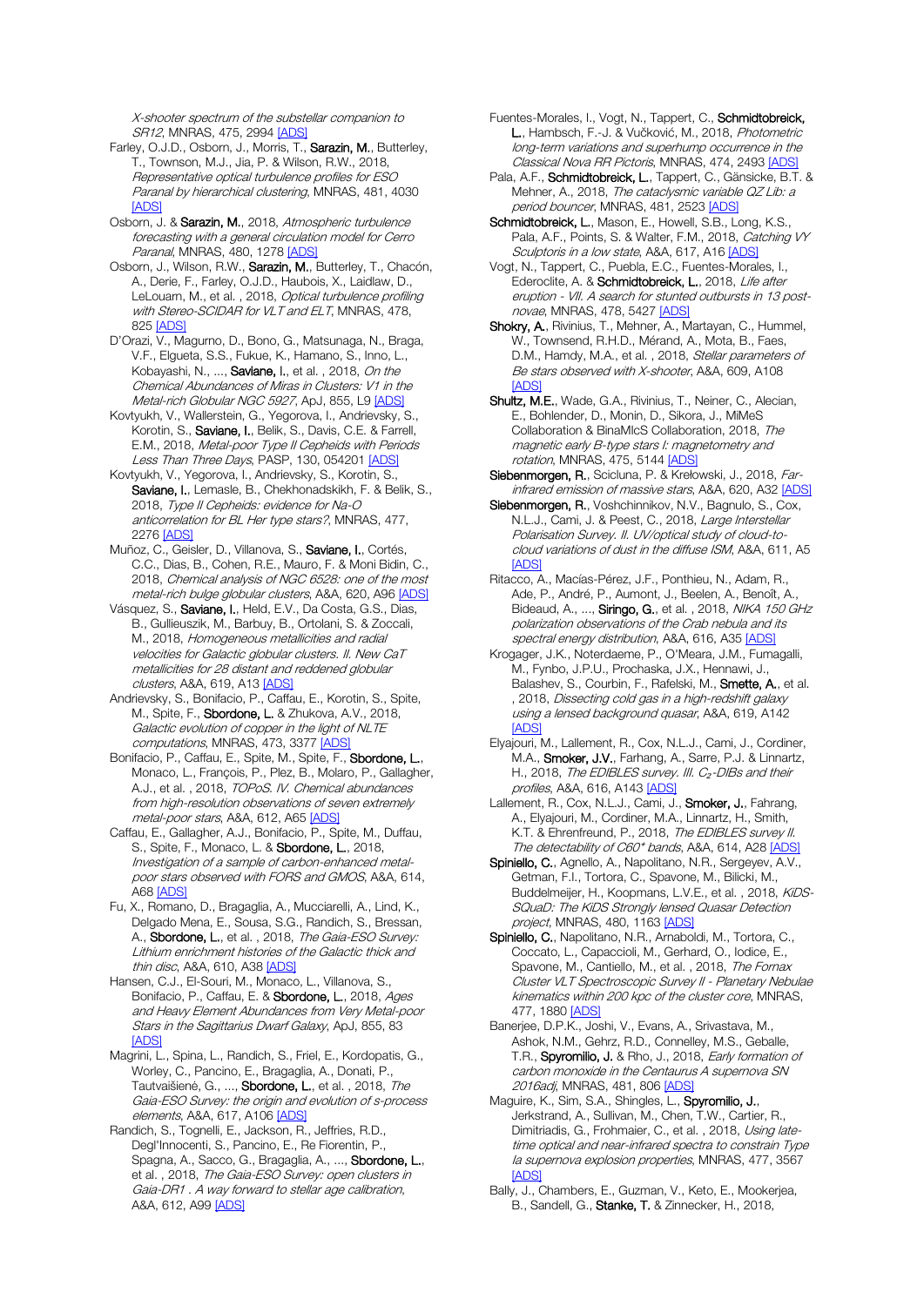X-shooter spectrum of the substellar companion to SR12, MNRAS, 475, 299[4 \[ADS\]](https://ui.adsabs.harvard.edu/#abs/2018MNRAS.475.2994S)

- Farley, O.J.D., Osborn, J., Morris, T., Sarazin, M., Butterley, T., Townson, M.J., Jia, P. & Wilson, R.W., 2018, Representative optical turbulence profiles for ESO Paranal by hierarchical clustering, MNRAS, 481, 4030 [\[ADS\]](https://ui.adsabs.harvard.edu/#abs/2018MNRAS.481.4030F)
- Osborn, J. & Sarazin, M., 2018, Atmospheric turbulence forecasting with a general circulation model for Cerro Paranal, MNRAS, 480, 127[8 \[ADS\]](https://ui.adsabs.harvard.edu/#abs/2018MNRAS.480.1278O)
- Osborn, J., Wilson, R.W., Sarazin, M., Butterley, T., Chacón, A., Derie, F., Farley, O.J.D., Haubois, X., Laidlaw, D., LeLouarn, M., et al., 2018, Optical turbulence profiling with Stereo-SCIDAR for VLT and ELT, MNRAS, 478, 82[5 \[ADS\]](https://ui.adsabs.harvard.edu/#abs/2018MNRAS.478..825O)
- D'Orazi, V., Magurno, D., Bono, G., Matsunaga, N., Braga, V.F., Elgueta, S.S., Fukue, K., Hamano, S., Inno, L., Kobayashi, N., ..., Saviane, I., et al. , 2018, On the Chemical Abundances of Miras in Clusters: V1 in the Metal-rich Globular NGC 5927, ApJ, 855, L9 [\[ADS\]](https://ui.adsabs.harvard.edu/#abs/2018ApJ...855L...9D)
- Kovtyukh, V., Wallerstein, G., Yegorova, I., Andrievsky, S., Korotin, S., Saviane, I., Belik, S., Davis, C.E. & Farrell, E.M., 2018, Metal-poor Type II Cepheids with Periods Less Than Three Days, PASP, 130, 05420[1 \[ADS\]](https://ui.adsabs.harvard.edu/#abs/2018PASP..130e4201K)
- Kovtyukh, V., Yegorova, I., Andrievsky, S., Korotin, S., Saviane, I., Lemasle, B., Chekhonadskikh, F. & Belik, S., 2018, Type II Cepheids: evidence for Na-O anticorrelation for BL Her type stars?, MNRAS, 477, 2276 [\[ADS\]](https://ui.adsabs.harvard.edu/#abs/2018MNRAS.477.2276K)
- Muñoz, C., Geisler, D., Villanova, S., Saviane, I., Cortés, C.C., Dias, B., Cohen, R.E., Mauro, F. & Moni Bidin, C., 2018, Chemical analysis of NGC 6528: one of the most metal-rich bulge globular clusters, A&A, 620, A96 [\[ADS\]](https://ui.adsabs.harvard.edu/#abs/2018A%26A...620A..96M)
- Vásquez, S., Saviane, I., Held, E.V., Da Costa, G.S., Dias, B., Gullieuszik, M., Barbuy, B., Ortolani, S. & Zoccali, M., 2018, Homogeneous metallicities and radial velocities for Galactic globular clusters. II. New CaT metallicities for 28 distant and reddened globular clusters, A&A, 619, A1[3 \[ADS\]](https://ui.adsabs.harvard.edu/#abs/2018A%26A...619A..13V)
- Andrievsky, S., Bonifacio, P., Caffau, E., Korotin, S., Spite, M., Spite, F., Sbordone, L. & Zhukova, A.V., 2018, Galactic evolution of copper in the light of NLTE computations, MNRAS, 473, 337[7 \[ADS\]](https://ui.adsabs.harvard.edu/#abs/2018MNRAS.473.3377A)
- Bonifacio, P., Caffau, E., Spite, M., Spite, F., Sbordone, L., Monaco, L., François, P., Plez, B., Molaro, P., Gallagher, A.J., et al. , 2018, TOPoS. IV. Chemical abundances from high-resolution observations of seven extremely metal-poor stars, A&A, 612, A6[5 \[ADS\]](https://ui.adsabs.harvard.edu/#abs/2018A%26A...612A..65B)
- Caffau, E., Gallagher, A.J., Bonifacio, P., Spite, M., Duffau, S., Spite, F., Monaco, L. & Sbordone, L., 2018, Investigation of a sample of carbon-enhanced metalpoor stars observed with FORS and GMOS, A&A, 614, A68 [\[ADS\]](https://ui.adsabs.harvard.edu/#abs/2018A%26A...614A..68C)
- Fu, X., Romano, D., Bragaglia, A., Mucciarelli, A., Lind, K., Delgado Mena, E., Sousa, S.G., Randich, S., Bressan, A., Sbordone, L., et al., 2018, The Gaia-ESO Survey: Lithium enrichment histories of the Galactic thick and thin disc, A&A, 610, A3[8 \[ADS\]](https://ui.adsabs.harvard.edu/#abs/2018A%26A...610A..38F)
- Hansen, C.J., El-Souri, M., Monaco, L., Villanova, S., Bonifacio, P., Caffau, E. & Sbordone, L., 2018, Ages and Heavy Element Abundances from Very Metal-poor Stars in the Sagittarius Dwarf Galaxy, ApJ, 855, 83 [\[ADS\]](https://ui.adsabs.harvard.edu/#abs/2018ApJ...855...83H)
- Magrini, L., Spina, L., Randich, S., Friel, E., Kordopatis, G., Worley, C., Pancino, E., Bragaglia, A., Donati, P., Tautvaišienė, G., ..., Sbordone, L., et al., 2018, The Gaia-ESO Survey: the origin and evolution of s-process elements, A&A, 617, A10[6 \[ADS\]](https://ui.adsabs.harvard.edu/#abs/2018A%26A...617A.106M)
- Randich, S., Tognelli, E., Jackson, R., Jeffries, R.D., Degl'Innocenti, S., Pancino, E., Re Fiorentin, P. Spagna, A., Sacco, G., Bragaglia, A., ..., Sbordone, L., et al., 2018, The Gaia-ESO Survey: open clusters in Gaia-DR1 . A way forward to stellar age calibration, A&A, 612, A9[9 \[ADS\]](https://ui.adsabs.harvard.edu/#abs/2018A%26A...612A..99R)
- Fuentes-Morales, I., Vogt, N., Tappert, C., Schmidtobreick, L., Hambsch, F.-J. & Vučković, M., 2018, Photometric long-term variations and superhump occurrence in the Classical Nova RR Pictoris, MNRAS, 474, 2493 [\[ADS\]](https://ui.adsabs.harvard.edu/#abs/2018MNRAS.474.2493F)
- Pala, A.F., Schmidtobreick, L., Tappert, C., Gänsicke, B.T. & Mehner, A., 2018, The cataclysmic variable QZ Lib: a period bouncer, MNRAS, 481, 252[3 \[ADS\]](https://ui.adsabs.harvard.edu/#abs/2018MNRAS.481.2523P)
- Schmidtobreick, L., Mason, E., Howell, S.B., Long, K.S., Pala, A.F., Points, S. & Walter, F.M., 2018, Catching VY Sculptoris in a low state, A&A, 617, A1[6 \[ADS\]](https://ui.adsabs.harvard.edu/#abs/2018A%26A...617A..16S)
- Vogt, N., Tappert, C., Puebla, E.C., Fuentes-Morales, I., Ederoclite, A. & Schmidtobreick, L., 2018, Life after eruption - VII. A search for stunted outbursts in 13 post-novae, MNRAS, 478, 5427 [\[ADS\]](https://ui.adsabs.harvard.edu/#abs/2018MNRAS.478.5427V)
- Shokry, A., Rivinius, T., Mehner, A., Martayan, C., Hummel, W., Townsend, R.H.D., Mérand, A., Mota, B., Faes, D.M., Hamdy, M.A., et al., 2018, Stellar parameters of Be stars observed with X-shooter, A&A, 609, A108 [\[ADS\]](https://ui.adsabs.harvard.edu/#abs/2018A%26A...609A.108S)
- Shultz, M.E., Wade, G.A., Rivinius, T., Neiner, C., Alecian, E., Bohlender, D., Monin, D., Sikora, J., MiMeS Collaboration & BinaMIcS Collaboration, 2018, The magnetic early B-type stars I: magnetometry and rotation, MNRAS, 475, 514[4 \[ADS\]](https://ui.adsabs.harvard.edu/#abs/2018MNRAS.475.5144S)
- Siebenmorgen, R., Scicluna, P. & Krełowski, J., 2018, Far-infrared emission of massive stars, A&A, 620, A3[2 \[ADS\]](https://ui.adsabs.harvard.edu/#abs/2018A%26A...620A..32S)
- Siebenmorgen, R., Voshchinnikov, N.V., Bagnulo, S., Cox, N.L.J., Cami, J. & Peest, C., 2018, Large Interstellar Polarisation Survey. II. UV/optical study of cloud-tocloud variations of dust in the diffuse ISM, A&A, 611, A5 [\[ADS\]](https://ui.adsabs.harvard.edu/#abs/2018A%26A...611A...5S)
- Ritacco, A., Macías-Pérez, J.F., Ponthieu, N., Adam, R., Ade, P., André, P., Aumont, J., Beelen, A., Benoît, A., Bideaud, A., ..., Siringo, G., et al., 2018, NIKA 150 GHz polarization observations of the Crab nebula and its spectral energy distribution, A&A, 616, A3[5 \[ADS\]](https://ui.adsabs.harvard.edu/#abs/2018A%26A...616A..35R)
- Krogager, J.K., Noterdaeme, P., O'Meara, J.M., Fumagalli, M., Fynbo, J.P.U., Prochaska, J.X., Hennawi, J., Balashev, S., Courbin, F., Rafelski, M., Smette, A., et al. , 2018, Dissecting cold gas in a high-redshift galaxy using a lensed background quasar, A&A, 619, A142 [\[ADS\]](https://ui.adsabs.harvard.edu/#abs/2018A%26A...619A.142K)
- Elyajouri, M., Lallement, R., Cox, N.L.J., Cami, J., Cordiner, M.A., Smoker, J.V., Farhang, A., Sarre, P.J. & Linnartz, H., 2018, The EDIBLES survey. III.  $C_2$ -DIBs and their profiles, A&A, 616, A14[3 \[ADS\]](https://ui.adsabs.harvard.edu/#abs/2018A%26A...616A.143E)
- Lallement, R., Cox, N.L.J., Cami, J., Smoker, J., Fahrang, A., Elyajouri, M., Cordiner, M.A., Linnartz, H., Smith, K.T. & Ehrenfreund, P., 2018, The EDIBLES survey II. The detectability of C60<sup>+</sup> bands, A&A, 614, A2[8 \[ADS\]](https://ui.adsabs.harvard.edu/#abs/2018A%26A...614A..28L)
- Spiniello, C., Agnello, A., Napolitano, N.R., Sergeyev, A.V., Getman, F.I., Tortora, C., Spavone, M., Bilicki, M., Buddelmeijer, H., Koopmans, L.V.E., et al., 2018, KiDS-SQuaD: The KiDS Strongly lensed Quasar Detection project, MNRAS, 480, 1163 [\[ADS\]](https://ui.adsabs.harvard.edu/#abs/2018MNRAS.480.1163S)
- Spiniello, C., Napolitano, N.R., Arnaboldi, M., Tortora, C., Coccato, L., Capaccioli, M., Gerhard, O., Iodice, E., Spavone, M., Cantiello, M., et al., 2018, The Fornax Cluster VLT Spectroscopic Survey II - Planetary Nebulae kinematics within 200 kpc of the cluster core, MNRAS, 477, 188[0 \[ADS\]](https://ui.adsabs.harvard.edu/#abs/2018MNRAS.477.1880S)
- Banerjee, D.P.K., Joshi, V., Evans, A., Srivastava, M., Ashok, N.M., Gehrz, R.D., Connelley, M.S., Geballe, T.R., Spyromilio, J. & Rho, J., 2018, Early formation of carbon monoxide in the Centaurus A supernova SN 2016adj, MNRAS, 481, 80[6 \[ADS\]](https://ui.adsabs.harvard.edu/#abs/2018MNRAS.481..806B)
- Maguire, K., Sim, S.A., Shingles, L., Spyromilio, J., Jerkstrand, A., Sullivan, M., Chen, T.W., Cartier, R., Dimitriadis, G., Frohmaier, C., et al., 2018, Using latetime optical and near-infrared spectra to constrain Type la supernova explosion properties, MNRAS, 477, 3567 **IADS**
- Bally, J., Chambers, E., Guzman, V., Keto, E., Mookerjea, B., Sandell, G., Stanke, T. & Zinnecker, H., 2018,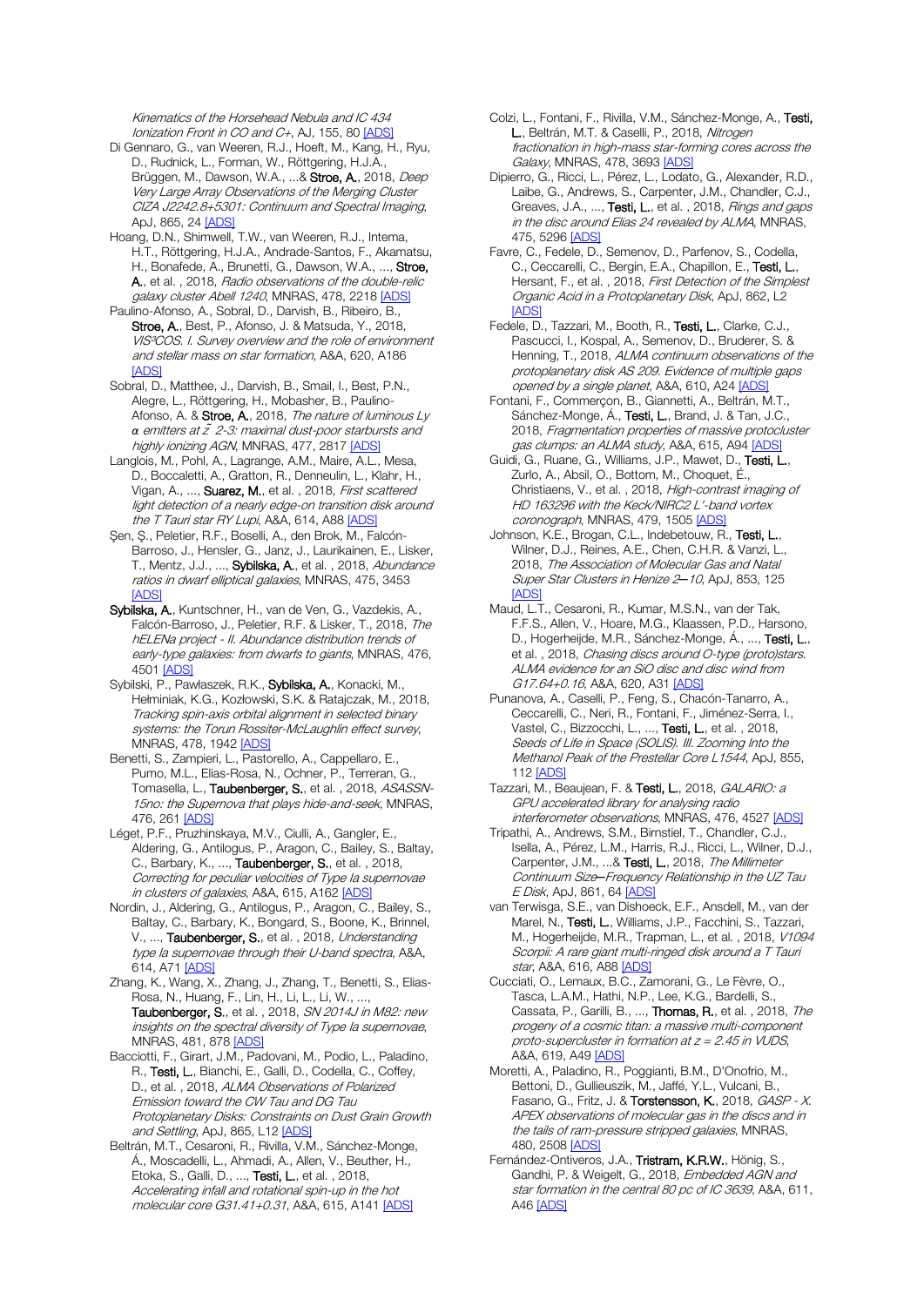Kinematics of the Horsehead Nebula and IC 434 Ionization Front in CO and C+, AJ, 155, 80 [\[ADS\]](https://ui.adsabs.harvard.edu/#abs/2018AJ....155...80B)

- Di Gennaro, G., van Weeren, R.J., Hoeft, M., Kang, H., Ryu, D., Rudnick, L., Forman, W., Röttgering, H.J.A., Brüggen, M., Dawson, W.A., ...& Stroe, A., 2018, Deep Very Large Array Observations of the Merging Cluster CIZA J2242.8+5301: Continuum and Spectral Imaging, ApJ, 865, 24 [\[ADS\]](https://ui.adsabs.harvard.edu/#abs/2018ApJ...865...24D)
- Hoang, D.N., Shimwell, T.W., van Weeren, R.J., Intema, H.T., Röttgering, H.J.A., Andrade-Santos, F., Akamatsu, H., Bonafede, A., Brunetti, G., Dawson, W.A., ..., Stroe, A., et al. , 2018, Radio observations of the double-relic galaxy cluster Abell 1240, MNRAS, 478, 221[8 \[ADS\]](https://ui.adsabs.harvard.edu/#abs/2018MNRAS.478.2218H)
- Paulino-Afonso, A., Sobral, D., Darvish, B., Ribeiro, B., Stroe, A., Best, P., Afonso, J. & Matsuda, Y., 2018, VIS³COS. I. Survey overview and the role of environment and stellar mass on star formation, A&A, 620, A186 **[\[ADS\]](https://ui.adsabs.harvard.edu/#abs/2018A%26A...620A.186P)**
- Sobral, D., Matthee, J., Darvish, B., Smail, I., Best, P.N., Alegre, L., Röttgering, H., Mobasher, B., Paulino-Afonso, A. & Stroe, A., 2018, The nature of luminous Ly *α* emitters at z *̃*2-3: maximal dust-poor starbursts and highly ionizing AGN, MNRAS, 477, 2817 [\[ADS\]](https://ui.adsabs.harvard.edu/#abs/2018MNRAS.477.2817S)
- Langlois, M., Pohl, A., Lagrange, A.M., Maire, A.L., Mesa, D., Boccaletti, A., Gratton, R., Denneulin, L., Klahr, H., Vigan, A., ..., Suarez, M., et al., 2018, First scattered light detection of a nearly edge-on transition disk around the T Tauri star RY Lupi, A&A, 614, A88 [\[ADS\]](https://ui.adsabs.harvard.edu/#abs/2018A%26A...614A..88L)
- Şen, Ş., Peletier, R.F., Boselli, A., den Brok, M., Falcón-Barroso, J., Hensler, G., Janz, J., Laurikainen, E., Lisker, T., Mentz, J.J., ..., Sybilska, A., et al., 2018, Abundance ratios in dwarf elliptical galaxies, MNRAS, 475, 3453 [\[ADS\]](https://ui.adsabs.harvard.edu/#abs/2018MNRAS.475.3453S)
- Sybilska, A., Kuntschner, H., van de Ven, G., Vazdekis, A., Falcón-Barroso, J., Peletier, R.F. & Lisker, T., 2018, The hELENa project - II. Abundance distribution trends of early-type galaxies: from dwarfs to giants, MNRAS, 476, 4501 [\[ADS\]](https://ui.adsabs.harvard.edu/#abs/2018MNRAS.476.4501S)
- Sybilski, P., Pawłaszek, R.K., Sybilska, A., Konacki, M., Hełminiak, K.G., Kozłowski, S.K. & Ratajczak, M., 2018, Tracking spin-axis orbital alignment in selected binary systems: the Torun Rossiter-McLaughlin effect survey, MNRAS, 478, 1942 [\[ADS\]](https://ui.adsabs.harvard.edu/#abs/2018MNRAS.478.1942S)
- Benetti, S., Zampieri, L., Pastorello, A., Cappellaro, E., Pumo, M.L., Elias-Rosa, N., Ochner, P., Terreran, G. Tomasella, L., Taubenberger, S., et al., 2018, ASASSN-15no: the Supernova that plays hide-and-seek, MNRAS, 476, 26[1 \[ADS\]](https://ui.adsabs.harvard.edu/#abs/2018MNRAS.476..261B)
- Léget, P.F., Pruzhinskaya, M.V., Ciulli, A., Gangler, E., Aldering, G., Antilogus, P., Aragon, C., Bailey, S., Baltay, C., Barbary, K., ..., Taubenberger, S., et al., 2018, Correcting for peculiar velocities of Type Ia supernovae in clusters of galaxies, A&A, 615, A16[2 \[ADS\]](https://ui.adsabs.harvard.edu/#abs/2018A%26A...615A.162L)
- Nordin, J., Aldering, G., Antilogus, P., Aragon, C., Bailey, S., Baltay, C., Barbary, K., Bongard, S., Boone, K., Brinnel, V., ..., Taubenberger, S., et al., 2018, Understanding type Ia supernovae through their U-band spectra, A&A, 614, A71 [\[ADS\]](https://ui.adsabs.harvard.edu/#abs/2018A%26A...614A..71N)
- Zhang, K., Wang, X., Zhang, J., Zhang, T., Benetti, S., Elias-Rosa, N., Huang, F., Lin, H., Li, L., Li, W., ..., Taubenberger, S., et al., 2018, SN 2014J in M82: new insights on the spectral diversity of Type Ia supernovae, MNRAS, 481, 87[8 \[ADS\]](https://ui.adsabs.harvard.edu/#abs/2018MNRAS.481..878Z)
- Bacciotti, F., Girart, J.M., Padovani, M., Podio, L., Paladino, R., Testi, L., Bianchi, E., Galli, D., Codella, C., Coffey, D., et al., 2018, ALMA Observations of Polarized Emission toward the CW Tau and DG Tau Protoplanetary Disks: Constraints on Dust Grain Growth and Settling, ApJ, 865, L1[2 \[ADS\]](https://ui.adsabs.harvard.edu/#abs/2018ApJ...865L..12B)
- Beltrán, M.T., Cesaroni, R., Rivilla, V.M., Sánchez-Monge, Á., Moscadelli, L., Ahmadi, A., Allen, V., Beuther, H., Etoka, S., Galli, D., ..., Testi, L., et al. , 2018, Accelerating infall and rotational spin-up in the hot molecular core G31.41+0.31, A&A, 615, A14[1 \[ADS\]](https://ui.adsabs.harvard.edu/#abs/2018A%26A...615A.141B)
- Colzi, L., Fontani, F., Rivilla, V.M., Sánchez-Monge, A., Testi, L., Beltrán, M.T. & Caselli, P., 2018, Nitrogen fractionation in high-mass star-forming cores across the Galaxy, MNRAS, 478, 369[3 \[ADS\]](https://ui.adsabs.harvard.edu/#abs/2018MNRAS.478.3693C)
- Dipierro, G., Ricci, L., Pérez, L., Lodato, G., Alexander, R.D., Laibe, G., Andrews, S., Carpenter, J.M., Chandler, C.J., Greaves, J.A., ..., Testi, L., et al., 2018, Rings and gaps in the disc around Elias 24 revealed by ALMA, MNRAS, 475, 529[6 \[ADS\]](https://ui.adsabs.harvard.edu/#abs/2018MNRAS.475.5296D)
- Favre, C., Fedele, D., Semenov, D., Parfenov, S., Codella, C., Ceccarelli, C., Bergin, E.A., Chapillon, E., Testi, L., Hersant, F., et al., 2018, First Detection of the Simplest Organic Acid in a Protoplanetary Disk, ApJ, 862, L2 **[\[ADS\]](https://ui.adsabs.harvard.edu/#abs/2018ApJ...862L...2F)**
- Fedele, D., Tazzari, M., Booth, R., Testi, L., Clarke, C.J., Pascucci, I., Kospal, A., Semenov, D., Bruderer, S. & Henning, T., 2018, ALMA continuum observations of the protoplanetary disk AS 209. Evidence of multiple gaps opened by a single planet, A&A, 610, A24 [\[ADS\]](https://ui.adsabs.harvard.edu/#abs/2018A%26A...610A..24F)
- Fontani, F., Commerçon, B., Giannetti, A., Beltrán, M.T., Sánchez-Monge, Á., Testi, L., Brand, J. & Tan, J.C., 2018, Fragmentation properties of massive protocluster gas clumps: an ALMA study, A&A, 615, A9[4 \[ADS\]](https://ui.adsabs.harvard.edu/#abs/2018A%26A...615A..94F)
- Guidi, G., Ruane, G., Williams, J.P., Mawet, D., Testi, L., Zurlo, A., Absil, O., Bottom, M., Choquet, É., Christiaens, V., et al. , 2018, High-contrast imaging of HD 163296 with the Keck/NIRC2 L'-band vortex coronograph, MNRAS, 479, 150[5 \[ADS\]](https://ui.adsabs.harvard.edu/#abs/2018MNRAS.479.1505G)
- Johnson, K.E., Brogan, C.L., Indebetouw, R., Testi, L., Wilner, D.J., Reines, A.E., Chen, C.H.R. & Vanzi, L., 2018, The Association of Molecular Gas and Natal Super Star Clusters in Henize 2*─*10, ApJ, 853, 125 [\[ADS\]](https://ui.adsabs.harvard.edu/#abs/2018ApJ...853..125J)
- Maud, L.T., Cesaroni, R., Kumar, M.S.N., van der Tak, F.F.S., Allen, V., Hoare, M.G., Klaassen, P.D., Harsono, D., Hogerheijde, M.R., Sánchez-Monge, Á., ..., Testi, L., et al. , 2018, Chasing discs around O-type (proto)stars. ALMA evidence for an SiO disc and disc wind from G17.64+0.16, A&A, 620, A31 [\[ADS\]](https://ui.adsabs.harvard.edu/#abs/2018A%26A...620A..31M)
- Punanova, A., Caselli, P., Feng, S., Chacón-Tanarro, A., Ceccarelli, C., Neri, R., Fontani, F., Jiménez-Serra, I., Vastel, C., Bizzocchi, L., ..., Testi, L., et al. , 2018, Seeds of Life in Space (SOLIS). III. Zooming Into the Methanol Peak of the Prestellar Core L1544, ApJ, 855, 11[2 \[ADS\]](https://ui.adsabs.harvard.edu/#abs/2018ApJ...855..112P)
- Tazzari, M., Beaujean, F. & Testi, L., 2018, GALARIO: a GPU accelerated library for analysing radio interferometer observations, MNRAS, 476, 4527 [\[ADS\]](https://ui.adsabs.harvard.edu/#abs/2018MNRAS.476.4527T)
- Tripathi, A., Andrews, S.M., Birnstiel, T., Chandler, C.J., Isella, A., Pérez, L.M., Harris, R.J., Ricci, L., Wilner, D.J., Carpenter, J.M., ...& Testi, L., 2018, The Millimeter Continuum Size*─*Frequency Relationship in the UZ Tau E Disk, ApJ, 861, 64 [\[ADS\]](https://ui.adsabs.harvard.edu/#abs/2018ApJ...861...64T)
- van Terwisga, S.E., van Dishoeck, E.F., Ansdell, M., van der Marel, N., Testi, L., Williams, J.P., Facchini, S., Tazzari, M., Hogerheijde, M.R., Trapman, L., et al. , 2018, V1094 Scorpii: A rare giant multi-ringed disk around a T Tauri star, A&A, 616, A8[8 \[ADS\]](https://ui.adsabs.harvard.edu/#abs/2018A%26A...616A..88V)
- Cucciati, O., Lemaux, B.C., Zamorani, G., Le Fèvre, O., Tasca, L.A.M., Hathi, N.P., Lee, K.G., Bardelli, S., Cassata, P., Garilli, B., ..., Thomas, R., et al. , 2018, The progeny of a cosmic titan: a massive multi-component proto-supercluster in formation at  $z = 2.45$  in VUDS, A&A, 619, A49 [\[ADS\]](https://ui.adsabs.harvard.edu/#abs/2018A%26A...619A..49C)
- Moretti, A., Paladino, R., Poggianti, B.M., D'Onofrio, M., Bettoni, D., Gullieuszik, M., Jaffé, Y.L., Vulcani, B., Fasano, G., Fritz, J. & Torstensson, K., 2018, GASP - X. APEX observations of molecular gas in the discs and in the tails of ram-pressure stripped galaxies, MNRAS, 480, 250[8 \[ADS\]](https://ui.adsabs.harvard.edu/#abs/2018MNRAS.480.2508M)
- Fernández-Ontiveros, J.A., Tristram, K.R.W., Hönig, S., Gandhi, P. & Weigelt, G., 2018, Embedded AGN and star formation in the central 80 pc of IC 3639, A&A, 611, A46 [\[ADS\]](https://ui.adsabs.harvard.edu/#abs/2018A%26A...611A..46F)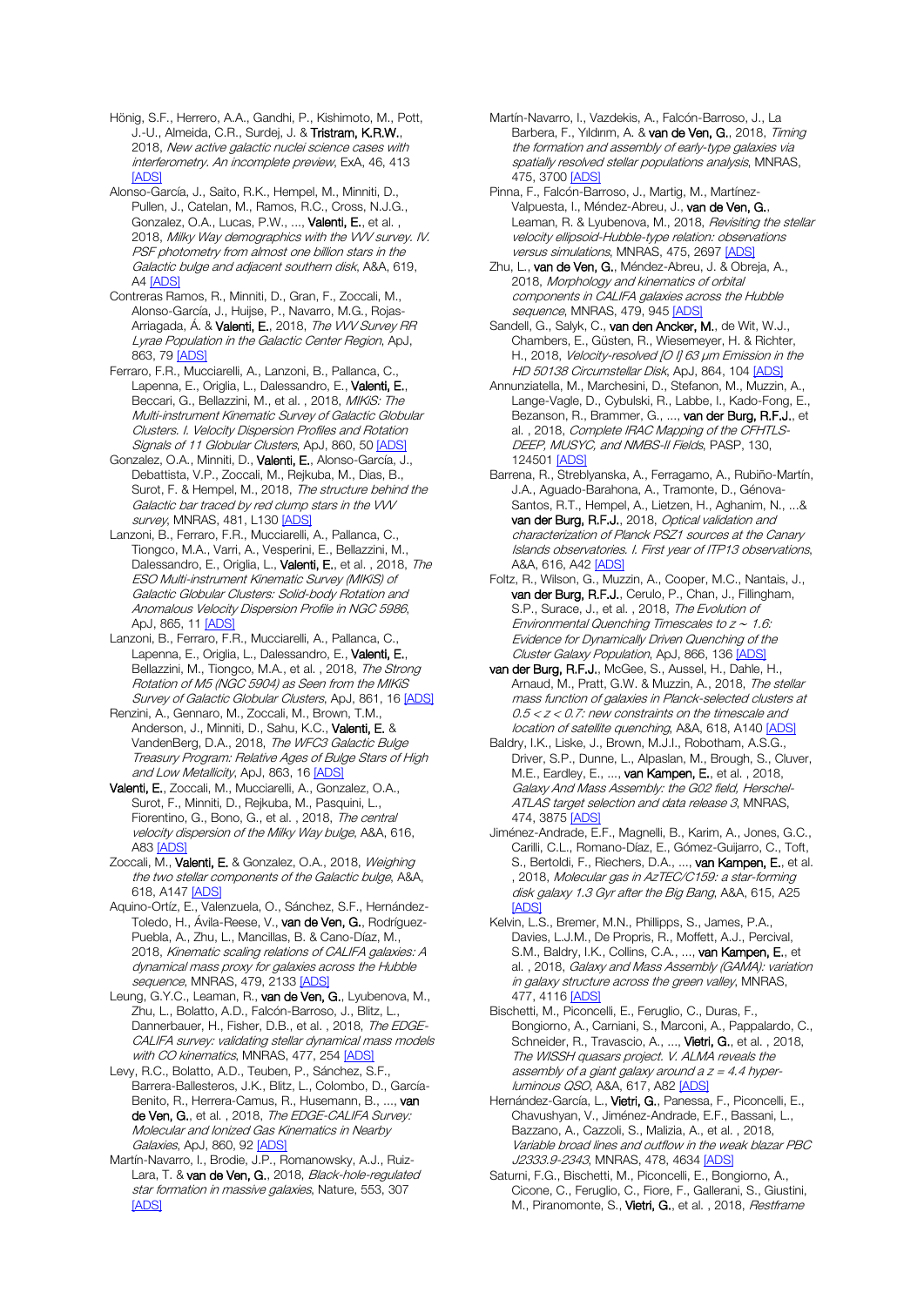Hönig, S.F., Herrero, A.A., Gandhi, P., Kishimoto, M., Pott, J.-U., Almeida, C.R., Surdej, J. & Tristram, K.R.W., 2018, New active galactic nuclei science cases with interferometry. An incomplete preview, ExA, 46, 413 [\[ADS\]](https://ui.adsabs.harvard.edu/#abs/2018ExA....46..413H)

Alonso-García, J., Saito, R.K., Hempel, M., Minniti, D., Pullen, J., Catelan, M., Ramos, R.C., Cross, N.J.G., Gonzalez, O.A., Lucas, P.W., ..., Valenti, E., et al., 2018, Milky Way demographics with the VW survey. IV. PSF photometry from almost one billion stars in the Galactic bulge and adjacent southern disk, A&A, 619, A[4 \[ADS\]](https://ui.adsabs.harvard.edu/#abs/2018A%26A...619A...4A)

Contreras Ramos, R., Minniti, D., Gran, F., Zoccali, M., Alonso-García, J., Huijse, P., Navarro, M.G., Rojas-Arriagada, Á. & Valenti, E., 2018, The WV Survey RR Lyrae Population in the Galactic Center Region, ApJ, 863, 79 [\[ADS\]](https://ui.adsabs.harvard.edu/#abs/2018ApJ...863...79C)

Ferraro, F.R., Mucciarelli, A., Lanzoni, B., Pallanca, C., Lapenna, E., Origlia, L., Dalessandro, E., Valenti, E., Beccari, G., Bellazzini, M., et al., 2018, MIKiS: The Multi-instrument Kinematic Survey of Galactic Globular Clusters. I. Velocity Dispersion Profiles and Rotation Signals of 11 Globular Clusters, ApJ, 860, 5[0 \[ADS\]](https://ui.adsabs.harvard.edu/#abs/2018ApJ...860...50F)

Gonzalez, O.A., Minniti, D., Valenti, E., Alonso-García, J., Debattista, V.P., Zoccali, M., Rejkuba, M., Dias, B., Surot, F. & Hempel, M., 2018, The structure behind the Galactic bar traced by red clump stars in the VW survey, MNRAS, 481, L13[0 \[ADS\]](https://ui.adsabs.harvard.edu/#abs/2018MNRAS.481L.130G)

Lanzoni, B., Ferraro, F.R., Mucciarelli, A., Pallanca, C., Tiongco, M.A., Varri, A., Vesperini, E., Bellazzini, M., Dalessandro, E., Origlia, L., Valenti, E., et al., 2018, The ESO Multi-instrument Kinematic Survey (MIKiS) of Galactic Globular Clusters: Solid-body Rotation and Anomalous Velocity Dispersion Profile in NGC 5986, ApJ, 865, 11 [\[ADS\]](https://ui.adsabs.harvard.edu/#abs/2018ApJ...865...11L)

Lanzoni, B., Ferraro, F.R., Mucciarelli, A., Pallanca, C., Lapenna, E., Origlia, L., Dalessandro, E., Valenti, E., Bellazzini, M., Tiongco, M.A., et al., 2018, The Strong Rotation of M5 (NGC 5904) as Seen from the MIKiS Survey of Galactic Globular Clusters, ApJ, 861, 1[6 \[ADS\]](https://ui.adsabs.harvard.edu/#abs/2018ApJ...861...16L)

Renzini, A., Gennaro, M., Zoccali, M., Brown, T.M., Anderson, J., Minniti, D., Sahu, K.C., Valenti, E. & VandenBerg, D.A., 2018, The WFC3 Galactic Bulge Treasury Program: Relative Ages of Bulge Stars of High and Low Metallicity, ApJ, 863, 16 [\[ADS\]](https://ui.adsabs.harvard.edu/#abs/2018ApJ...863...16R)

Valenti, E., Zoccali, M., Mucciarelli, A., Gonzalez, O.A., Surot, F., Minniti, D., Rejkuba, M., Pasquini, L., Fiorentino, G., Bono, G., et al., 2018, The central velocity dispersion of the Milky Way bulge, A&A, 616, A83 [\[ADS\]](https://ui.adsabs.harvard.edu/#abs/2018A%26A...616A..83V)

Zoccali, M., Valenti, E. & Gonzalez, O.A., 2018, Weighing the two stellar components of the Galactic bulge, A&A, 618, A14[7 \[ADS\]](https://ui.adsabs.harvard.edu/#abs/2018A%26A...618A.147Z)

Aquino-Ortíz, E., Valenzuela, O., Sánchez, S.F., Hernández-Toledo, H., Ávila-Reese, V., van de Ven, G., Rodríguez-Puebla, A., Zhu, L., Mancillas, B. & Cano-Díaz, M., 2018, Kinematic scaling relations of CALIFA galaxies: A dynamical mass proxy for galaxies across the Hubble sequence, MNRAS, 479, 2133 [\[ADS\]](https://ui.adsabs.harvard.edu/#abs/2018MNRAS.479.2133A)

Leung, G.Y.C., Leaman, R., van de Ven, G., Lyubenova, M., Zhu, L., Bolatto, A.D., Falcón-Barroso, J., Blitz, L., Dannerbauer, H., Fisher, D.B., et al., 2018, The EDGE-CALIFA survey: validating stellar dynamical mass models with CO kinematics, MNRAS, 477, 25[4 \[ADS\]](https://ui.adsabs.harvard.edu/#abs/2018MNRAS.477..254L)

Levy, R.C., Bolatto, A.D., Teuben, P., Sánchez, S.F. Barrera-Ballesteros, J.K., Blitz, L., Colombo, D., García-Benito, R., Herrera-Camus, R., Husemann, B., ..., van de Ven, G., et al., 2018, The EDGE-CALIFA Survey: Molecular and Ionized Gas Kinematics in Nearby Galaxies, ApJ, 860, 9[2 \[ADS\]](https://ui.adsabs.harvard.edu/#abs/2018ApJ...860...92L)

Martín-Navarro, I., Brodie, J.P., Romanowsky, A.J., Ruiz-Lara, T. & van de Ven, G., 2018, Black-hole-regulated star formation in massive galaxies, Nature, 553, 307 [\[ADS\]](https://ui.adsabs.harvard.edu/#abs/2018Natur.553..307M)

Martín-Navarro, I., Vazdekis, A., Falcón-Barroso, J., La Barbera, F., Yıldırım, A. & van de Ven, G., 2018, Timing the formation and assembly of early-type galaxies via spatially resolved stellar populations analysis, MNRAS, 475, 370[0 \[ADS\]](https://ui.adsabs.harvard.edu/#abs/2018MNRAS.475.3700M)

Pinna, F., Falcón-Barroso, J., Martig, M., Martínez-Valpuesta, I., Méndez-Abreu, J., van de Ven, G., Leaman, R. & Lyubenova, M., 2018, Revisiting the stellar velocity ellipsoid-Hubble-type relation: observations versus simulations, MNRAS, 475, 269[7 \[ADS\]](https://ui.adsabs.harvard.edu/#abs/2018MNRAS.475.2697P)

Zhu, L., van de Ven, G., Méndez-Abreu, J. & Obreja, A., 2018, Morphology and kinematics of orbital components in CALIFA galaxies across the Hubble sequence, MNRAS, 479, 94[5 \[ADS\]](https://ui.adsabs.harvard.edu/#abs/2018MNRAS.479..945Z)

Sandell, G., Salyk, C., van den Ancker, M., de Wit, W.J., Chambers, E., Güsten, R., Wiesemeyer, H. & Richter, H., 2018, Velocity-resolved [O I] 63 μm Emission in the HD 50138 Circumstellar Disk, ApJ, 864, 10[4 \[ADS\]](https://ui.adsabs.harvard.edu/#abs/2018ApJ...864..104S)

Annunziatella, M., Marchesini, D., Stefanon, M., Muzzin, A., Lange-Vagle, D., Cybulski, R., Labbe, I., Kado-Fong, E., Bezanson, R., Brammer, G., ..., van der Burg, R.F.J., et al. , 2018, Complete IRAC Mapping of the CFHTLS-DEEP, MUSYC, and NMBS-II Fields, PASP, 130, 12450[1 \[ADS\]](https://ui.adsabs.harvard.edu/#abs/2018PASP..130l4501A)

Barrena, R., Streblyanska, A., Ferragamo, A., Rubiño-Martín, J.A., Aguado-Barahona, A., Tramonte, D., Génova-Santos, R.T., Hempel, A., Lietzen, H., Aghanim, N., ...& van der Burg, R.F.J., 2018, Optical validation and characterization of Planck PSZ1 sources at the Canary Islands observatories. I. First year of ITP13 observations, A&A, 616, A4[2 \[ADS\]](https://ui.adsabs.harvard.edu/#abs/2018A%26A...616A..42B)

Foltz, R., Wilson, G., Muzzin, A., Cooper, M.C., Nantais, J., van der Burg, R.F.J., Cerulo, P., Chan, J., Fillingham, S.P., Surace, J., et al., 2018, The Evolution of Environmental Quenching Timescales to z <sup>∼</sup> 1.6: Evidence for Dynamically Driven Quenching of the Cluster Galaxy Population, ApJ, 866, 13[6 \[ADS\]](https://ui.adsabs.harvard.edu/#abs/2018ApJ...866..136F)

van der Burg, R.F.J., McGee, S., Aussel, H., Dahle, H., Arnaud, M., Pratt, G.W. & Muzzin, A., 2018, The stellar mass function of galaxies in Planck-selected clusters at  $0.5 < z < 0.7$ : new constraints on the timescale and location of satellite quenching, A&A, 618, A14[0 \[ADS\]](https://ui.adsabs.harvard.edu/#abs/2018A%26A...618A.140V)

Baldry, I.K., Liske, J., Brown, M.J.I., Robotham, A.S.G., Driver, S.P., Dunne, L., Alpaslan, M., Brough, S., Cluver, M.E., Eardley, E., ..., van Kampen, E., et al. , 2018, Galaxy And Mass Assembly: the G02 field, Herschel-ATLAS target selection and data release 3, MNRAS, 474, 387[5 \[ADS\]](https://ui.adsabs.harvard.edu/#abs/2018MNRAS.474.3875B)

Jiménez-Andrade, E.F., Magnelli, B., Karim, A., Jones, G.C., Carilli, C.L., Romano-Díaz, E., Gómez-Guijarro, C., Toft, S., Bertoldi, F., Riechers, D.A., ..., van Kampen, E., et al. , 2018, Molecular gas in AzTEC/C159: a star-forming disk galaxy 1.3 Gyr after the Big Bang, A&A, 615, A25 **IADS** 

Kelvin, L.S., Bremer, M.N., Phillipps, S., James, P.A., Davies, L.J.M., De Propris, R., Moffett, A.J., Percival, S.M., Baldry, I.K., Collins, C.A., ..., van Kampen, E., et al. , 2018, Galaxy and Mass Assembly (GAMA): variation in galaxy structure across the green valley, MNRAS, 477, 411[6 \[ADS\]](https://ui.adsabs.harvard.edu/#abs/2018MNRAS.477.4116K)

Bischetti, M., Piconcelli, E., Feruglio, C., Duras, F., Bongiorno, A., Carniani, S., Marconi, A., Pappalardo, C., Schneider, R., Travascio, A., ..., Vietri, G., et al. , 2018, The WISSH quasars project. V. ALMA reveals the assembly of a giant galaxy around a  $z = 4.4$  hyperluminous QSO, A&A, 617, A8[2 \[ADS\]](https://ui.adsabs.harvard.edu/#abs/2018A%26A...617A..82B)

Hernández-García, L., Vietri, G., Panessa, F., Piconcelli, E., Chavushyan, V., Jiménez-Andrade, E.F., Bassani, L., Bazzano, A., Cazzoli, S., Malizia, A., et al. , 2018, Variable broad lines and outflow in the weak blazar PBC J2333.9-2343, MNRAS, 478, 463[4 \[ADS\]](https://ui.adsabs.harvard.edu/#abs/2018MNRAS.478.4634H)

Saturni, F.G., Bischetti, M., Piconcelli, E., Bongiorno, A., Cicone, C., Feruglio, C., Fiore, F., Gallerani, S., Giustini, M., Piranomonte, S., Vietri, G., et al., 2018, Restframe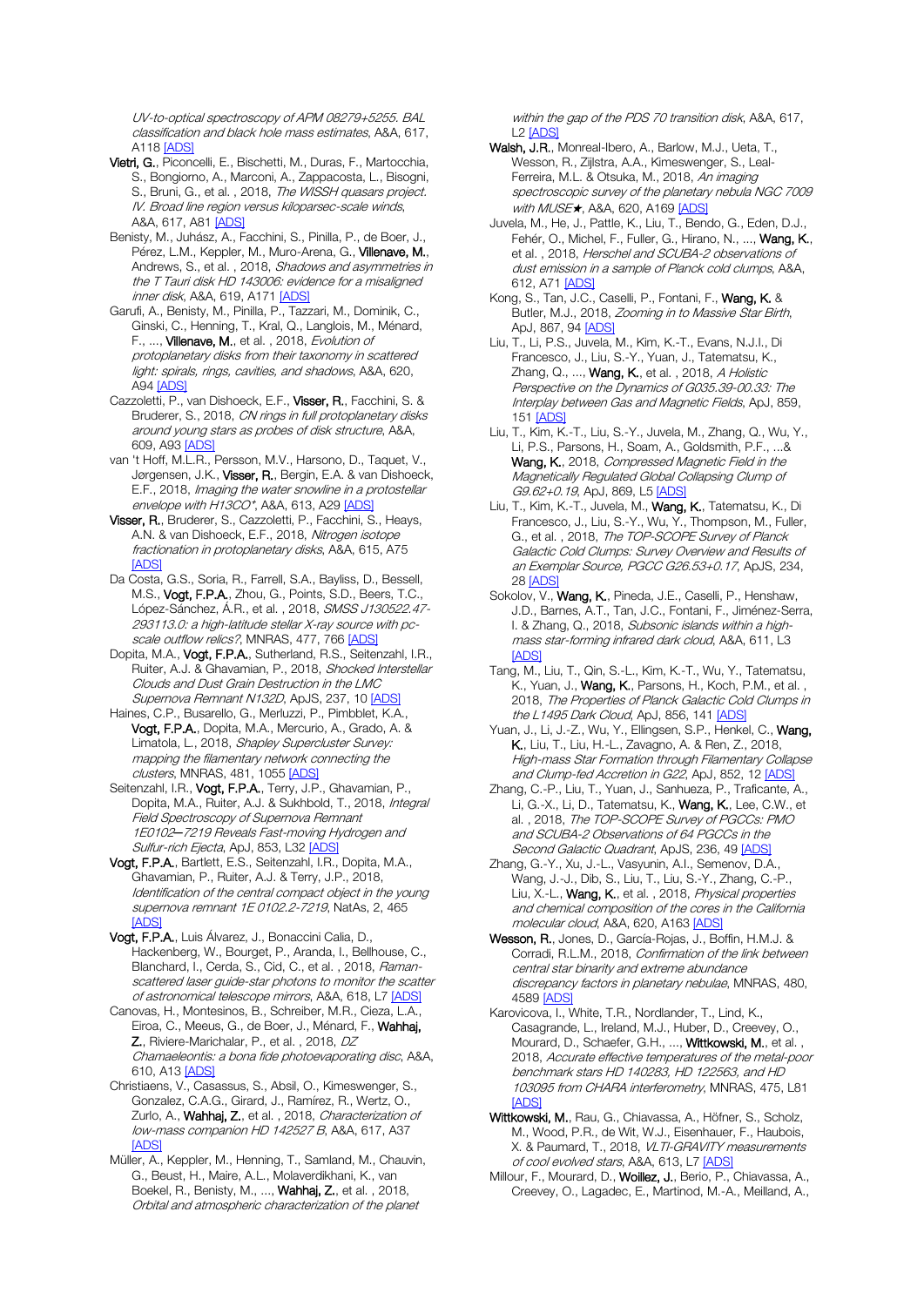UV-to-optical spectroscopy of APM 08279+5255. BAL classification and black hole mass estimates, A&A, 617, **A11[8 \[ADS\]](https://ui.adsabs.harvard.edu/#abs/2018A%26A...617A.118S)** 

- Vietri, G., Piconcelli, E., Bischetti, M., Duras, F., Martocchia, S., Bongiorno, A., Marconi, A., Zappacosta, L., Bisogni, S., Bruni, G., et al., 2018, The WISSH quasars project. IV. Broad line region versus kiloparsec-scale winds, A&A, 617, A8[1 \[ADS\]](https://ui.adsabs.harvard.edu/#abs/2018A%26A...617A..81V)
- Benisty, M., Juhász, A., Facchini, S., Pinilla, P., de Boer, J., Pérez, L.M., Keppler, M., Muro-Arena, G., Villenave, M., Andrews, S., et al. , 2018, Shadows and asymmetries in the T Tauri disk HD 143006: evidence for a misaligned inner disk, A&A, 619, A171 [\[ADS\]](https://ui.adsabs.harvard.edu/#abs/2018A%26A...619A.171B)
- Garufi, A., Benisty, M., Pinilla, P., Tazzari, M., Dominik, C., Ginski, C., Henning, T., Kral, Q., Langlois, M., Ménard, F., ..., Villenave, M., et al., 2018, Evolution of protoplanetary disks from their taxonomy in scattered light: spirals, rings, cavities, and shadows, A&A, 620, A9[4 \[ADS\]](https://ui.adsabs.harvard.edu/#abs/2018A%26A...620A..94G)
- Cazzoletti, P., van Dishoeck, E.F., Visser, R., Facchini, S. & Bruderer, S., 2018, CN rings in full protoplanetary disks around young stars as probes of disk structure, A&A, 609, A93 [\[ADS\]](https://ui.adsabs.harvard.edu/#abs/2018A%26A...609A..93C)
- van 't Hoff, M.L.R., Persson, M.V., Harsono, D., Taquet, V., Jørgensen, J.K., Visser, R., Bergin, E.A. & van Dishoeck, E.F., 2018, Imaging the water snowline in a protostellar envelope with H13CO<sup>+</sup>, A&A, 613, A2[9 \[ADS\]](https://ui.adsabs.harvard.edu/#abs/2018A%26A...613A..29V)
- Visser, R., Bruderer, S., Cazzoletti, P., Facchini, S., Heays, A.N. & van Dishoeck, E.F., 2018, Nitrogen isotope fractionation in protoplanetary disks, A&A, 615, A75 [\[ADS\]](https://ui.adsabs.harvard.edu/#abs/2018A%26A...615A..75V)
- Da Costa, G.S., Soria, R., Farrell, S.A., Bayliss, D., Bessell, M.S., Vogt, F.P.A., Zhou, G., Points, S.D., Beers, T.C., López-Sánchez, Á.R., et al., 2018, SMSS J130522.47-293113.0: a high-latitude stellar X-ray source with pc-scale outflow relics?, MNRAS, 477, 76[6 \[ADS\]](https://ui.adsabs.harvard.edu/#abs/2018MNRAS.477..766D)
- Dopita, M.A., Vogt, F.P.A., Sutherland, R.S., Seitenzahl, I.R., Ruiter, A.J. & Ghavamian, P., 2018, Shocked Interstellar Clouds and Dust Grain Destruction in the LMC Supernova Remnant N132D, ApJS, 237, 10 [\[ADS\]](https://ui.adsabs.harvard.edu/#abs/2018ApJS..237...10D)
- Haines, C.P., Busarello, G., Merluzzi, P., Pimbblet, K.A., Vogt, F.P.A., Dopita, M.A., Mercurio, A., Grado, A. & Limatola, L., 2018, Shapley Supercluster Survey: mapping the filamentary network connecting the clusters, MNRAS, 481, 1055 [\[ADS\]](https://ui.adsabs.harvard.edu/#abs/2018MNRAS.481.1055H)
- Seitenzahl, I.R., Vogt, F.P.A., Terry, J.P., Ghavamian, P., Dopita, M.A., Ruiter, A.J. & Sukhbold, T., 2018, Integral Field Spectroscopy of Supernova Remnant 1E0102*─*7219 Reveals Fast-moving Hydrogen and Sulfur-rich Ejecta, ApJ, 853, L32 [\[ADS\]](https://ui.adsabs.harvard.edu/#abs/2018ApJ...853L..32S)
- Vogt, F.P.A., Bartlett, E.S., Seitenzahl, I.R., Dopita, M.A., Ghavamian, P., Ruiter, A.J. & Terry, J.P., 2018, Identification of the central compact object in the young supernova remnant 1E 0102.2-7219, NatAs, 2, 465 [\[ADS\]](https://ui.adsabs.harvard.edu/#abs/2018NatAs...2..465V)
- Vogt, F.P.A., Luis Álvarez, J., Bonaccini Calia, D., Hackenberg, W., Bourget, P., Aranda, I., Bellhouse, C., Blanchard, I., Cerda, S., Cid, C., et al., 2018, Ramanscattered laser guide-star photons to monitor the scatter of astronomical telescope mirrors, A&A, 618, L[7 \[ADS\]](https://ui.adsabs.harvard.edu/#abs/2018A%26A...618L...7V)
- Canovas, H., Montesinos, B., Schreiber, M.R., Cieza, L.A., Eiroa, C., Meeus, G., de Boer, J., Ménard, F., Wahhaj, Z., Riviere-Marichalar, P., et al. , 2018, DZ Chamaeleontis: a bona fide photoevaporating disc, A&A, 610, A13 [\[ADS\]](https://ui.adsabs.harvard.edu/#abs/2018A%26A...610A..13C)
- Christiaens, V., Casassus, S., Absil, O., Kimeswenger, S., Gonzalez, C.A.G., Girard, J., Ramírez, R., Wertz, O., Zurlo, A., Wahhaj, Z., et al., 2018, Characterization of low-mass companion HD 142527 B, A&A, 617, A37 [\[ADS\]](https://ui.adsabs.harvard.edu/#abs/2018A%26A...617A..37C)
- Müller, A., Keppler, M., Henning, T., Samland, M., Chauvin, G., Beust, H., Maire, A.L., Molaverdikhani, K., van Boekel, R., Benisty, M., ..., Wahhaj, Z., et al. , 2018, Orbital and atmospheric characterization of the planet

within the gap of the PDS 70 transition disk, A&A, 617, L[2 \[ADS\]](https://ui.adsabs.harvard.edu/#abs/2018A%26A...617L...2M)

- Walsh, J.R., Monreal-Ibero, A., Barlow, M.J., Ueta, T., Wesson, R., Zijlstra, A.A., Kimeswenger, S., Leal-Ferreira, M.L. & Otsuka, M., 2018, An imaging spectroscopic survey of the planetary nebula NGC 7009 with MUSE★, A&A, 620, A169 [\[ADS\]](https://ui.adsabs.harvard.edu/#abs/2018A%26A...620A.169W)
- Juvela, M., He, J., Pattle, K., Liu, T., Bendo, G., Eden, D.J., Fehér, O., Michel, F., Fuller, G., Hirano, N., ..., Wang, K., et al. , 2018, Herschel and SCUBA-2 observations of dust emission in a sample of Planck cold clumps, A&A, 612, A7[1 \[ADS\]](https://ui.adsabs.harvard.edu/#abs/2018A%26A...612A..71J)
- Kong, S., Tan, J.C., Caselli, P., Fontani, F., Wang, K. & Butler, M.J., 2018, Zooming in to Massive Star Birth, ApJ, 867, 9[4 \[ADS\]](https://ui.adsabs.harvard.edu/#abs/2018ApJ...867...94K)
- Liu, T., Li, P.S., Juvela, M., Kim, K.-T., Evans, N.J.I., Di Francesco, J., Liu, S.-Y., Yuan, J., Tatematsu, K., Zhang, Q., ..., Wang, K., et al., 2018, A Holistic Perspective on the Dynamics of G035.39-00.33: The Interplay between Gas and Magnetic Fields, ApJ, 859, 15[1 \[ADS\]](https://ui.adsabs.harvard.edu/#abs/2018ApJ...859..151L)
- Liu, T., Kim, K.-T., Liu, S.-Y., Juvela, M., Zhang, Q., Wu, Y., Li, P.S., Parsons, H., Soam, A., Goldsmith, P.F., ...& Wang, K., 2018, Compressed Magnetic Field in the Magnetically Regulated Global Collapsing Clump of G9.62+0.19, ApJ, 869, L5 [\[ADS\]](https://ui.adsabs.harvard.edu/#abs/2018ApJ...869L...5L)
- Liu, T., Kim, K.-T., Juvela, M., Wang, K., Tatematsu, K., Di Francesco, J., Liu, S.-Y., Wu, Y., Thompson, M., Fuller, G., et al., 2018, The TOP-SCOPE Survey of Planck Galactic Cold Clumps: Survey Overview and Results of an Exemplar Source, PGCC G26.53+0.17, ApJS, 234, 28 [\[ADS\]](https://ui.adsabs.harvard.edu/#abs/2018ApJS..234...28L)
- Sokolov, V., Wang, K., Pineda, J.E., Caselli, P., Henshaw, J.D., Barnes, A.T., Tan, J.C., Fontani, F., Jiménez-Serra, I. & Zhang, Q., 2018, Subsonic islands within a highmass star-forming infrared dark cloud, A&A, 611, L3 [\[ADS\]](https://ui.adsabs.harvard.edu/#abs/2018A%26A...611L...3S)
- Tang, M., Liu, T., Qin, S.-L., Kim, K.-T., Wu, Y., Tatematsu, K., Yuan, J., Wang, K., Parsons, H., Koch, P.M., et al., 2018, The Properties of Planck Galactic Cold Clumps in the L1495 Dark Cloud, ApJ, 856, 141 [\[ADS\]](https://ui.adsabs.harvard.edu/#abs/2018ApJ...856..141T)
- Yuan, J., Li, J.-Z., Wu, Y., Ellingsen, S.P., Henkel, C., Wang, K., Liu, T., Liu, H.-L., Zavagno, A. & Ren, Z., 2018, High-mass Star Formation through Filamentary Collapse and Clump-fed Accretion in G22, ApJ, 852, 12 [\[ADS\]](https://ui.adsabs.harvard.edu/#abs/2018ApJ...852...12Y)
- Zhang, C.-P., Liu, T., Yuan, J., Sanhueza, P., Traficante, A., Li, G.-X., Li, D., Tatematsu, K., Wang, K., Lee, C.W., et al. , 2018, The TOP-SCOPE Survey of PGCCs: PMO and SCUBA-2 Observations of 64 PGCCs in the Second Galactic Quadrant, ApJS, 236, 4[9 \[ADS\]](https://ui.adsabs.harvard.edu/#abs/2018ApJS..236...49Z)
- Zhang, G.-Y., Xu, J.-L., Vasyunin, A.I., Semenov, D.A. Wang, J.-J., Dib, S., Liu, T., Liu, S.-Y., Zhang, C.-P., Liu, X.-L., Wang, K., et al., 2018, Physical properties and chemical composition of the cores in the California molecular cloud, A&A, 620, A16[3 \[ADS\]](https://ui.adsabs.harvard.edu/#abs/2018A%26A...620A.163Z)
- Wesson, R., Jones, D., García-Rojas, J., Boffin, H.M.J. & Corradi, R.L.M., 2018, Confirmation of the link between central star binarity and extreme abundance discrepancy factors in planetary nebulae, MNRAS, 480, 4589 [\[ADS\]](https://ui.adsabs.harvard.edu/#abs/2018MNRAS.480.4589W)
- Karovicova, I., White, T.R., Nordlander, T., Lind, K., Casagrande, L., Ireland, M.J., Huber, D., Creevey, O., Mourard, D., Schaefer, G.H., ..., Wittkowski, M., et al., 2018, Accurate effective temperatures of the metal-poor benchmark stars HD 140283, HD 122563, and HD 103095 from CHARA interferometry, MNRAS, 475, L81 [\[ADS\]](https://ui.adsabs.harvard.edu/#abs/2018MNRAS.475L..81K)
- Wittkowski, M., Rau, G., Chiavassa, A., Höfner, S., Scholz, M., Wood, P.R., de Wit, W.J., Eisenhauer, F., Haubois, X. & Paumard, T., 2018, VLTI-GRAVITY measurements of cool evolved stars, A&A, 613, L7 [\[ADS\]](https://ui.adsabs.harvard.edu/#abs/2018A%26A...613L...7W)
- Millour, F., Mourard, D., Woillez, J., Berio, P., Chiavassa, A., Creevey, O., Lagadec, E., Martinod, M.-A., Meilland, A.,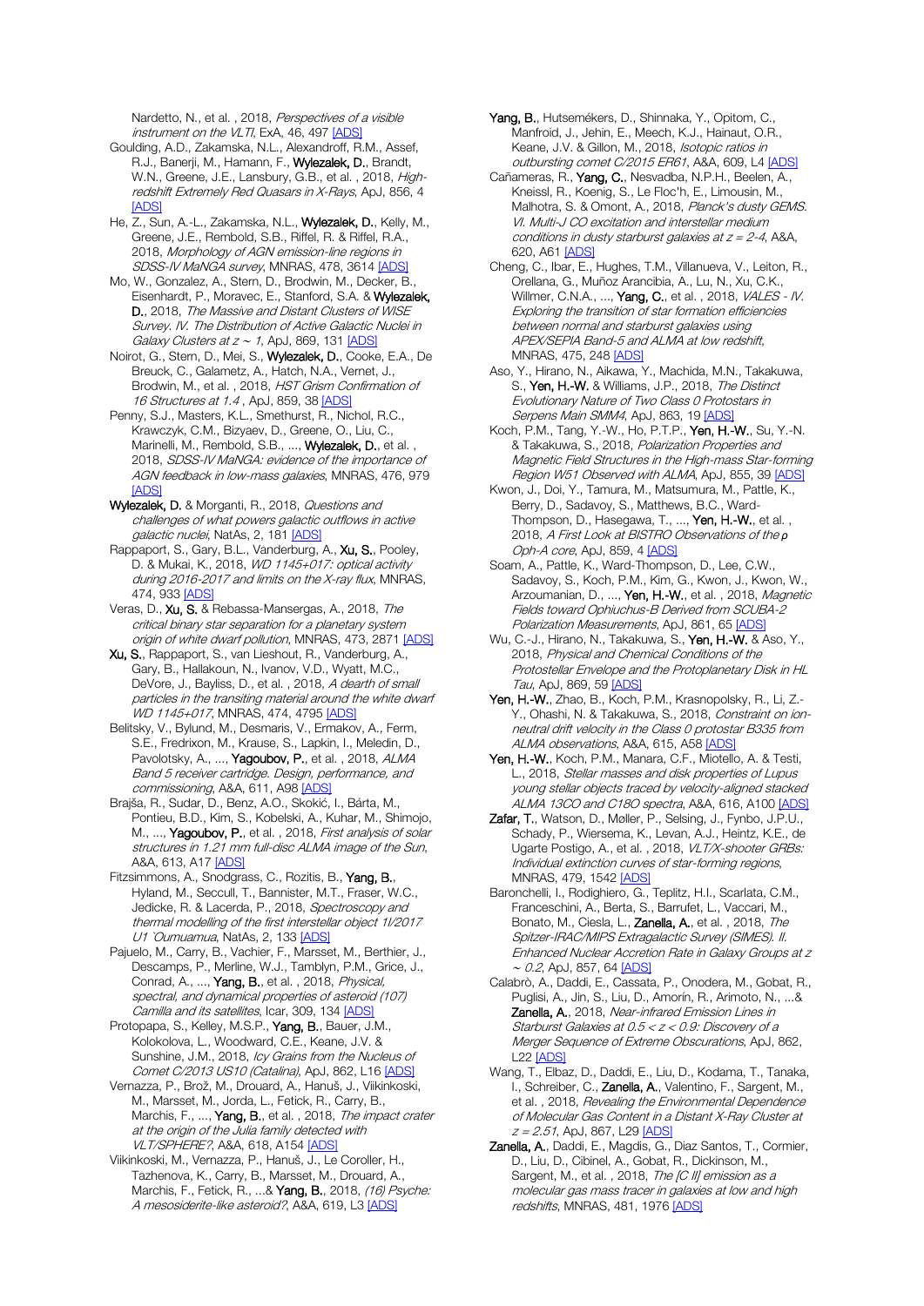Nardetto, N., et al., 2018, Perspectives of a visible instrument on the VLTI, ExA, 46, 497 [\[ADS\]](https://ui.adsabs.harvard.edu/#abs/2018ExA....46..497M)

Goulding, A.D., Zakamska, N.L., Alexandroff, R.M., Assef, nan g, Alba, Lenemann, F., Wylezalek, D., Brandt, W.N., Greene, J.E., Lansbury, G.B., et al., 2018, Highredshift Extremely Red Quasars in X-Rays, ApJ, 856, 4 [\[ADS\]](https://ui.adsabs.harvard.edu/#abs/2018ApJ...856....4G)

He, Z., Sun, A.-L., Zakamska, N.L., Wylezalek, D., Kelly, M., Greene, J.E., Rembold, S.B., Riffel, R. & Riffel, R.A., 2018, Morphology of AGN emission-line regions in SDSS-IV MaNGA survey, MNRAS, 478, 3614 IADSI

Mo, W., Gonzalez, A., Stern, D., Brodwin, M., Decker, B., Eisenhardt, P., Moravec, E., Stanford, S.A. & Wylezalek, D., 2018, The Massive and Distant Clusters of WISE Survey. IV. The Distribution of Active Galactic Nuclei in Galaxy Clusters at z ~ 1, ApJ, 869, 131 [\[ADS\]](https://ui.adsabs.harvard.edu/#abs/2018ApJ...869..131M)

Noirot, G., Stern, D., Mei, S., Wylezalek, D., Cooke, E.A., De Breuck, C., Galametz, A., Hatch, N.A., Vernet, J., Brodwin, M., et al. , 2018, HST Grism Confirmation of 16 Structures at 1.4, ApJ, 859, 3[8 \[ADS\]](https://ui.adsabs.harvard.edu/#abs/2018ApJ...859...38N)

Penny, S.J., Masters, K.L., Smethurst, R., Nichol, R.C., Krawczyk, C.M., Bizyaev, D., Greene, O., Liu, C., Marinelli, M., Rembold, S.B., ..., Wylezalek, D., et al., 2018, SDSS-IV MaNGA: evidence of the importance of AGN feedback in low-mass galaxies, MNRAS, 476, 979  $I\Delta\Box$ 

Wylezalek, D. & Morganti, R., 2018, Questions and challenges of what powers galactic outflows in active galactic nuclei, NatAs, 2, 181 [\[ADS\]](https://ui.adsabs.harvard.edu/#abs/2018NatAs...2..181W)

Rappaport, S., Gary, B.L., Vanderburg, A., Xu, S., Pooley, D. & Mukai, K., 2018, WD 1145+017: optical activity during 2016-2017 and limits on the X-ray flux, MNRAS, 474, 93[3 \[ADS\]](https://ui.adsabs.harvard.edu/#abs/2018MNRAS.474..933R)

Veras, D., Xu, S. & Rebassa-Mansergas, A., 2018, The critical binary star separation for a planetary system origin of white dwarf pollution, MNRAS, 473, 2871 [\[ADS\]](https://ui.adsabs.harvard.edu/#abs/2018MNRAS.473.2871V)

Xu, S., Rappaport, S., van Lieshout, R., Vanderburg, A., Gary, B., Hallakoun, N., Ivanov, V.D., Wyatt, M.C., DeVore, J., Bayliss, D., et al., 2018, A dearth of small particles in the transiting material around the white dwarf WD 1145+017, MNRAS, 474, 479[5 \[ADS\]](https://ui.adsabs.harvard.edu/#abs/2018MNRAS.474.4795X)

Belitsky, V., Bylund, M., Desmaris, V., Ermakov, A., Ferm, S.E., Fredrixon, M., Krause, S., Lapkin, I., Meledin, D., Pavolotsky, A., ..., Yagoubov, P., et al., 2018, ALMA Band 5 receiver cartridge. Design, performance, and commissioning, A&A, 611, A9[8 \[ADS\]](https://ui.adsabs.harvard.edu/#abs/2018A%26A...611A..98B)

Brajša, R., Sudar, D., Benz, A.O., Skokić, I., Bárta, M., Pontieu, B.D., Kim, S., Kobelski, A., Kuhar, M., Shimojo, M., ..., Yagoubov, P., et al., 2018, First analysis of solar structures in 1.21 mm full-disc ALMA image of the Sun, A&A, 613, A1[7 \[ADS\]](https://ui.adsabs.harvard.edu/#abs/2018A%26A...613A..17B)

Fitzsimmons, A., Snodgrass, C., Rozitis, B., Yang, B., Hyland, M., Seccull, T., Bannister, M.T., Fraser, W.C., Jedicke, R. & Lacerda, P., 2018, Spectroscopy and thermal modelling of the first interstellar object 1I/2017 U1 *Oumuamua*, NatAs, 2, 13[3 \[ADS\]](https://ui.adsabs.harvard.edu/#abs/2018NatAs...2..133F)

Pajuelo, M., Carry, B., Vachier, F., Marsset, M., Berthier, J., Descamps, P., Merline, W.J., Tamblyn, P.M., Grice, J., Conrad, A., ..., Yang, B., et al., 2018, *Physical,* spectral, and dynamical properties of asteroid (107) Camilla and its satellites, Icar, 309, 13[4 \[ADS\]](https://ui.adsabs.harvard.edu/#abs/2018Icar..309..134P)

Protopapa, S., Kelley, M.S.P., Yang, B., Bauer, J.M., Kolokolova, L., Woodward, C.E., Keane, J.V. & Sunshine, J.M., 2018, Icy Grains from the Nucleus of Comet C/2013 US10 (Catalina), ApJ, 862, L1[6 \[ADS\]](https://ui.adsabs.harvard.edu/#abs/2018ApJ...862L..16P)

Vernazza, P., Brož, M., Drouard, A., Hanuš, J., Viikinkoski, M., Marsset, M., Jorda, L., Fetick, R., Carry, B., Marchis, F., ..., Yang, B., et al., 2018, The impact crater at the origin of the Julia family detected with VLT/SPHERE?, A&A, 618, A15[4 \[ADS\]](https://ui.adsabs.harvard.edu/#abs/2018A%26A...618A.154V)

Viikinkoski, M., Vernazza, P., Hanuš, J., Le Coroller, H., Tazhenova, K., Carry, B., Marsset, M., Drouard, A., Marchis, F., Fetick, R., ...& Yang, B., 2018, (16) Psyche: A mesosiderite-like asteroid?, A&A, 619, L[3 \[ADS\]](https://ui.adsabs.harvard.edu/#abs/2018A%26A...619L...3V)

Yang, B., Hutsemékers, D., Shinnaka, Y., Opitom, C., Manfroid, J., Jehin, E., Meech, K.J., Hainaut, O.R., Keane, J.V. & Gillon, M., 2018, Isotopic ratios in outbursting comet C/2015 ER61, A&A, 609, L4 [\[ADS\]](https://ui.adsabs.harvard.edu/#abs/2018A%26A...609L...4Y)

Cañameras, R., Yang, C., Nesvadba, N.P.H., Beelen, A., Kneissl, R., Koenig, S., Le Floc'h, E., Limousin, M., Malhotra, S. & Omont, A., 2018, Planck's dusty GEMS. VI. Multi-J CO excitation and interstellar medium conditions in dusty starburst galaxies at  $z = 2-4$ , A&A, 620, A6[1 \[ADS\]](https://ui.adsabs.harvard.edu/#abs/2018A%26A...620A..61C)

Cheng, C., Ibar, E., Hughes, T.M., Villanueva, V., Leiton, R., Orellana, G., Muñoz Arancibia, A., Lu, N., Xu, C.K., Willmer, C.N.A., ..., **Yang, C.**, et al., 2018, *VALES - IV.* Exploring the transition of star formation efficiencies between normal and starburst galaxies using APEX/SEPIA Band-5 and ALMA at low redshift, MNRAS, 475, 24[8 \[ADS\]](https://ui.adsabs.harvard.edu/#abs/2018MNRAS.475..248C)

Aso, Y., Hirano, N., Aikawa, Y., Machida, M.N., Takakuwa, S., Yen, H.-W. & Williams, J.P., 2018, The Distinct Evolutionary Nature of Two Class 0 Protostars in Serpens Main SMM4, ApJ, 863, 1[9 \[ADS\]](https://ui.adsabs.harvard.edu/#abs/2018ApJ...863...19A)

Koch, P.M., Tang, Y.-W., Ho, P.T.P., Yen, H.-W., Su, Y.-N. & Takakuwa, S., 2018, Polarization Properties and Magnetic Field Structures in the High-mass Star-forming Region W51 Observed with ALMA, ApJ, 855, 39 [\[ADS\]](https://ui.adsabs.harvard.edu/#abs/2018ApJ...855...39K)

Kwon, J., Doi, Y., Tamura, M., Matsumura, M., Pattle, K., Berry, D., Sadavoy, S., Matthews, B.C., Ward-Thompson, D., Hasegawa, T., ..., Yen, H.-W., et al., 2018, A First Look at BISTRO Observations of the *ρ* Oph-A core, ApJ, 859, 4 [\[ADS\]](https://ui.adsabs.harvard.edu/#abs/2018ApJ...859....4K)

Soam, A., Pattle, K., Ward-Thompson, D., Lee, C.W., Sadavoy, S., Koch, P.M., Kim, G., Kwon, J., Kwon, W., Arzoumanian, D., ..., Yen, H.-W., et al., 2018, Magnetic Fields toward Ophiuchus-B Derived from SCUBA-2 Polarization Measurements, ApJ, 861, 65 [\[ADS\]](https://ui.adsabs.harvard.edu/#abs/2018ApJ...861...65S)

Wu, C.-J., Hirano, N., Takakuwa, S., Yen, H.-W. & Aso, Y., 2018, Physical and Chemical Conditions of the Protostellar Envelope and the Protoplanetary Disk in HL Tau, ApJ, 869, 59 [\[ADS\]](https://ui.adsabs.harvard.edu/#abs/2018ApJ...869...59W)

Yen, H.-W., Zhao, B., Koch, P.M., Krasnopolsky, R., Li, Z.-Y., Ohashi, N. & Takakuwa, S., 2018, Constraint on ionneutral drift velocity in the Class 0 protostar B335 from ALMA observations, A&A, 615, A5[8 \[ADS\]](https://ui.adsabs.harvard.edu/#abs/2018A%26A...615A..58Y)

Yen, H.-W., Koch, P.M., Manara, C.F., Miotello, A. & Testi, L., 2018, Stellar masses and disk properties of Lupus young stellar objects traced by velocity-aligned stacked ALMA 13CO and C18O spectra, A&A, 616, A10[0 \[ADS\]](https://ui.adsabs.harvard.edu/#abs/2018A%26A...616A.100Y)

Zafar, T., Watson, D., Møller, P., Selsing, J., Fynbo, J.P.U., Schady, P., Wiersema, K., Levan, A.J., Heintz, K.E., de Ugarte Postigo, A., et al., 2018, VLT/X-shooter GRBs: Individual extinction curves of star-forming regions, MNRAS, 479, 154[2 \[ADS\]](https://ui.adsabs.harvard.edu/#abs/2018MNRAS.479.1542Z)

Baronchelli, I., Rodighiero, G., Teplitz, H.I., Scarlata, C.M., Franceschini, A., Berta, S., Barrufet, L., Vaccari, M., Bonato, M., Ciesla, L., Zanella, A., et al., 2018, The Spitzer-IRAC/MIPS Extragalactic Survey (SIMES). II. Enhanced Nuclear Accretion Rate in Galaxy Groups at z ∼ 0.2, ApJ, 857, 6[4 \[ADS\]](https://ui.adsabs.harvard.edu/#abs/2018ApJ...857...64B)

Calabrò, A., Daddi, E., Cassata, P., Onodera, M., Gobat, R., Puglisi, A., Jin, S., Liu, D., Amorín, R., Arimoto, N., ...& Zanella, A., 2018, Near-infrared Emission Lines in Starburst Galaxies at 0.5 < z < 0.9: Discovery of a Merger Sequence of Extreme Obscurations, ApJ, 862, L22 [\[ADS\]](https://ui.adsabs.harvard.edu/#abs/2018ApJ...862L..22C)

Wang, T., Elbaz, D., Daddi, E., Liu, D., Kodama, T., Tanaka, I., Schreiber, C., Zanella, A., Valentino, F., Sargent, M., et al. , 2018, Revealing the Environmental Dependence of Molecular Gas Content in a Distant X-Ray Cluster at  $z = 2.51$ , ApJ, 867, L29 [\[ADS\]](https://ui.adsabs.harvard.edu/#abs/2018ApJ...867L..29W)

Zanella, A., Daddi, E., Magdis, G., Diaz Santos, T., Cormier, D., Liu, D., Cibinel, A., Gobat, R., Dickinson, M., Sargent, M., et al., 2018, The [C II] emission as a molecular gas mass tracer in galaxies at low and high redshifts, MNRAS, 481, 197[6 \[ADS\]](https://ui.adsabs.harvard.edu/#abs/2018MNRAS.481.1976Z)